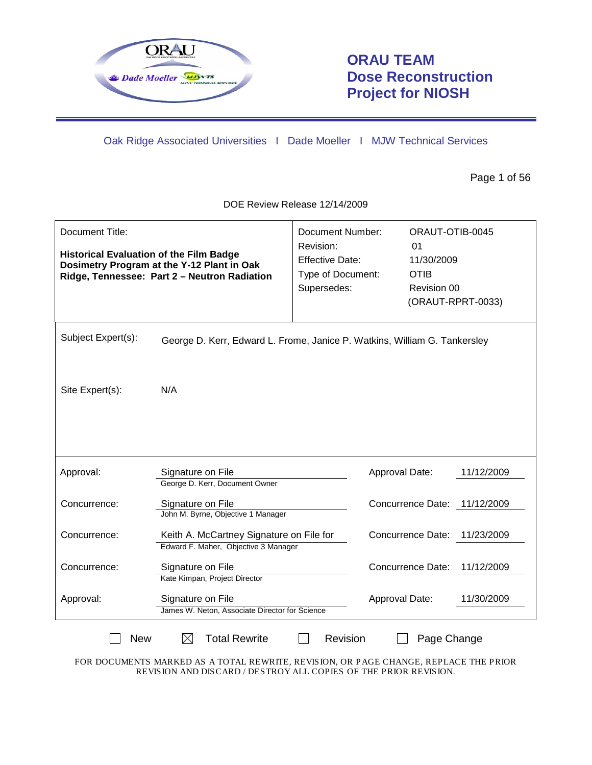

## **ORAU TEAM Dose Reconstruction Project for NIOSH**

Oak Ridge Associated Universities I Dade Moeller I MJW Technical Services

Page 1 of 56

DOE Review Release 12/14/2009

| Document Title:<br><b>Historical Evaluation of the Film Badge</b>                                                                                                    | Dosimetry Program at the Y-12 Plant in Oak<br>Ridge, Tennessee: Part 2 - Neutron Radiation | <b>Document Number:</b><br>Revision:<br><b>Effective Date:</b><br>Type of Document:<br>Supersedes: | ORAUT-OTIB-0045<br>01<br>11/30/2009<br><b>OTIB</b><br>Revision 00<br>(ORAUT-RPRT-0033) |            |  |
|----------------------------------------------------------------------------------------------------------------------------------------------------------------------|--------------------------------------------------------------------------------------------|----------------------------------------------------------------------------------------------------|----------------------------------------------------------------------------------------|------------|--|
| Subject Expert(s):                                                                                                                                                   | George D. Kerr, Edward L. Frome, Janice P. Watkins, William G. Tankersley                  |                                                                                                    |                                                                                        |            |  |
| Site Expert(s):                                                                                                                                                      | N/A                                                                                        |                                                                                                    |                                                                                        |            |  |
| Approval:                                                                                                                                                            | Signature on File<br>George D. Kerr, Document Owner                                        |                                                                                                    | Approval Date:                                                                         | 11/12/2009 |  |
| Concurrence:                                                                                                                                                         | Signature on File<br>John M. Byrne, Objective 1 Manager                                    |                                                                                                    | Concurrence Date: 11/12/2009                                                           |            |  |
| Concurrence:                                                                                                                                                         | Keith A. McCartney Signature on File for<br>Edward F. Maher, Objective 3 Manager           |                                                                                                    | <b>Concurrence Date:</b>                                                               | 11/23/2009 |  |
| Concurrence:                                                                                                                                                         | Signature on File<br>Kate Kimpan, Project Director                                         |                                                                                                    | Concurrence Date:                                                                      | 11/12/2009 |  |
| Approval:                                                                                                                                                            | Signature on File<br>James W. Neton, Associate Director for Science                        |                                                                                                    | Approval Date:                                                                         | 11/30/2009 |  |
| $\boxtimes$<br><b>Total Rewrite</b><br><b>New</b><br>Revision<br>Page Change<br>FOR DOCUMENTS MARKED AS A TOTAL REWRITE, REVISION, OR PAGE CHANGE, REPLACE THE PRIOR |                                                                                            |                                                                                                    |                                                                                        |            |  |

REVISION AND DISCARD / DESTROY ALL COPIES OF THE PRIOR REVISION.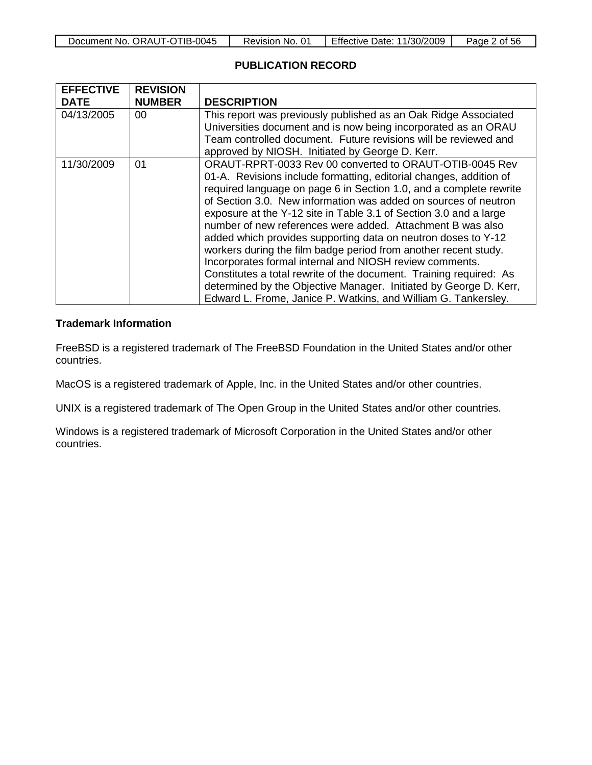| ORAUT-OTIB-0045<br>Document No. | No.<br>Revision | <b>Effective Date:</b><br>11/30/2009 | Page<br>0t<br>56 |
|---------------------------------|-----------------|--------------------------------------|------------------|

### **PUBLICATION RECORD**

| <b>EFFECTIVE</b> | <b>REVISION</b> |                                                                    |
|------------------|-----------------|--------------------------------------------------------------------|
| <b>DATE</b>      | <b>NUMBER</b>   | <b>DESCRIPTION</b>                                                 |
| 04/13/2005       | 00              | This report was previously published as an Oak Ridge Associated    |
|                  |                 | Universities document and is now being incorporated as an ORAU     |
|                  |                 | Team controlled document. Future revisions will be reviewed and    |
|                  |                 | approved by NIOSH. Initiated by George D. Kerr.                    |
| 11/30/2009       | 01              | ORAUT-RPRT-0033 Rev 00 converted to ORAUT-OTIB-0045 Rev            |
|                  |                 | 01-A. Revisions include formatting, editorial changes, addition of |
|                  |                 | required language on page 6 in Section 1.0, and a complete rewrite |
|                  |                 | of Section 3.0. New information was added on sources of neutron    |
|                  |                 | exposure at the Y-12 site in Table 3.1 of Section 3.0 and a large  |
|                  |                 | number of new references were added. Attachment B was also         |
|                  |                 | added which provides supporting data on neutron doses to Y-12      |
|                  |                 | workers during the film badge period from another recent study.    |
|                  |                 | Incorporates formal internal and NIOSH review comments.            |
|                  |                 | Constitutes a total rewrite of the document. Training required: As |
|                  |                 | determined by the Objective Manager. Initiated by George D. Kerr,  |
|                  |                 | Edward L. Frome, Janice P. Watkins, and William G. Tankersley.     |

### **Trademark Information**

FreeBSD is a registered trademark of The FreeBSD Foundation in the United States and/or other countries.

MacOS is a registered trademark of Apple, Inc. in the United States and/or other countries.

UNIX is a registered trademark of The Open Group in the United States and/or other countries.

Windows is a registered trademark of Microsoft Corporation in the United States and/or other countries.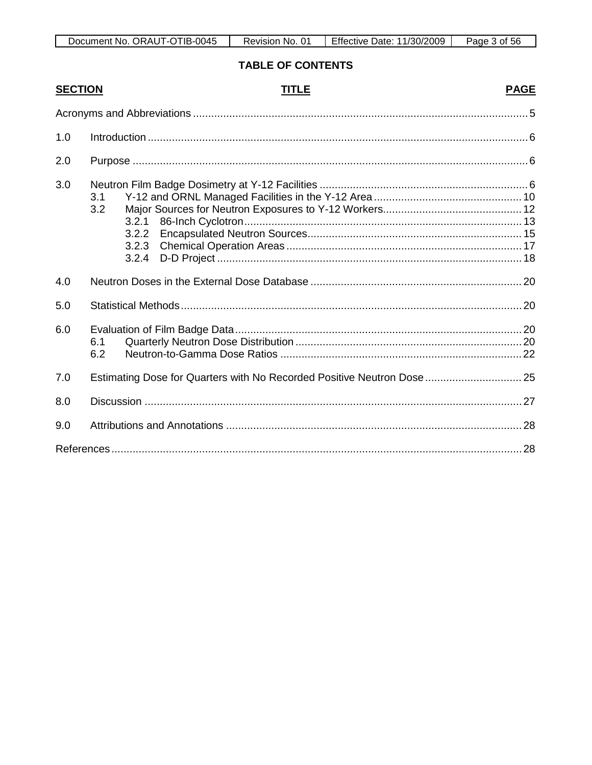| TIB-0045     | $0^{\prime}$ | 11/30/2009 | Page |
|--------------|--------------|------------|------|
| ORAUT-O      | No.          | Date:      | ላ of |
| Document No. | Revision     | Effective  | 56   |

**TABLE OF CONTENTS** 

| <b>SECTION</b> |            | <b>TITLE</b>                                                            | <b>PAGE</b> |
|----------------|------------|-------------------------------------------------------------------------|-------------|
|                |            |                                                                         |             |
| 1.0            |            |                                                                         |             |
| 2.0            |            |                                                                         |             |
| 3.0            | 3.1<br>3.2 | 3.2.1<br>3.2.2<br>3.2.3<br>3.2.4                                        |             |
| 4.0            |            |                                                                         |             |
| 5.0            |            |                                                                         |             |
| 6.0            | 6.1<br>6.2 |                                                                         |             |
| 7.0            |            | Estimating Dose for Quarters with No Recorded Positive Neutron Dose  25 |             |
| 8.0            |            |                                                                         |             |
| 9.0            |            |                                                                         |             |
|                |            |                                                                         |             |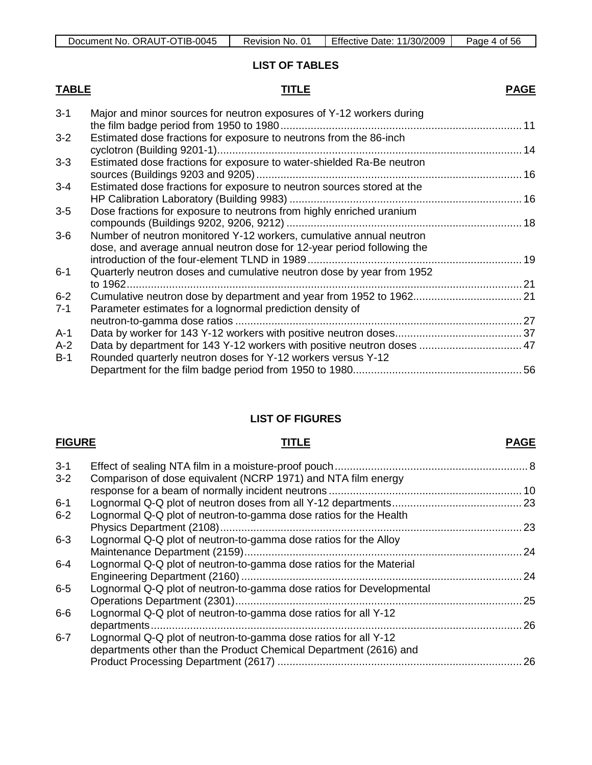### **LIST OF TABLES**

## **TABLE TITLE**

| $3 - 1$ | Major and minor sources for neutron exposures of Y-12 workers during    |  |
|---------|-------------------------------------------------------------------------|--|
|         |                                                                         |  |
| $3 - 2$ | Estimated dose fractions for exposure to neutrons from the 86-inch      |  |
|         |                                                                         |  |
| $3 - 3$ | Estimated dose fractions for exposure to water-shielded Ra-Be neutron   |  |
|         |                                                                         |  |
| $3 - 4$ | Estimated dose fractions for exposure to neutron sources stored at the  |  |
|         |                                                                         |  |
| $3-5$   | Dose fractions for exposure to neutrons from highly enriched uranium    |  |
|         |                                                                         |  |
| $3-6$   | Number of neutron monitored Y-12 workers, cumulative annual neutron     |  |
|         | dose, and average annual neutron dose for 12-year period following the  |  |
|         |                                                                         |  |
| $6 - 1$ | Quarterly neutron doses and cumulative neutron dose by year from 1952   |  |
|         |                                                                         |  |
| $6 - 2$ |                                                                         |  |
| $7 - 1$ | Parameter estimates for a lognormal prediction density of               |  |
|         |                                                                         |  |
| $A-1$   |                                                                         |  |
| $A-2$   | Data by department for 143 Y-12 workers with positive neutron doses  47 |  |
| $B-1$   | Rounded quarterly neutron doses for Y-12 workers versus Y-12            |  |
|         |                                                                         |  |
|         |                                                                         |  |

### **LIST OF FIGURES**

## **FIGURE TITLE**

## **PAGE**

| $3 - 1$ |                                                                                                                                      |     |
|---------|--------------------------------------------------------------------------------------------------------------------------------------|-----|
| $3 - 2$ | Comparison of dose equivalent (NCRP 1971) and NTA film energy                                                                        |     |
| $6 - 1$ |                                                                                                                                      |     |
| $6 - 2$ | Lognormal Q-Q plot of neutron-to-gamma dose ratios for the Health                                                                    |     |
| $6 - 3$ | Lognormal Q-Q plot of neutron-to-gamma dose ratios for the Alloy                                                                     |     |
| $6 - 4$ | Lognormal Q-Q plot of neutron-to-gamma dose ratios for the Material                                                                  |     |
| $6-5$   | Lognormal Q-Q plot of neutron-to-gamma dose ratios for Developmental                                                                 |     |
| $6-6$   | Lognormal Q-Q plot of neutron-to-gamma dose ratios for all Y-12                                                                      | .26 |
| $6 - 7$ | Lognormal Q-Q plot of neutron-to-gamma dose ratios for all Y-12<br>departments other than the Product Chemical Department (2616) and |     |
|         |                                                                                                                                      |     |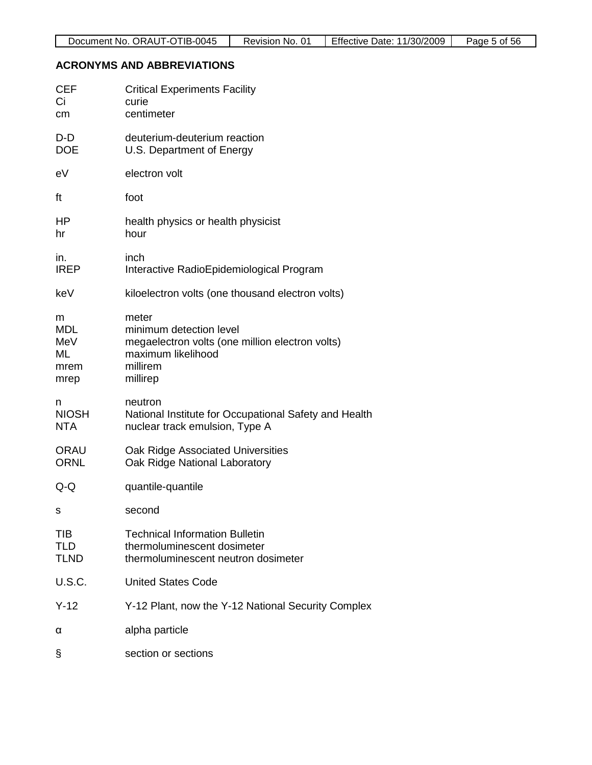## **ACRONYMS AND ABBREVIATIONS**

| <b>CEF</b><br>Ci<br>cm                       | <b>Critical Experiments Facility</b><br>curie<br>centimeter                                                                       |
|----------------------------------------------|-----------------------------------------------------------------------------------------------------------------------------------|
| D-D<br><b>DOE</b>                            | deuterium-deuterium reaction<br>U.S. Department of Energy                                                                         |
| eV                                           | electron volt                                                                                                                     |
| ft                                           | foot                                                                                                                              |
| <b>HP</b><br>hr                              | health physics or health physicist<br>hour                                                                                        |
| in.<br><b>IREP</b>                           | inch<br>Interactive RadioEpidemiological Program                                                                                  |
| keV                                          | kiloelectron volts (one thousand electron volts)                                                                                  |
| m<br><b>MDL</b><br>MeV<br>ML<br>mrem<br>mrep | meter<br>minimum detection level<br>megaelectron volts (one million electron volts)<br>maximum likelihood<br>millirem<br>millirep |
| n<br><b>NIOSH</b><br><b>NTA</b>              | neutron<br>National Institute for Occupational Safety and Health<br>nuclear track emulsion, Type A                                |
| <b>ORAU</b><br><b>ORNL</b>                   | Oak Ridge Associated Universities<br>Oak Ridge National Laboratory                                                                |
| Q-Q                                          | quantile-quantile                                                                                                                 |
| s                                            | second                                                                                                                            |
| TIB<br>TLD<br><b>TLND</b>                    | <b>Technical Information Bulletin</b><br>thermoluminescent dosimeter<br>thermoluminescent neutron dosimeter                       |
| <b>U.S.C.</b>                                | <b>United States Code</b>                                                                                                         |
| $Y-12$                                       | Y-12 Plant, now the Y-12 National Security Complex                                                                                |
| α                                            | alpha particle                                                                                                                    |
| §                                            | section or sections                                                                                                               |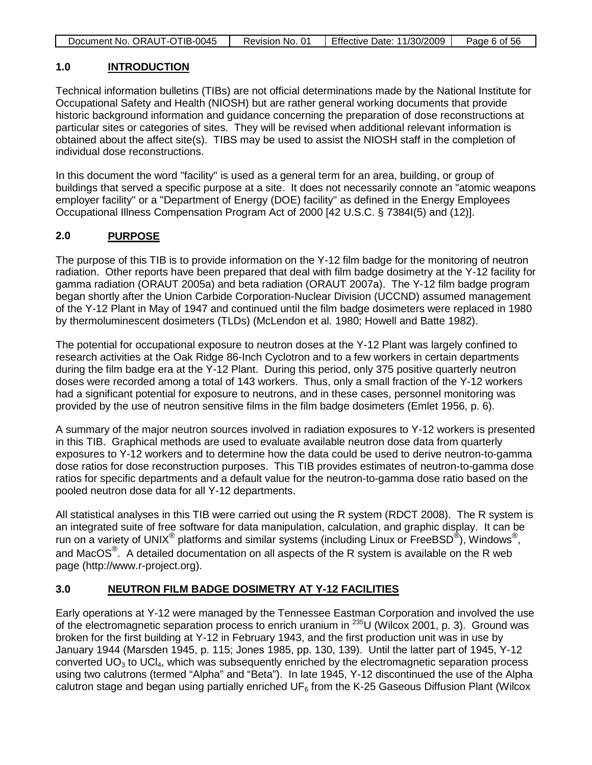| <b>Effective Date: 11/30/2009</b><br>Document No. ORAUT-OTIB-0045<br>Page 6 of 56<br>Revision No. 01 |
|------------------------------------------------------------------------------------------------------|
|------------------------------------------------------------------------------------------------------|

#### **1.0 INTRODUCTION**

Technical information bulletins (TIBs) are not official determinations made by the National Institute for Occupational Safety and Health (NIOSH) but are rather general working documents that provide historic background information and guidance concerning the preparation of dose reconstructions at particular sites or categories of sites. They will be revised when additional relevant information is obtained about the affect site(s). TIBS may be used to assist the NIOSH staff in the completion of individual dose reconstructions.

In this document the word "facility" is used as a general term for an area, building, or group of buildings that served a specific purpose at a site. It does not necessarily connote an "atomic weapons employer facility" or a "Department of Energy (DOE) facility" as defined in the Energy Employees Occupational Illness Compensation Program Act of 2000 [42 U.S.C. § 7384I(5) and (12)].

### **2.0 PURPOSE**

The purpose of this TIB is to provide information on the Y-12 film badge for the monitoring of neutron radiation. Other reports have been prepared that deal with film badge dosimetry at the Y-12 facility for gamma radiation (ORAUT 2005a) and beta radiation (ORAUT 2007a). The Y-12 film badge program began shortly after the Union Carbide Corporation-Nuclear Division (UCCND) assumed management of the Y-12 Plant in May of 1947 and continued until the film badge dosimeters were replaced in 1980 by thermoluminescent dosimeters (TLDs) (McLendon et al. 1980; Howell and Batte 1982).

The potential for occupational exposure to neutron doses at the Y-12 Plant was largely confined to research activities at the Oak Ridge 86-Inch Cyclotron and to a few workers in certain departments during the film badge era at the Y-12 Plant. During this period, only 375 positive quarterly neutron doses were recorded among a total of 143 workers. Thus, only a small fraction of the Y-12 workers had a significant potential for exposure to neutrons, and in these cases, personnel monitoring was provided by the use of neutron sensitive films in the film badge dosimeters (Emlet 1956, p. 6).

A summary of the major neutron sources involved in radiation exposures to Y-12 workers is presented in this TIB. Graphical methods are used to evaluate available neutron dose data from quarterly exposures to Y-12 workers and to determine how the data could be used to derive neutron-to-gamma dose ratios for dose reconstruction purposes. This TIB provides estimates of neutron-to-gamma dose ratios for specific departments and a default value for the neutron-to-gamma dose ratio based on the pooled neutron dose data for all Y-12 departments.

All statistical analyses in this TIB were carried out using the R system (RDCT 2008). The R system is an integrated suite of free software for data manipulation, calculation, and graphic display. It can be run on a variety of UNIX<sup>®</sup> platforms and similar systems (including Linux or FreeBSD<sup>®</sup>), Windows<sup>®</sup>, and MacOS<sup>®</sup>. A detailed documentation on all aspects of the R system is available on the R web page (http://www.r-project.org).

### **3.0 NEUTRON FILM BADGE DOSIMETRY AT Y-12 FACILITIES**

Early operations at Y-12 were managed by the Tennessee Eastman Corporation and involved the use of the electromagnetic separation process to enrich uranium in 235U (Wilcox 2001, p. 3). Ground was broken for the first building at Y-12 in February 1943, and the first production unit was in use by January 1944 (Marsden 1945, p. 115; Jones 1985, pp. 130, 139). Until the latter part of 1945, Y-12 converted  $UO_3$  to  $UCl<sub>4</sub>$ , which was subsequently enriched by the electromagnetic separation process using two calutrons (termed "Alpha" and "Beta"). In late 1945, Y-12 discontinued the use of the Alpha calutron stage and began using partially enriched UF $_6$  from the K-25 Gaseous Diffusion Plant (Wilcox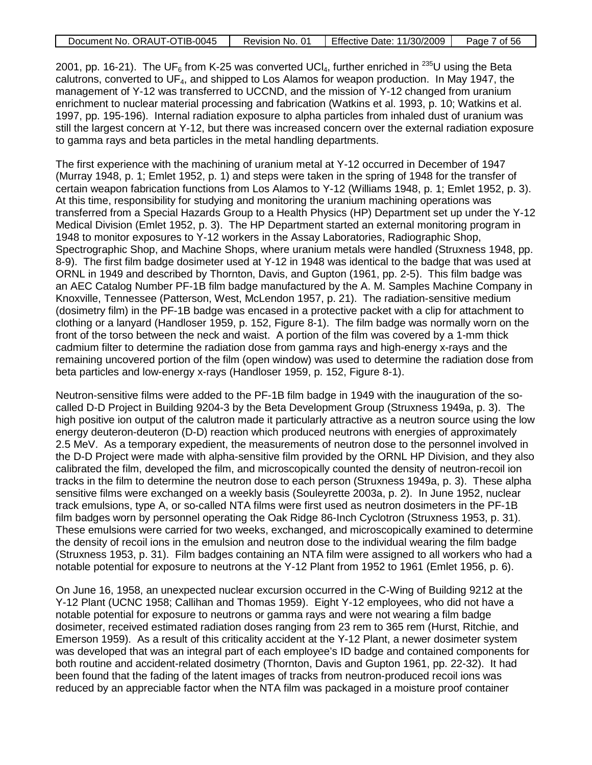| Document No. ORAUT-OTIB-0045 | Revision No. 01 | <b>Effective Date: 11/30/2009</b> | Page 7 of 56 |
|------------------------------|-----------------|-----------------------------------|--------------|

2001, pp. 16-21). The UF<sub>6</sub> from K-25 was converted UCI<sub>4</sub>, further enriched in <sup>235</sup>U using the Beta calutrons, converted to UF<sub>4</sub>, and shipped to Los Alamos for weapon production. In May 1947, the management of Y-12 was transferred to UCCND, and the mission of Y-12 changed from uranium enrichment to nuclear material processing and fabrication (Watkins et al. 1993, p. 10; Watkins et al. 1997, pp. 195-196). Internal radiation exposure to alpha particles from inhaled dust of uranium was still the largest concern at Y-12, but there was increased concern over the external radiation exposure to gamma rays and beta particles in the metal handling departments.

The first experience with the machining of uranium metal at Y-12 occurred in December of 1947 (Murray 1948, p. 1; Emlet 1952, p. 1) and steps were taken in the spring of 1948 for the transfer of certain weapon fabrication functions from Los Alamos to Y-12 (Williams 1948, p. 1; Emlet 1952, p. 3). At this time, responsibility for studying and monitoring the uranium machining operations was transferred from a Special Hazards Group to a Health Physics (HP) Department set up under the Y-12 Medical Division (Emlet 1952, p. 3). The HP Department started an external monitoring program in 1948 to monitor exposures to Y-12 workers in the Assay Laboratories, Radiographic Shop, Spectrographic Shop, and Machine Shops, where uranium metals were handled (Struxness 1948, pp. 8-9). The first film badge dosimeter used at Y-12 in 1948 was identical to the badge that was used at ORNL in 1949 and described by Thornton, Davis, and Gupton (1961, pp. 2-5). This film badge was an AEC Catalog Number PF-1B film badge manufactured by the A. M. Samples Machine Company in Knoxville, Tennessee (Patterson, West, McLendon 1957, p. 21). The radiation-sensitive medium (dosimetry film) in the PF-1B badge was encased in a protective packet with a clip for attachment to clothing or a lanyard (Handloser 1959, p. 152, Figure 8-1). The film badge was normally worn on the front of the torso between the neck and waist. A portion of the film was covered by a 1-mm thick cadmium filter to determine the radiation dose from gamma rays and high-energy x-rays and the remaining uncovered portion of the film (open window) was used to determine the radiation dose from beta particles and low-energy x-rays (Handloser 1959, p. 152, Figure 8-1).

Neutron-sensitive films were added to the PF-1B film badge in 1949 with the inauguration of the socalled D-D Project in Building 9204-3 by the Beta Development Group (Struxness 1949a, p. 3). The high positive ion output of the calutron made it particularly attractive as a neutron source using the low energy deuteron-deuteron (D-D) reaction which produced neutrons with energies of approximately 2.5 MeV. As a temporary expedient, the measurements of neutron dose to the personnel involved in the D-D Project were made with alpha-sensitive film provided by the ORNL HP Division, and they also calibrated the film, developed the film, and microscopically counted the density of neutron-recoil ion tracks in the film to determine the neutron dose to each person (Struxness 1949a, p. 3). These alpha sensitive films were exchanged on a weekly basis (Souleyrette 2003a, p. 2). In June 1952, nuclear track emulsions, type A, or so-called NTA films were first used as neutron dosimeters in the PF-1B film badges worn by personnel operating the Oak Ridge 86-Inch Cyclotron (Struxness 1953, p. 31). These emulsions were carried for two weeks, exchanged, and microscopically examined to determine the density of recoil ions in the emulsion and neutron dose to the individual wearing the film badge (Struxness 1953, p. 31). Film badges containing an NTA film were assigned to all workers who had a notable potential for exposure to neutrons at the Y-12 Plant from 1952 to 1961 (Emlet 1956, p. 6).

On June 16, 1958, an unexpected nuclear excursion occurred in the C-Wing of Building 9212 at the Y-12 Plant (UCNC 1958; Callihan and Thomas 1959). Eight Y-12 employees, who did not have a notable potential for exposure to neutrons or gamma rays and were not wearing a film badge dosimeter, received estimated radiation doses ranging from 23 rem to 365 rem (Hurst, Ritchie, and Emerson 1959). As a result of this criticality accident at the Y-12 Plant, a newer dosimeter system was developed that was an integral part of each employee's ID badge and contained components for both routine and accident-related dosimetry (Thornton, Davis and Gupton 1961, pp. 22-32). It had been found that the fading of the latent images of tracks from neutron-produced recoil ions was reduced by an appreciable factor when the NTA film was packaged in a moisture proof container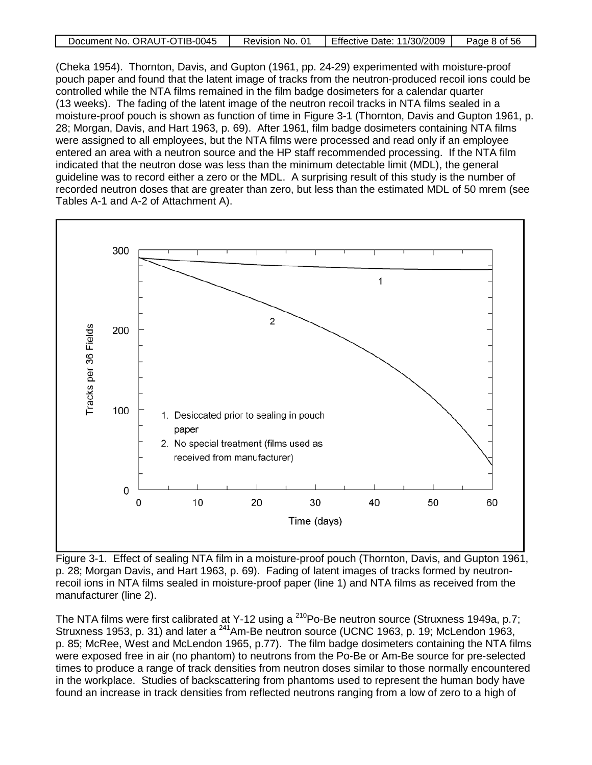| Document No. ORAUT-OTIB-0045 | Revision No. 01 | <b>Effective Date: 11/30/2009</b> | Page 8 of 56 |
|------------------------------|-----------------|-----------------------------------|--------------|

(Cheka 1954). Thornton, Davis, and Gupton (1961, pp. 24-29) experimented with moisture-proof pouch paper and found that the latent image of tracks from the neutron-produced recoil ions could be controlled while the NTA films remained in the film badge dosimeters for a calendar quarter (13 weeks). The fading of the latent image of the neutron recoil tracks in NTA films sealed in a moisture-proof pouch is shown as function of time in Figure 3-1 (Thornton, Davis and Gupton 1961, p. 28; Morgan, Davis, and Hart 1963, p. 69). After 1961, film badge dosimeters containing NTA films were assigned to all employees, but the NTA films were processed and read only if an employee entered an area with a neutron source and the HP staff recommended processing. If the NTA film indicated that the neutron dose was less than the minimum detectable limit (MDL), the general guideline was to record either a zero or the MDL. A surprising result of this study is the number of recorded neutron doses that are greater than zero, but less than the estimated MDL of 50 mrem (see Tables A-1 and A-2 of Attachment A).



Figure 3-1. Effect of sealing NTA film in a moisture-proof pouch (Thornton, Davis, and Gupton 1961, p. 28; Morgan Davis, and Hart 1963, p. 69). Fading of latent images of tracks formed by neutronrecoil ions in NTA films sealed in moisture-proof paper (line 1) and NTA films as received from the manufacturer (line 2).

The NTA films were first calibrated at Y-12 using a <sup>210</sup>Po-Be neutron source (Struxness 1949a, p.7; Struxness 1953, p. 31) and later a <sup>241</sup>Am-Be neutron source (UCNC 1963, p. 19; McLendon 1963, p. 85; McRee, West and McLendon 1965, p.77). The film badge dosimeters containing the NTA films were exposed free in air (no phantom) to neutrons from the Po-Be or Am-Be source for pre-selected times to produce a range of track densities from neutron doses similar to those normally encountered in the workplace. Studies of backscattering from phantoms used to represent the human body have found an increase in track densities from reflected neutrons ranging from a low of zero to a high of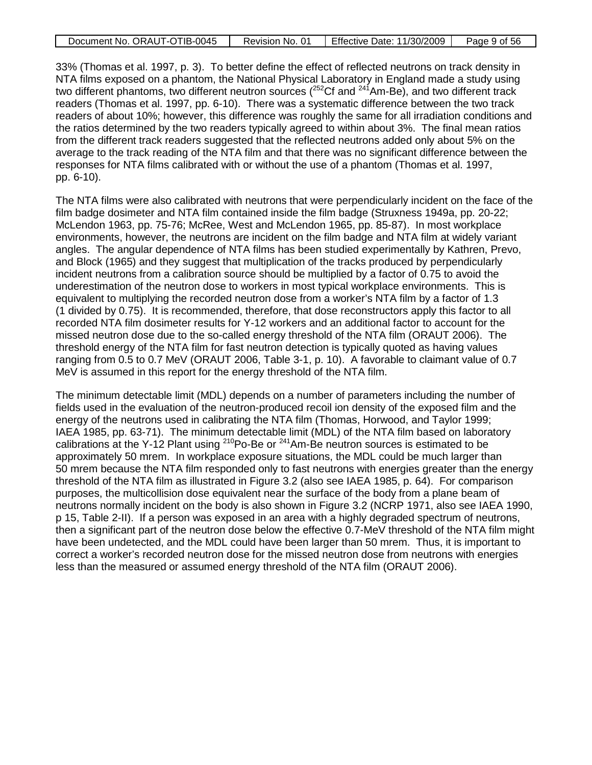| Document No. ORAUT-OTIB-0045 | Revision No. 01 | Effective Date: 11/30/2009 | Page 9 of 56 |
|------------------------------|-----------------|----------------------------|--------------|
|------------------------------|-----------------|----------------------------|--------------|

33% (Thomas et al. 1997, p. 3). To better define the effect of reflected neutrons on track density in NTA films exposed on a phantom, the National Physical Laboratory in England made a study using two different phantoms, two different neutron sources ( $^{252}$ Cf and  $^{241}$ Am-Be), and two different track readers (Thomas et al. 1997, pp. 6-10). There was a systematic difference between the two track readers of about 10%; however, this difference was roughly the same for all irradiation conditions and the ratios determined by the two readers typically agreed to within about 3%. The final mean ratios from the different track readers suggested that the reflected neutrons added only about 5% on the average to the track reading of the NTA film and that there was no significant difference between the responses for NTA films calibrated with or without the use of a phantom (Thomas et al. 1997, pp. 6-10).

The NTA films were also calibrated with neutrons that were perpendicularly incident on the face of the film badge dosimeter and NTA film contained inside the film badge (Struxness 1949a, pp. 20-22; McLendon 1963, pp. 75-76; McRee, West and McLendon 1965, pp. 85-87). In most workplace environments, however, the neutrons are incident on the film badge and NTA film at widely variant angles. The angular dependence of NTA films has been studied experimentally by Kathren, Prevo, and Block (1965) and they suggest that multiplication of the tracks produced by perpendicularly incident neutrons from a calibration source should be multiplied by a factor of 0.75 to avoid the underestimation of the neutron dose to workers in most typical workplace environments. This is equivalent to multiplying the recorded neutron dose from a worker's NTA film by a factor of 1.3 (1 divided by 0.75). It is recommended, therefore, that dose reconstructors apply this factor to all recorded NTA film dosimeter results for Y-12 workers and an additional factor to account for the missed neutron dose due to the so-called energy threshold of the NTA film (ORAUT 2006). The threshold energy of the NTA film for fast neutron detection is typically quoted as having values ranging from 0.5 to 0.7 MeV (ORAUT 2006, Table 3-1, p. 10). A favorable to claimant value of 0.7 MeV is assumed in this report for the energy threshold of the NTA film.

The minimum detectable limit (MDL) depends on a number of parameters including the number of fields used in the evaluation of the neutron-produced recoil ion density of the exposed film and the energy of the neutrons used in calibrating the NTA film (Thomas, Horwood, and Taylor 1999; IAEA 1985, pp. 63-71). The minimum detectable limit (MDL) of the NTA film based on laboratory calibrations at the Y-12 Plant using <sup>210</sup>Po-Be or <sup>241</sup>Am-Be neutron sources is estimated to be approximately 50 mrem. In workplace exposure situations, the MDL could be much larger than 50 mrem because the NTA film responded only to fast neutrons with energies greater than the energy threshold of the NTA film as illustrated in Figure 3.2 (also see IAEA 1985, p. 64). For comparison purposes, the multicollision dose equivalent near the surface of the body from a plane beam of neutrons normally incident on the body is also shown in Figure 3.2 (NCRP 1971, also see IAEA 1990, p 15, Table 2-II). If a person was exposed in an area with a highly degraded spectrum of neutrons, then a significant part of the neutron dose below the effective 0.7-MeV threshold of the NTA film might have been undetected, and the MDL could have been larger than 50 mrem. Thus, it is important to correct a worker's recorded neutron dose for the missed neutron dose from neutrons with energies less than the measured or assumed energy threshold of the NTA film (ORAUT 2006).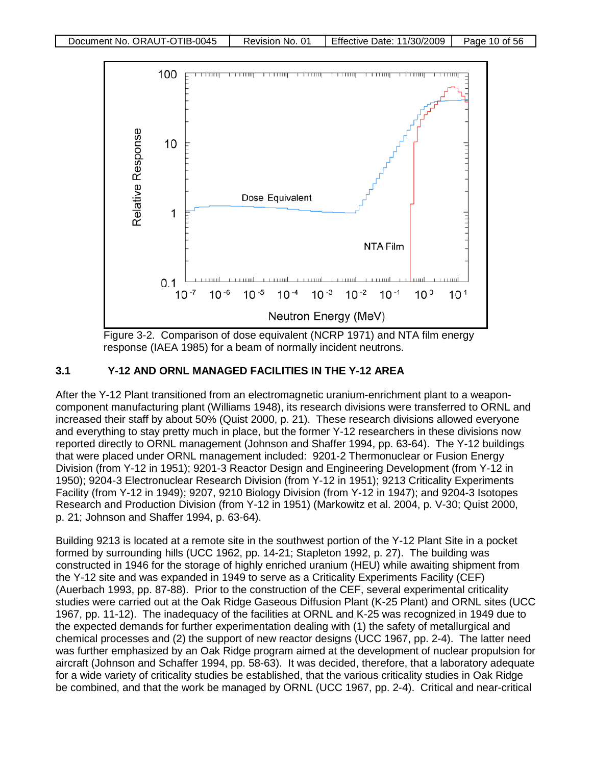

Figure 3-2. Comparison of dose equivalent (NCRP 1971) and NTA film energy response (IAEA 1985) for a beam of normally incident neutrons.

## **3.1 Y-12 AND ORNL MANAGED FACILITIES IN THE Y-12 AREA**

After the Y-12 Plant transitioned from an electromagnetic uranium-enrichment plant to a weaponcomponent manufacturing plant (Williams 1948), its research divisions were transferred to ORNL and increased their staff by about 50% (Quist 2000, p. 21). These research divisions allowed everyone and everything to stay pretty much in place, but the former Y-12 researchers in these divisions now reported directly to ORNL management (Johnson and Shaffer 1994, pp. 63-64). The Y-12 buildings that were placed under ORNL management included: 9201-2 Thermonuclear or Fusion Energy Division (from Y-12 in 1951); 9201-3 Reactor Design and Engineering Development (from Y-12 in 1950); 9204-3 Electronuclear Research Division (from Y-12 in 1951); 9213 Criticality Experiments Facility (from Y-12 in 1949); 9207, 9210 Biology Division (from Y-12 in 1947); and 9204-3 Isotopes Research and Production Division (from Y-12 in 1951) (Markowitz et al. 2004, p. V-30; Quist 2000, p. 21; Johnson and Shaffer 1994, p. 63-64).

Building 9213 is located at a remote site in the southwest portion of the Y-12 Plant Site in a pocket formed by surrounding hills (UCC 1962, pp. 14-21; Stapleton 1992, p. 27). The building was constructed in 1946 for the storage of highly enriched uranium (HEU) while awaiting shipment from the Y-12 site and was expanded in 1949 to serve as a Criticality Experiments Facility (CEF) (Auerbach 1993, pp. 87-88). Prior to the construction of the CEF, several experimental criticality studies were carried out at the Oak Ridge Gaseous Diffusion Plant (K-25 Plant) and ORNL sites (UCC 1967, pp. 11-12). The inadequacy of the facilities at ORNL and K-25 was recognized in 1949 due to the expected demands for further experimentation dealing with (1) the safety of metallurgical and chemical processes and (2) the support of new reactor designs (UCC 1967, pp. 2-4). The latter need was further emphasized by an Oak Ridge program aimed at the development of nuclear propulsion for aircraft (Johnson and Schaffer 1994, pp. 58-63). It was decided, therefore, that a laboratory adequate for a wide variety of criticality studies be established, that the various criticality studies in Oak Ridge be combined, and that the work be managed by ORNL (UCC 1967, pp. 2-4). Critical and near-critical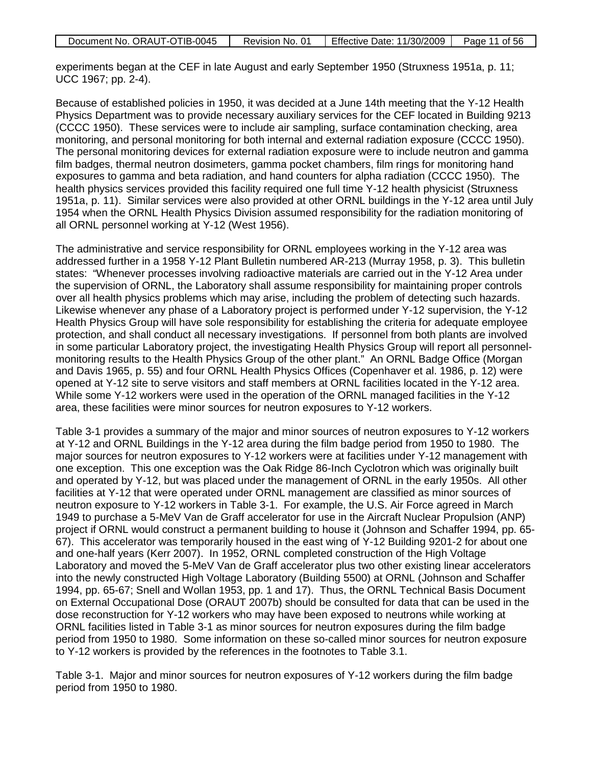| Document No. ORAUT-OTIB-0045 | Revision No. 01 | <b>Effective Date: 11/30/2009</b> | Page 11 of 56 |
|------------------------------|-----------------|-----------------------------------|---------------|
|                              |                 |                                   |               |

experiments began at the CEF in late August and early September 1950 (Struxness 1951a, p. 11; UCC 1967; pp. 2-4).

Because of established policies in 1950, it was decided at a June 14th meeting that the Y-12 Health Physics Department was to provide necessary auxiliary services for the CEF located in Building 9213 (CCCC 1950). These services were to include air sampling, surface contamination checking, area monitoring, and personal monitoring for both internal and external radiation exposure (CCCC 1950). The personal monitoring devices for external radiation exposure were to include neutron and gamma film badges, thermal neutron dosimeters, gamma pocket chambers, film rings for monitoring hand exposures to gamma and beta radiation, and hand counters for alpha radiation (CCCC 1950). The health physics services provided this facility required one full time Y-12 health physicist (Struxness 1951a, p. 11). Similar services were also provided at other ORNL buildings in the Y-12 area until July 1954 when the ORNL Health Physics Division assumed responsibility for the radiation monitoring of all ORNL personnel working at Y-12 (West 1956).

The administrative and service responsibility for ORNL employees working in the Y-12 area was addressed further in a 1958 Y-12 Plant Bulletin numbered AR-213 (Murray 1958, p. 3). This bulletin states: "Whenever processes involving radioactive materials are carried out in the Y-12 Area under the supervision of ORNL, the Laboratory shall assume responsibility for maintaining proper controls over all health physics problems which may arise, including the problem of detecting such hazards. Likewise whenever any phase of a Laboratory project is performed under Y-12 supervision, the Y-12 Health Physics Group will have sole responsibility for establishing the criteria for adequate employee protection, and shall conduct all necessary investigations. If personnel from both plants are involved in some particular Laboratory project, the investigating Health Physics Group will report all personnelmonitoring results to the Health Physics Group of the other plant." An ORNL Badge Office (Morgan and Davis 1965, p. 55) and four ORNL Health Physics Offices (Copenhaver et al. 1986, p. 12) were opened at Y-12 site to serve visitors and staff members at ORNL facilities located in the Y-12 area. While some Y-12 workers were used in the operation of the ORNL managed facilities in the Y-12 area, these facilities were minor sources for neutron exposures to Y-12 workers.

Table 3-1 provides a summary of the major and minor sources of neutron exposures to Y-12 workers at Y-12 and ORNL Buildings in the Y-12 area during the film badge period from 1950 to 1980. The major sources for neutron exposures to Y-12 workers were at facilities under Y-12 management with one exception. This one exception was the Oak Ridge 86-Inch Cyclotron which was originally built and operated by Y-12, but was placed under the management of ORNL in the early 1950s. All other facilities at Y-12 that were operated under ORNL management are classified as minor sources of neutron exposure to Y-12 workers in Table 3-1. For example, the U.S. Air Force agreed in March 1949 to purchase a 5-MeV Van de Graff accelerator for use in the Aircraft Nuclear Propulsion (ANP) project if ORNL would construct a permanent building to house it (Johnson and Schaffer 1994, pp. 65- 67). This accelerator was temporarily housed in the east wing of Y-12 Building 9201-2 for about one and one-half years (Kerr 2007). In 1952, ORNL completed construction of the High Voltage Laboratory and moved the 5-MeV Van de Graff accelerator plus two other existing linear accelerators into the newly constructed High Voltage Laboratory (Building 5500) at ORNL (Johnson and Schaffer 1994, pp. 65-67; Snell and Wollan 1953, pp. 1 and 17). Thus, the ORNL Technical Basis Document on External Occupational Dose (ORAUT 2007b) should be consulted for data that can be used in the dose reconstruction for Y-12 workers who may have been exposed to neutrons while working at ORNL facilities listed in Table 3-1 as minor sources for neutron exposures during the film badge period from 1950 to 1980. Some information on these so-called minor sources for neutron exposure to Y-12 workers is provided by the references in the footnotes to Table 3.1.

Table 3-1. Major and minor sources for neutron exposures of Y-12 workers during the film badge period from 1950 to 1980.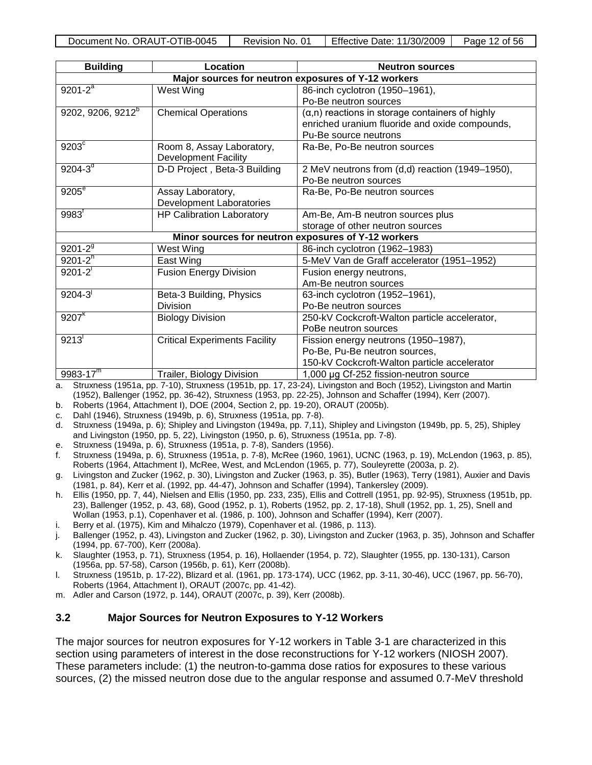| Document No. ORAUT-OTIB-0045 | Revision No. 01 | Effective Date: 11/30/2009 | Page 12 of 56 |
|------------------------------|-----------------|----------------------------|---------------|
|                              |                 |                            |               |

| <b>Building</b>               | Location                                            | <b>Neutron sources</b>                                  |  |  |  |
|-------------------------------|-----------------------------------------------------|---------------------------------------------------------|--|--|--|
|                               | Major sources for neutron exposures of Y-12 workers |                                                         |  |  |  |
| $9201 - 2^a$                  | West Wing                                           | 86-inch cyclotron (1950-1961),                          |  |  |  |
|                               |                                                     | Po-Be neutron sources                                   |  |  |  |
| 9202, 9206, 9212 <sup>b</sup> | <b>Chemical Operations</b>                          | $(\alpha, n)$ reactions in storage containers of highly |  |  |  |
|                               |                                                     | enriched uranium fluoride and oxide compounds,          |  |  |  |
|                               |                                                     | Pu-Be source neutrons                                   |  |  |  |
| $9203^{\circ}$                | Room 8, Assay Laboratory,                           | Ra-Be, Po-Be neutron sources                            |  |  |  |
|                               | <b>Development Facility</b>                         |                                                         |  |  |  |
| $9204 - 3^{d}$                | D-D Project, Beta-3 Building                        | 2 MeV neutrons from (d,d) reaction (1949–1950),         |  |  |  |
|                               |                                                     | Po-Be neutron sources                                   |  |  |  |
| 9205 <sup>e</sup>             | Assay Laboratory,                                   | Ra-Be, Po-Be neutron sources                            |  |  |  |
|                               | <b>Development Laboratories</b>                     |                                                         |  |  |  |
| $9983$ <sup>r</sup>           | <b>HP Calibration Laboratory</b>                    | Am-Be, Am-B neutron sources plus                        |  |  |  |
|                               |                                                     | storage of other neutron sources                        |  |  |  |
|                               |                                                     | Minor sources for neutron exposures of Y-12 workers     |  |  |  |
| $9201 - 2^{9}$                | West Wing                                           | 86-inch cyclotron (1962-1983)                           |  |  |  |
| $9201 - 2^{h}$                | East Wing                                           | 5-MeV Van de Graff accelerator (1951-1952)              |  |  |  |
| $9201 - 2$                    | <b>Fusion Energy Division</b>                       | Fusion energy neutrons,                                 |  |  |  |
|                               |                                                     | Am-Be neutron sources                                   |  |  |  |
| $9204 - 3$                    | Beta-3 Building, Physics                            | 63-inch cyclotron (1952-1961),                          |  |  |  |
|                               | <b>Division</b>                                     | Po-Be neutron sources                                   |  |  |  |
| $9207^{k}$                    | <b>Biology Division</b>                             | 250-kV Cockcroft-Walton particle accelerator,           |  |  |  |
|                               |                                                     | PoBe neutron sources                                    |  |  |  |
| 9213'                         | <b>Critical Experiments Facility</b>                | Fission energy neutrons (1950-1987),                    |  |  |  |
|                               |                                                     | Po-Be, Pu-Be neutron sources,                           |  |  |  |
|                               |                                                     | 150-kV Cockcroft-Walton particle accelerator            |  |  |  |
| $9983 - 17^{m}$               | Trailer, Biology Division                           | 1,000 µg Cf-252 fission-neutron source                  |  |  |  |

a. Struxness (1951a, pp. 7-10), Struxness (1951b, pp. 17, 23-24), Livingston and Boch (1952), Livingston and Martin (1952), Ballenger (1952, pp. 36-42), Struxness (1953, pp. 22-25), Johnson and Schaffer (1994), Kerr (2007).

- b. Roberts (1964, Attachment I), DOE (2004, Section 2, pp. 19-20), ORAUT (2005b).
- c. Dahl (1946), Struxness (1949b, p. 6), Struxness (1951a, pp. 7-8).
- d. Struxness (1949a, p. 6); Shipley and Livingston (1949a, pp. 7,11), Shipley and Livingston (1949b, pp. 5, 25), Shipley and Livingston (1950, pp. 5, 22), Livingston (1950, p. 6), Struxness (1951a, pp. 7-8).
- e. Struxness (1949a, p. 6), Struxness (1951a, p. 7-8), Sanders (1956).
- f. Struxness (1949a, p. 6), Struxness (1951a, p. 7-8), McRee (1960, 1961), UCNC (1963, p. 19), McLendon (1963, p. 85), Roberts (1964, Attachment I), McRee, West, and McLendon (1965, p. 77), Souleyrette (2003a, p. 2).
- g. Livingston and Zucker (1962, p. 30), Livingston and Zucker (1963, p. 35), Butler (1963), Terry (1981), Auxier and Davis (1981, p. 84), Kerr et al. (1992, pp. 44-47), Johnson and Schaffer (1994), Tankersley (2009).
- h. Ellis (1950, pp. 7, 44), Nielsen and Ellis (1950, pp. 233, 235), Ellis and Cottrell (1951, pp. 92-95), Struxness (1951b, pp. 23), Ballenger (1952, p. 43, 68), Good (1952, p. 1), Roberts (1952, pp. 2, 17-18), Shull (1952, pp. 1, 25), Snell and Wollan (1953, p.1), Copenhaver et al. (1986, p. 100), Johnson and Schaffer (1994), Kerr (2007).
- i. Berry et al. (1975), Kim and Mihalczo (1979), Copenhaver et al. (1986, p. 113).
- j. Ballenger (1952, p. 43), Livingston and Zucker (1962, p. 30), Livingston and Zucker (1963, p. 35), Johnson and Schaffer (1994, pp. 67-700), Kerr (2008a).
- k. Slaughter (1953, p. 71), Struxness (1954, p. 16), Hollaender (1954, p. 72), Slaughter (1955, pp. 130-131), Carson (1956a, pp. 57-58), Carson (1956b, p. 61), Kerr (2008b).
- l. Struxness (1951b, p. 17-22), Blizard et al. (1961, pp. 173-174), UCC (1962, pp. 3-11, 30-46), UCC (1967, pp. 56-70), Roberts (1964, Attachment I), ORAUT (2007c, pp. 41-42).
- m. Adler and Carson (1972, p. 144), ORAUT (2007c, p. 39), Kerr (2008b).

### **3.2 Major Sources for Neutron Exposures to Y-12 Workers**

The major sources for neutron exposures for Y-12 workers in Table 3-1 are characterized in this section using parameters of interest in the dose reconstructions for Y-12 workers (NIOSH 2007). These parameters include: (1) the neutron-to-gamma dose ratios for exposures to these various sources, (2) the missed neutron dose due to the angular response and assumed 0.7-MeV threshold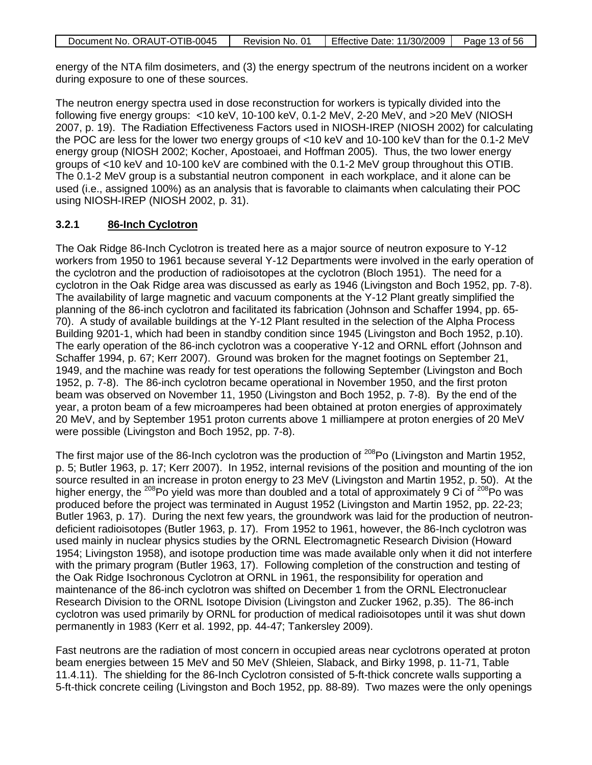| Document No. ORAUT-OTIB-0045 | Revision No. 01 | Effective Date: 11/30/2009 | Page 13 of 56 |
|------------------------------|-----------------|----------------------------|---------------|

energy of the NTA film dosimeters, and (3) the energy spectrum of the neutrons incident on a worker during exposure to one of these sources.

The neutron energy spectra used in dose reconstruction for workers is typically divided into the following five energy groups: <10 keV, 10-100 keV, 0.1-2 MeV, 2-20 MeV, and >20 MeV (NIOSH 2007, p. 19). The Radiation Effectiveness Factors used in NIOSH-IREP (NIOSH 2002) for calculating the POC are less for the lower two energy groups of <10 keV and 10-100 keV than for the 0.1-2 MeV energy group (NIOSH 2002; Kocher, Apostoaei, and Hoffman 2005). Thus, the two lower energy groups of <10 keV and 10-100 keV are combined with the 0.1-2 MeV group throughout this OTIB. The 0.1-2 MeV group is a substantial neutron component in each workplace, and it alone can be used (i.e., assigned 100%) as an analysis that is favorable to claimants when calculating their POC using NIOSH-IREP (NIOSH 2002, p. 31).

#### **3.2.1 86-Inch Cyclotron**

The Oak Ridge 86-Inch Cyclotron is treated here as a major source of neutron exposure to Y-12 workers from 1950 to 1961 because several Y-12 Departments were involved in the early operation of the cyclotron and the production of radioisotopes at the cyclotron (Bloch 1951). The need for a cyclotron in the Oak Ridge area was discussed as early as 1946 (Livingston and Boch 1952, pp. 7-8). The availability of large magnetic and vacuum components at the Y-12 Plant greatly simplified the planning of the 86-inch cyclotron and facilitated its fabrication (Johnson and Schaffer 1994, pp. 65- 70). A study of available buildings at the Y-12 Plant resulted in the selection of the Alpha Process Building 9201-1, which had been in standby condition since 1945 (Livingston and Boch 1952, p.10). The early operation of the 86-inch cyclotron was a cooperative Y-12 and ORNL effort (Johnson and Schaffer 1994, p. 67; Kerr 2007). Ground was broken for the magnet footings on September 21, 1949, and the machine was ready for test operations the following September (Livingston and Boch 1952, p. 7-8). The 86-inch cyclotron became operational in November 1950, and the first proton beam was observed on November 11, 1950 (Livingston and Boch 1952, p. 7-8). By the end of the year, a proton beam of a few microamperes had been obtained at proton energies of approximately 20 MeV, and by September 1951 proton currents above 1 milliampere at proton energies of 20 MeV were possible (Livingston and Boch 1952, pp. 7-8).

The first major use of the 86-Inch cyclotron was the production of  $^{208}$ Po (Livingston and Martin 1952, p. 5; Butler 1963, p. 17; Kerr 2007). In 1952, internal revisions of the position and mounting of the ion source resulted in an increase in proton energy to 23 MeV (Livingston and Martin 1952, p. 50). At the higher energy, the <sup>208</sup>Po yield was more than doubled and a total of approximately 9 Ci of <sup>208</sup>Po was produced before the project was terminated in August 1952 (Livingston and Martin 1952, pp. 22-23; Butler 1963, p. 17). During the next few years, the groundwork was laid for the production of neutrondeficient radioisotopes (Butler 1963, p. 17). From 1952 to 1961, however, the 86-Inch cyclotron was used mainly in nuclear physics studies by the ORNL Electromagnetic Research Division (Howard 1954; Livingston 1958), and isotope production time was made available only when it did not interfere with the primary program (Butler 1963, 17). Following completion of the construction and testing of the Oak Ridge Isochronous Cyclotron at ORNL in 1961, the responsibility for operation and maintenance of the 86-inch cyclotron was shifted on December 1 from the ORNL Electronuclear Research Division to the ORNL Isotope Division (Livingston and Zucker 1962, p.35). The 86-inch cyclotron was used primarily by ORNL for production of medical radioisotopes until it was shut down permanently in 1983 (Kerr et al. 1992, pp. 44-47; Tankersley 2009).

Fast neutrons are the radiation of most concern in occupied areas near cyclotrons operated at proton beam energies between 15 MeV and 50 MeV (Shleien, Slaback, and Birky 1998, p. 11-71, Table 11.4.11). The shielding for the 86-Inch Cyclotron consisted of 5-ft-thick concrete walls supporting a 5-ft-thick concrete ceiling (Livingston and Boch 1952, pp. 88-89). Two mazes were the only openings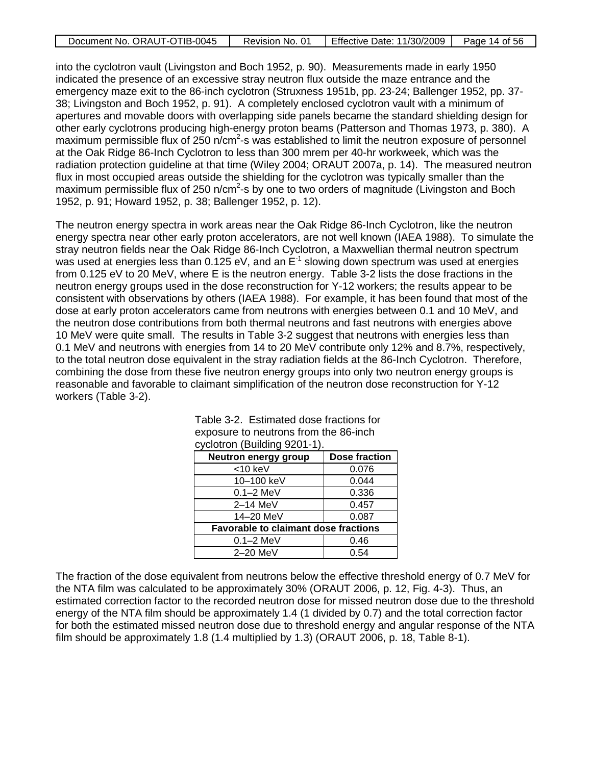| Document No. ORAUT-OTIB-0045 | Revision No. 01 | Effective Date: 11/30/2009 | Page 14 of 56 |
|------------------------------|-----------------|----------------------------|---------------|

into the cyclotron vault (Livingston and Boch 1952, p. 90). Measurements made in early 1950 indicated the presence of an excessive stray neutron flux outside the maze entrance and the emergency maze exit to the 86-inch cyclotron (Struxness 1951b, pp. 23-24; Ballenger 1952, pp. 37- 38; Livingston and Boch 1952, p. 91). A completely enclosed cyclotron vault with a minimum of apertures and movable doors with overlapping side panels became the standard shielding design for other early cyclotrons producing high-energy proton beams (Patterson and Thomas 1973, p. 380). A maximum permissible flux of 250 n/cm<sup>2</sup>-s was established to limit the neutron exposure of personnel at the Oak Ridge 86-Inch Cyclotron to less than 300 mrem per 40-hr workweek, which was the radiation protection guideline at that time (Wiley 2004; ORAUT 2007a, p. 14). The measured neutron flux in most occupied areas outside the shielding for the cyclotron was typically smaller than the maximum permissible flux of 250 n/cm<sup>2</sup>-s by one to two orders of magnitude (Livingston and Boch 1952, p. 91; Howard 1952, p. 38; Ballenger 1952, p. 12).

The neutron energy spectra in work areas near the Oak Ridge 86-Inch Cyclotron, like the neutron energy spectra near other early proton accelerators, are not well known (IAEA 1988). To simulate the stray neutron fields near the Oak Ridge 86-Inch Cyclotron, a Maxwellian thermal neutron spectrum was used at energies less than  $0.125$  eV, and an  $E^{-1}$  slowing down spectrum was used at energies from 0.125 eV to 20 MeV, where E is the neutron energy. Table 3-2 lists the dose fractions in the neutron energy groups used in the dose reconstruction for Y-12 workers; the results appear to be consistent with observations by others (IAEA 1988). For example, it has been found that most of the dose at early proton accelerators came from neutrons with energies between 0.1 and 10 MeV, and the neutron dose contributions from both thermal neutrons and fast neutrons with energies above 10 MeV were quite small. The results in Table 3-2 suggest that neutrons with energies less than 0.1 MeV and neutrons with energies from 14 to 20 MeV contribute only 12% and 8.7%, respectively, to the total neutron dose equivalent in the stray radiation fields at the 86-Inch Cyclotron. Therefore, combining the dose from these five neutron energy groups into only two neutron energy groups is reasonable and favorable to claimant simplification of the neutron dose reconstruction for Y-12 workers (Table 3-2).

| <b>Neutron energy group</b>                 | Dose fraction |
|---------------------------------------------|---------------|
| $<$ 10 keV                                  | 0.076         |
| 10-100 keV                                  | 0.044         |
| $0.1 - 2$ MeV                               | 0.336         |
| $2-14$ MeV                                  | 0.457         |
| 14-20 MeV                                   | 0.087         |
| <b>Favorable to claimant dose fractions</b> |               |
| $0.1 - 2$ MeV                               | 0.46          |
| 2–20 MeV                                    | 0.54          |

| Table 3-2. Estimated dose fractions for |
|-----------------------------------------|
| exposure to neutrons from the 86-inch   |
| cyclotron (Building 9201-1).            |

The fraction of the dose equivalent from neutrons below the effective threshold energy of 0.7 MeV for the NTA film was calculated to be approximately 30% (ORAUT 2006, p. 12, Fig. 4-3). Thus, an estimated correction factor to the recorded neutron dose for missed neutron dose due to the threshold energy of the NTA film should be approximately 1.4 (1 divided by 0.7) and the total correction factor for both the estimated missed neutron dose due to threshold energy and angular response of the NTA film should be approximately 1.8 (1.4 multiplied by 1.3) (ORAUT 2006, p. 18, Table 8-1).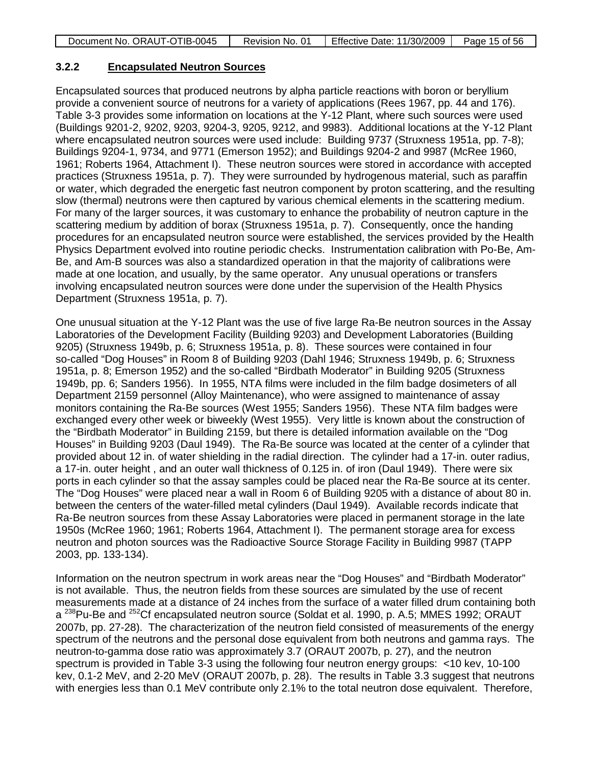|  | Document No. ORAUT-OTIB-0045 | Revision No. 01 | <b>Effective Date: 11/30/2009</b> | Page 15 of 56 |
|--|------------------------------|-----------------|-----------------------------------|---------------|
|--|------------------------------|-----------------|-----------------------------------|---------------|

#### **3.2.2 Encapsulated Neutron Sources**

Encapsulated sources that produced neutrons by alpha particle reactions with boron or beryllium provide a convenient source of neutrons for a variety of applications (Rees 1967, pp. 44 and 176). Table 3-3 provides some information on locations at the Y-12 Plant, where such sources were used (Buildings 9201-2, 9202, 9203, 9204-3, 9205, 9212, and 9983). Additional locations at the Y-12 Plant where encapsulated neutron sources were used include: Building 9737 (Struxness 1951a, pp. 7-8); Buildings 9204-1, 9734, and 9771 (Emerson 1952); and Buildings 9204-2 and 9987 (McRee 1960, 1961; Roberts 1964, Attachment I). These neutron sources were stored in accordance with accepted practices (Struxness 1951a, p. 7). They were surrounded by hydrogenous material, such as paraffin or water, which degraded the energetic fast neutron component by proton scattering, and the resulting slow (thermal) neutrons were then captured by various chemical elements in the scattering medium. For many of the larger sources, it was customary to enhance the probability of neutron capture in the scattering medium by addition of borax (Struxness 1951a, p. 7). Consequently, once the handing procedures for an encapsulated neutron source were established, the services provided by the Health Physics Department evolved into routine periodic checks. Instrumentation calibration with Po-Be, Am-Be, and Am-B sources was also a standardized operation in that the majority of calibrations were made at one location, and usually, by the same operator. Any unusual operations or transfers involving encapsulated neutron sources were done under the supervision of the Health Physics Department (Struxness 1951a, p. 7).

One unusual situation at the Y-12 Plant was the use of five large Ra-Be neutron sources in the Assay Laboratories of the Development Facility (Building 9203) and Development Laboratories (Building 9205) (Struxness 1949b, p. 6; Struxness 1951a, p. 8). These sources were contained in four so-called "Dog Houses" in Room 8 of Building 9203 (Dahl 1946; Struxness 1949b, p. 6; Struxness 1951a, p. 8; Emerson 1952) and the so-called "Birdbath Moderator" in Building 9205 (Struxness 1949b, pp. 6; Sanders 1956). In 1955, NTA films were included in the film badge dosimeters of all Department 2159 personnel (Alloy Maintenance), who were assigned to maintenance of assay monitors containing the Ra-Be sources (West 1955; Sanders 1956). These NTA film badges were exchanged every other week or biweekly (West 1955). Very little is known about the construction of the "Birdbath Moderator" in Building 2159, but there is detailed information available on the "Dog Houses" in Building 9203 (Daul 1949). The Ra-Be source was located at the center of a cylinder that provided about 12 in. of water shielding in the radial direction. The cylinder had a 17-in. outer radius, a 17-in. outer height , and an outer wall thickness of 0.125 in. of iron (Daul 1949). There were six ports in each cylinder so that the assay samples could be placed near the Ra-Be source at its center. The "Dog Houses" were placed near a wall in Room 6 of Building 9205 with a distance of about 80 in. between the centers of the water-filled metal cylinders (Daul 1949). Available records indicate that Ra-Be neutron sources from these Assay Laboratories were placed in permanent storage in the late 1950s (McRee 1960; 1961; Roberts 1964, Attachment I). The permanent storage area for excess neutron and photon sources was the Radioactive Source Storage Facility in Building 9987 (TAPP 2003, pp. 133-134).

Information on the neutron spectrum in work areas near the "Dog Houses" and "Birdbath Moderator" is not available. Thus, the neutron fields from these sources are simulated by the use of recent measurements made at a distance of 24 inches from the surface of a water filled drum containing both a<sup>238</sup>Pu-Be and <sup>252</sup>Cf encapsulated neutron source (Soldat et al. 1990, p. A.5; MMES 1992; ORAUT 2007b, pp. 27-28). The characterization of the neutron field consisted of measurements of the energy spectrum of the neutrons and the personal dose equivalent from both neutrons and gamma rays. The neutron-to-gamma dose ratio was approximately 3.7 (ORAUT 2007b, p. 27), and the neutron spectrum is provided in Table 3-3 using the following four neutron energy groups: <10 kev, 10-100 kev, 0.1-2 MeV, and 2-20 MeV (ORAUT 2007b, p. 28). The results in Table 3.3 suggest that neutrons with energies less than 0.1 MeV contribute only 2.1% to the total neutron dose equivalent. Therefore,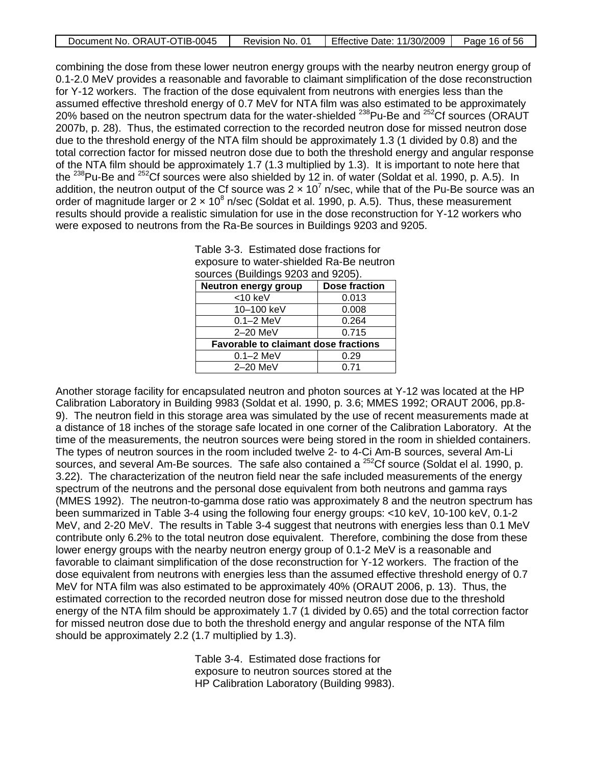| Document No. ORAUT-OTIB-0045 | Revision No. 01 | Effective Date: 11/30/2009 | Page 16 of 56 |
|------------------------------|-----------------|----------------------------|---------------|
|------------------------------|-----------------|----------------------------|---------------|

combining the dose from these lower neutron energy groups with the nearby neutron energy group of 0.1-2.0 MeV provides a reasonable and favorable to claimant simplification of the dose reconstruction for Y-12 workers. The fraction of the dose equivalent from neutrons with energies less than the assumed effective threshold energy of 0.7 MeV for NTA film was also estimated to be approximately 20% based on the neutron spectrum data for the water-shielded <sup>238</sup>Pu-Be and <sup>252</sup>Cf sources (ORAUT 2007b, p. 28). Thus, the estimated correction to the recorded neutron dose for missed neutron dose due to the threshold energy of the NTA film should be approximately 1.3 (1 divided by 0.8) and the total correction factor for missed neutron dose due to both the threshold energy and angular response of the NTA film should be approximately 1.7 (1.3 multiplied by 1.3). It is important to note here that the <sup>238</sup>Pu-Be and <sup>252</sup>Cf sources were also shielded by 12 in. of water (Soldat et al. 1990, p. A.5). In addition, the neutron output of the Cf source was  $2 \times 10^7$  n/sec, while that of the Pu-Be source was an order of magnitude larger or  $2 \times 10^8$  n/sec (Soldat et al. 1990, p. A.5). Thus, these measurement results should provide a realistic simulation for use in the dose reconstruction for Y-12 workers who were exposed to neutrons from the Ra-Be sources in Buildings 9203 and 9205.

| exposure to water-shielded Ra-Be neutron    |                      |  |
|---------------------------------------------|----------------------|--|
| sources (Buildings 9203 and 9205).          |                      |  |
| <b>Neutron energy group</b>                 | <b>Dose fraction</b> |  |
| $<$ 10 keV                                  | 0.013                |  |
| 10-100 keV                                  | 0.008                |  |
| $0.1 - 2$ MeV                               | 0.264                |  |
| 2-20 MeV                                    | 0.715                |  |
| <b>Favorable to claimant dose fractions</b> |                      |  |
| $0.1 - 2$ MeV                               | 0.29                 |  |
| 2-20 MeV                                    | 0.71                 |  |

| Table 3-3. Estimated dose fractions for  |
|------------------------------------------|
| exposure to water-shielded Ra-Be neutron |
| sources (Buildings 9203 and 9205).       |

Another storage facility for encapsulated neutron and photon sources at Y-12 was located at the HP Calibration Laboratory in Building 9983 (Soldat et al. 1990, p. 3.6; MMES 1992; ORAUT 2006, pp.8- 9). The neutron field in this storage area was simulated by the use of recent measurements made at a distance of 18 inches of the storage safe located in one corner of the Calibration Laboratory. At the time of the measurements, the neutron sources were being stored in the room in shielded containers. The types of neutron sources in the room included twelve 2- to 4-Ci Am-B sources, several Am-Li sources, and several Am-Be sources. The safe also contained a <sup>252</sup>Cf source (Soldat el al. 1990, p. 3.22). The characterization of the neutron field near the safe included measurements of the energy spectrum of the neutrons and the personal dose equivalent from both neutrons and gamma rays (MMES 1992). The neutron-to-gamma dose ratio was approximately 8 and the neutron spectrum has been summarized in Table 3-4 using the following four energy groups: <10 keV, 10-100 keV, 0.1-2 MeV, and 2-20 MeV. The results in Table 3-4 suggest that neutrons with energies less than 0.1 MeV contribute only 6.2% to the total neutron dose equivalent. Therefore, combining the dose from these lower energy groups with the nearby neutron energy group of 0.1-2 MeV is a reasonable and favorable to claimant simplification of the dose reconstruction for Y-12 workers. The fraction of the dose equivalent from neutrons with energies less than the assumed effective threshold energy of 0.7 MeV for NTA film was also estimated to be approximately 40% (ORAUT 2006, p. 13). Thus, the estimated correction to the recorded neutron dose for missed neutron dose due to the threshold energy of the NTA film should be approximately 1.7 (1 divided by 0.65) and the total correction factor for missed neutron dose due to both the threshold energy and angular response of the NTA film should be approximately 2.2 (1.7 multiplied by 1.3).

> Table 3-4. Estimated dose fractions for exposure to neutron sources stored at the HP Calibration Laboratory (Building 9983).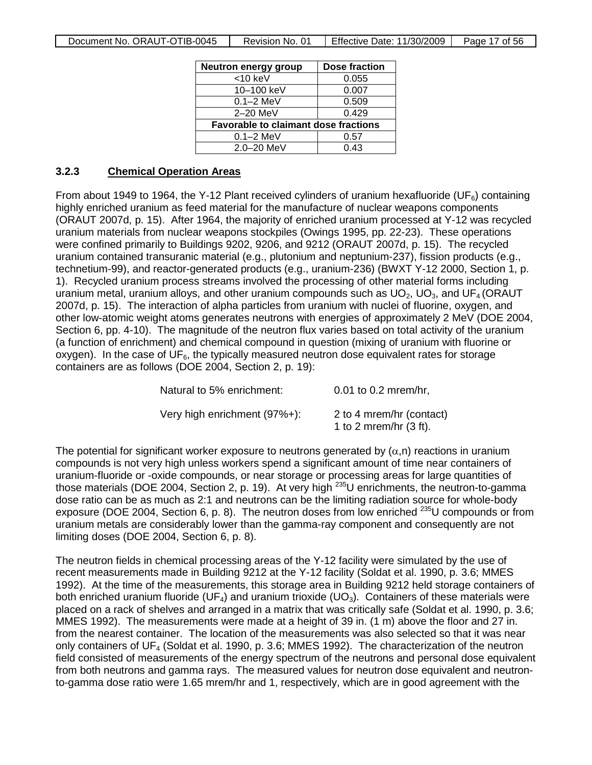| Neutron energy group                        | Dose fraction |
|---------------------------------------------|---------------|
| $<$ 10 keV                                  | 0.055         |
| 10-100 keV                                  | 0.007         |
| $0.1 - 2$ MeV                               | 0.509         |
| 2-20 MeV                                    | 0.429         |
| <b>Favorable to claimant dose fractions</b> |               |
| $0.1 - 2$ MeV                               | 0.57          |
| 2.0-20 MeV                                  | 0.43          |

#### **3.2.3 Chemical Operation Areas**

From about 1949 to 1964, the Y-12 Plant received cylinders of uranium hexafluoride (UF $_6$ ) containing highly enriched uranium as feed material for the manufacture of nuclear weapons components (ORAUT 2007d, p. 15). After 1964, the majority of enriched uranium processed at Y-12 was recycled uranium materials from nuclear weapons stockpiles (Owings 1995, pp. 22-23). These operations were confined primarily to Buildings 9202, 9206, and 9212 (ORAUT 2007d, p. 15). The recycled uranium contained transuranic material (e.g., plutonium and neptunium-237), fission products (e.g., technetium-99), and reactor-generated products (e.g., uranium-236) (BWXT Y-12 2000, Section 1, p. 1). Recycled uranium process streams involved the processing of other material forms including uranium metal, uranium alloys, and other uranium compounds such as  $UO<sub>2</sub>$ ,  $UO<sub>3</sub>$ , and  $UF<sub>4</sub>$  (ORAUT 2007d, p. 15). The interaction of alpha particles from uranium with nuclei of fluorine, oxygen, and other low-atomic weight atoms generates neutrons with energies of approximately 2 MeV (DOE 2004, Section 6, pp. 4-10). The magnitude of the neutron flux varies based on total activity of the uranium (a function of enrichment) and chemical compound in question (mixing of uranium with fluorine or oxygen). In the case of  $UF_6$ , the typically measured neutron dose equivalent rates for storage containers are as follows (DOE 2004, Section 2, p. 19):

| Natural to 5% enrichment:    | $0.01$ to 0.2 mrem/hr,                                |
|------------------------------|-------------------------------------------------------|
| Very high enrichment (97%+): | 2 to 4 mrem/hr (contact)<br>1 to 2 mrem/hr $(3 ft)$ . |

The potential for significant worker exposure to neutrons generated by  $(\alpha, n)$  reactions in uranium compounds is not very high unless workers spend a significant amount of time near containers of uranium-fluoride or -oxide compounds, or near storage or processing areas for large quantities of those materials (DOE 2004, Section 2, p. 19). At very high <sup>235</sup>U enrichments, the neutron-to-gamma dose ratio can be as much as 2:1 and neutrons can be the limiting radiation source for whole-body exposure (DOE 2004, Section 6, p. 8). The neutron doses from low enriched <sup>235</sup>U compounds or from uranium metals are considerably lower than the gamma-ray component and consequently are not limiting doses (DOE 2004, Section 6, p. 8).

The neutron fields in chemical processing areas of the Y-12 facility were simulated by the use of recent measurements made in Building 9212 at the Y-12 facility (Soldat et al. 1990, p. 3.6; MMES 1992). At the time of the measurements, this storage area in Building 9212 held storage containers of both enriched uranium fluoride (UF<sub>4</sub>) and uranium trioxide (UO<sub>3</sub>). Containers of these materials were placed on a rack of shelves and arranged in a matrix that was critically safe (Soldat et al. 1990, p. 3.6; MMES 1992). The measurements were made at a height of 39 in. (1 m) above the floor and 27 in. from the nearest container. The location of the measurements was also selected so that it was near only containers of  $UF_4$  (Soldat et al. 1990, p. 3.6; MMES 1992). The characterization of the neutron field consisted of measurements of the energy spectrum of the neutrons and personal dose equivalent from both neutrons and gamma rays. The measured values for neutron dose equivalent and neutronto-gamma dose ratio were 1.65 mrem/hr and 1, respectively, which are in good agreement with the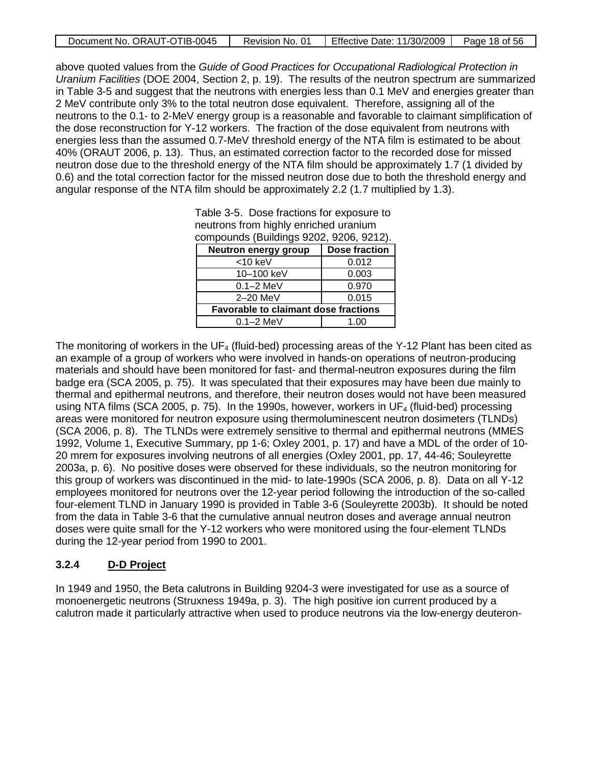| Document No. ORAUT-OTIB-0045 | Revision No. 01 | Effective Date: 11/30/2009 | Page 18 of 56 |
|------------------------------|-----------------|----------------------------|---------------|

above quoted values from the *Guide of Good Practices for Occupational Radiological Protection in Uranium Facilities* (DOE 2004, Section 2, p. 19). The results of the neutron spectrum are summarized in Table 3-5 and suggest that the neutrons with energies less than 0.1 MeV and energies greater than 2 MeV contribute only 3% to the total neutron dose equivalent. Therefore, assigning all of the neutrons to the 0.1- to 2-MeV energy group is a reasonable and favorable to claimant simplification of the dose reconstruction for Y-12 workers. The fraction of the dose equivalent from neutrons with energies less than the assumed 0.7-MeV threshold energy of the NTA film is estimated to be about 40% (ORAUT 2006, p. 13). Thus, an estimated correction factor to the recorded dose for missed neutron dose due to the threshold energy of the NTA film should be approximately 1.7 (1 divided by 0.6) and the total correction factor for the missed neutron dose due to both the threshold energy and angular response of the NTA film should be approximately 2.2 (1.7 multiplied by 1.3).

| compounds (Buildings 9202, 9206, 9212).     |                      |  |  |  |  |
|---------------------------------------------|----------------------|--|--|--|--|
| Neutron energy group                        | <b>Dose fraction</b> |  |  |  |  |
| $<$ 10 keV                                  | 0.012                |  |  |  |  |
| 10-100 keV                                  | 0.003                |  |  |  |  |
| $0.1 - 2$ MeV                               | 0.970                |  |  |  |  |
| 2-20 MeV                                    | 0.015                |  |  |  |  |
| <b>Favorable to claimant dose fractions</b> |                      |  |  |  |  |
| $0.1 - 2$ MeV<br>1.00                       |                      |  |  |  |  |

Table 3-5. Dose fractions for exposure to neutrons from highly enriched uranium

The monitoring of workers in the UF<sub>4</sub> (fluid-bed) processing areas of the Y-12 Plant has been cited as an example of a group of workers who were involved in hands-on operations of neutron-producing materials and should have been monitored for fast- and thermal-neutron exposures during the film badge era (SCA 2005, p. 75). It was speculated that their exposures may have been due mainly to thermal and epithermal neutrons, and therefore, their neutron doses would not have been measured using NTA films (SCA 2005, p. 75). In the 1990s, however, workers in  $UF_4$  (fluid-bed) processing areas were monitored for neutron exposure using thermoluminescent neutron dosimeters (TLNDs) (SCA 2006, p. 8). The TLNDs were extremely sensitive to thermal and epithermal neutrons (MMES 1992, Volume 1, Executive Summary, pp 1-6; Oxley 2001, p. 17) and have a MDL of the order of 10- 20 mrem for exposures involving neutrons of all energies (Oxley 2001, pp. 17, 44-46; Souleyrette 2003a, p. 6). No positive doses were observed for these individuals, so the neutron monitoring for this group of workers was discontinued in the mid- to late-1990s (SCA 2006, p. 8). Data on all Y-12 employees monitored for neutrons over the 12-year period following the introduction of the so-called four-element TLND in January 1990 is provided in Table 3-6 (Souleyrette 2003b). It should be noted from the data in Table 3-6 that the cumulative annual neutron doses and average annual neutron doses were quite small for the Y-12 workers who were monitored using the four-element TLNDs during the 12-year period from 1990 to 2001.

#### **3.2.4 D-D Project**

In 1949 and 1950, the Beta calutrons in Building 9204-3 were investigated for use as a source of monoenergetic neutrons (Struxness 1949a, p. 3). The high positive ion current produced by a calutron made it particularly attractive when used to produce neutrons via the low-energy deuteron-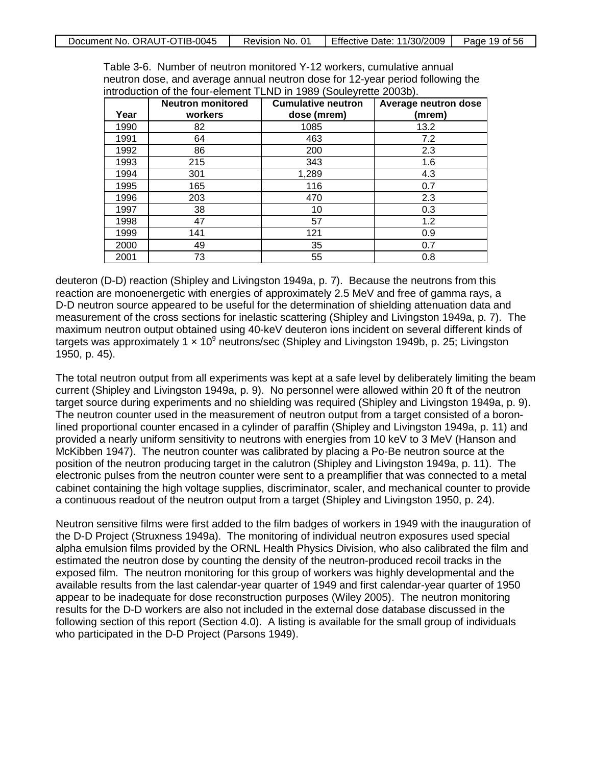| Document No. ORAUT-OTIB-0045 | Revision No. 01 | Effective Date: 11/30/2009 | Page 19 of 56 |
|------------------------------|-----------------|----------------------------|---------------|
|------------------------------|-----------------|----------------------------|---------------|

| Year | <b>Neutron monitored</b><br>workers | <b>Cumulative neutron</b><br>dose (mrem) | Average neutron dose<br>(mrem) |
|------|-------------------------------------|------------------------------------------|--------------------------------|
| 1990 | 82                                  | 1085                                     | 13.2                           |
| 1991 | 64                                  | 463                                      | 7.2                            |
| 1992 | 86                                  | 200                                      | 2.3                            |
| 1993 | 215                                 | 343                                      | 1.6                            |
| 1994 | 301                                 | 1,289                                    | 4.3                            |
| 1995 | 165                                 | 116                                      | 0.7                            |
| 1996 | 203                                 | 470                                      | 2.3                            |
| 1997 | 38                                  | 10                                       | 0.3                            |
| 1998 | 47                                  | 57                                       | 1.2                            |
| 1999 | 141                                 | 121                                      | 0.9                            |
| 2000 | 49                                  | 35                                       | 0.7                            |
| 2001 | 73                                  | 55                                       | 0.8                            |

Table 3-6. Number of neutron monitored Y-12 workers, cumulative annual neutron dose, and average annual neutron dose for 12-year period following the introduction of the four-element TLND in 1989 (Souleyrette 2003b).

deuteron (D-D) reaction (Shipley and Livingston 1949a, p. 7). Because the neutrons from this reaction are monoenergetic with energies of approximately 2.5 MeV and free of gamma rays, a D-D neutron source appeared to be useful for the determination of shielding attenuation data and measurement of the cross sections for inelastic scattering (Shipley and Livingston 1949a, p. 7). The maximum neutron output obtained using 40-keV deuteron ions incident on several different kinds of targets was approximately 1 × 109 neutrons/sec (Shipley and Livingston 1949b, p. 25; Livingston 1950, p. 45).

The total neutron output from all experiments was kept at a safe level by deliberately limiting the beam current (Shipley and Livingston 1949a, p. 9). No personnel were allowed within 20 ft of the neutron target source during experiments and no shielding was required (Shipley and Livingston 1949a, p. 9). The neutron counter used in the measurement of neutron output from a target consisted of a boronlined proportional counter encased in a cylinder of paraffin (Shipley and Livingston 1949a, p. 11) and provided a nearly uniform sensitivity to neutrons with energies from 10 keV to 3 MeV (Hanson and McKibben 1947). The neutron counter was calibrated by placing a Po-Be neutron source at the position of the neutron producing target in the calutron (Shipley and Livingston 1949a, p. 11). The electronic pulses from the neutron counter were sent to a preamplifier that was connected to a metal cabinet containing the high voltage supplies, discriminator, scaler, and mechanical counter to provide a continuous readout of the neutron output from a target (Shipley and Livingston 1950, p. 24).

Neutron sensitive films were first added to the film badges of workers in 1949 with the inauguration of the D-D Project (Struxness 1949a). The monitoring of individual neutron exposures used special alpha emulsion films provided by the ORNL Health Physics Division, who also calibrated the film and estimated the neutron dose by counting the density of the neutron-produced recoil tracks in the exposed film. The neutron monitoring for this group of workers was highly developmental and the available results from the last calendar-year quarter of 1949 and first calendar-year quarter of 1950 appear to be inadequate for dose reconstruction purposes (Wiley 2005). The neutron monitoring results for the D-D workers are also not included in the external dose database discussed in the following section of this report (Section 4.0). A listing is available for the small group of individuals who participated in the D-D Project (Parsons 1949).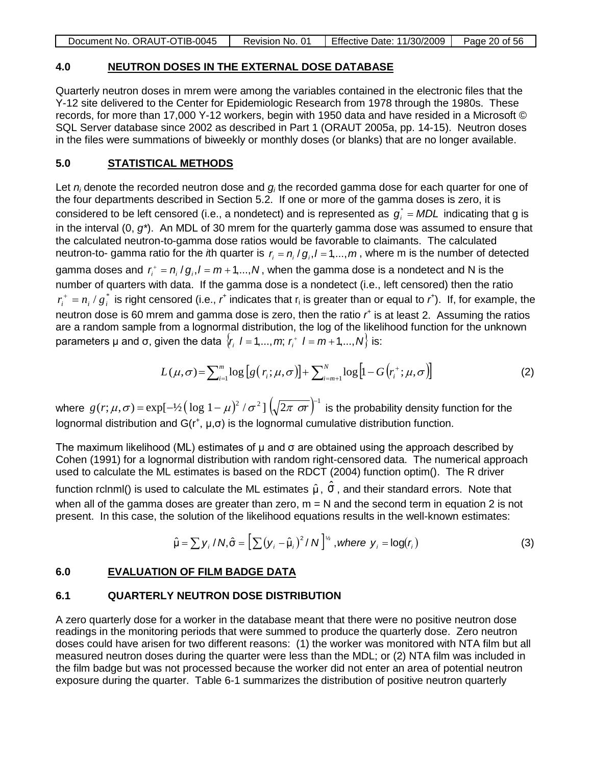|  | Document No. ORAUT-OTIB-0045 | Revision No. 01 | Effective Date: 11/30/2009 | Page 20 of 56 |
|--|------------------------------|-----------------|----------------------------|---------------|
|--|------------------------------|-----------------|----------------------------|---------------|

### **4.0 NEUTRON DOSES IN THE EXTERNAL DOSE DATABASE**

Quarterly neutron doses in mrem were among the variables contained in the electronic files that the Y-12 site delivered to the Center for Epidemiologic Research from 1978 through the 1980s. These records, for more than 17,000 Y-12 workers, begin with 1950 data and have resided in a Microsoft © SQL Server database since 2002 as described in Part 1 (ORAUT 2005a, pp. 14-15). Neutron doses in the files were summations of biweekly or monthly doses (or blanks) that are no longer available.

#### **5.0 STATISTICAL METHODS**

Let *ni* denote the recorded neutron dose and *gi* the recorded gamma dose for each quarter for one of the four departments described in Section 5.2. If one or more of the gamma doses is zero, it is considered to be left censored (i.e., a nondetect) and is represented as  $g_i^*$  = MDL indicating that g is in the interval (0, *g\**). An MDL of 30 mrem for the quarterly gamma dose was assumed to ensure that the calculated neutron-to-gamma dose ratios would be favorable to claimants. The calculated neutron-to- gamma ratio for the *i*th quarter is  $r_i = n_i / g_i, l = 1, ..., m$ , where m is the number of detected gamma doses and  $r_i^+ = n_i/g_i, l = m + 1,...,N$ , when the gamma dose is a nondetect and N is the number of quarters with data. If the gamma dose is a nondetect (i.e., left censored) then the ratio  $r_i^+ = n_i / g_i^*$  is right censored (i.e.,  $r^*$  indicates that  $r_i$  is greater than or equal to  $r^*$ ). If, for example, the neutron dose is 60 mrem and gamma dose is zero, then the ratio r<sup>+</sup> is at least 2. Assuming the ratios are a random sample from a lognormal distribution, the log of the likelihood function for the unknown parameters μ and σ, given the data  $\{r_i \mid l = 1, ..., m; r_i^+ \mid l = m+1, ..., N\}$  is:

$$
L(\mu,\sigma) = \sum_{i=1}^{m} \log \left[ g\left(r_i;\mu,\sigma\right) \right] + \sum_{i=m+1}^{N} \log \left[1 - G\left(r_i^+;\mu,\sigma\right) \right] \tag{2}
$$

where  $g(r; \mu, \sigma)$  = exp[-½  $\left(\log 1 - \mu\right)^2 / \sigma^2$  ]  $\left(\sqrt{2\pi \ \sigma r}\right)^{-1}$  is the probability density function for the lognormal distribution and  $G(r^+, \mu, \sigma)$  is the lognormal cumulative distribution function.

The maximum likelihood (ML) estimates of  $\mu$  and  $\sigma$  are obtained using the approach described by Cohen (1991) for a lognormal distribution with random right-censored data. The numerical approach used to calculate the ML estimates is based on the RDCT (2004) function optim(). The R driver

function rclnml() is used to calculate the ML estimates  $\hat{\mu}$ ,  $\hat{\sigma}$ , and their standard errors. Note that when all of the gamma doses are greater than zero,  $m = N$  and the second term in equation 2 is not present. In this case, the solution of the likelihood equations results in the well-known estimates:

$$
\hat{\mu} = \sum y_i / N, \hat{\sigma} = \left[ \sum (y_i - \hat{\mu}_i)^2 / N \right]^{1/2}, \text{where } y_i = \log(r_i)
$$
 (3)

#### **6.0 EVALUATION OF FILM BADGE DATA**

### **6.1 QUARTERLY NEUTRON DOSE DISTRIBUTION**

A zero quarterly dose for a worker in the database meant that there were no positive neutron dose readings in the monitoring periods that were summed to produce the quarterly dose. Zero neutron doses could have arisen for two different reasons: (1) the worker was monitored with NTA film but all measured neutron doses during the quarter were less than the MDL; or (2) NTA film was included in the film badge but was not processed because the worker did not enter an area of potential neutron exposure during the quarter. Table 6-1 summarizes the distribution of positive neutron quarterly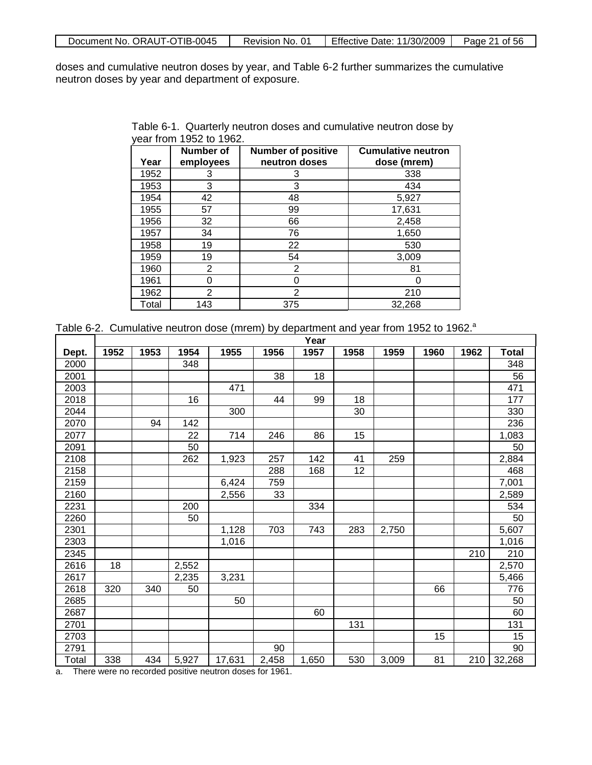|  | Document No. ORAUT-OTIB-0045 | Revision No. 01 | Ⅰ Effective Date: 11/30/2009 | Page 21 of 56 |
|--|------------------------------|-----------------|------------------------------|---------------|
|--|------------------------------|-----------------|------------------------------|---------------|

doses and cumulative neutron doses by year, and Table 6-2 further summarizes the cumulative neutron doses by year and department of exposure.

| Table 6-1. Quarterly neutron doses and cumulative neutron dose by |  |  |
|-------------------------------------------------------------------|--|--|
| year from 1952 to 1962.                                           |  |  |

| Year  | Number of<br>employees | <b>Number of positive</b><br>neutron doses | <b>Cumulative neutron</b><br>dose (mrem) |
|-------|------------------------|--------------------------------------------|------------------------------------------|
| 1952  | 3                      | 3                                          | 338                                      |
| 1953  | 3                      | 3                                          | 434                                      |
| 1954  | 42                     | 48                                         | 5,927                                    |
| 1955  | 57                     | 99                                         | 17,631                                   |
| 1956  | 32                     | 66                                         | 2,458                                    |
| 1957  | 34                     | 76                                         | 1,650                                    |
| 1958  | 19                     | 22                                         | 530                                      |
| 1959  | 19                     | 54                                         | 3,009                                    |
| 1960  | 2                      | 2                                          | 81                                       |
| 1961  | 0                      | 0                                          |                                          |
| 1962  | $\overline{2}$         | $\overline{2}$                             | 210                                      |
| Total | 143                    | 375                                        | 32,268                                   |

|                                   |      |      |       |        |                                | Year  |      |       |      |      |              |
|-----------------------------------|------|------|-------|--------|--------------------------------|-------|------|-------|------|------|--------------|
| Dept.                             | 1952 | 1953 | 1954  | 1955   | 1956                           | 1957  | 1958 | 1959  | 1960 | 1962 | <b>Total</b> |
| 2000                              |      |      | 348   |        |                                |       |      |       |      |      | 348          |
| 2001                              |      |      |       |        | 38                             | 18    |      |       |      |      | 56           |
| 2003                              |      |      |       | 471    |                                |       |      |       |      |      | 471          |
| 2018                              |      |      | 16    |        | 44                             | 99    | 18   |       |      |      | 177          |
| 2044                              |      |      |       | 300    |                                |       | 30   |       |      |      | 330          |
| 2070                              |      | 94   | 142   |        |                                |       |      |       |      |      | 236          |
| 2077                              |      |      | 22    | 714    | 246                            | 86    | 15   |       |      |      | 1,083        |
| 2091                              |      |      | 50    |        |                                |       |      |       |      |      | 50           |
| 2108                              |      |      | 262   | 1,923  | 257                            | 142   | 41   | 259   |      |      | 2,884        |
| 2158                              |      |      |       |        | 288                            | 168   | 12   |       |      |      | 468          |
| 2159                              |      |      |       | 6,424  | 759                            |       |      |       |      |      | 7,001        |
| 2160                              |      |      |       | 2,556  | 33                             |       |      |       |      |      | 2,589        |
| 2231                              |      |      | 200   |        |                                | 334   |      |       |      |      | 534          |
| 2260                              |      |      | 50    |        |                                |       |      |       |      |      | 50           |
| 2301                              |      |      |       | 1,128  | 703                            | 743   | 283  | 2,750 |      |      | 5,607        |
| 2303                              |      |      |       | 1,016  |                                |       |      |       |      |      | 1,016        |
| 2345                              |      |      |       |        |                                |       |      |       |      | 210  | 210          |
| 2616                              | 18   |      | 2,552 |        |                                |       |      |       |      |      | 2,570        |
| 2617                              |      |      | 2,235 | 3,231  |                                |       |      |       |      |      | 5,466        |
| 2618                              | 320  | 340  | 50    |        |                                |       |      |       | 66   |      | 776          |
| 2685                              |      |      |       | 50     |                                |       |      |       |      |      | 50           |
| 2687                              |      |      |       |        |                                | 60    |      |       |      |      | 60           |
| 2701                              |      |      |       |        |                                |       | 131  |       |      |      | 131          |
| 2703                              |      |      |       |        |                                |       |      |       | 15   |      | 15           |
| 2791                              |      |      |       |        | 90                             |       |      |       |      |      | 90           |
| Total<br>$\overline{\phantom{a}}$ | 338  | 434  | 5,927 | 17,631 | 2,458<br>$\epsilon$ $\epsilon$ | 1,650 | 530  | 3,009 | 81   | 210  | 32,268       |

Table 6-2. Cumulative neutron dose (mrem) by department and year from 1952 to 1962.<sup>a</sup>

a. There were no recorded positive neutron doses for 1961.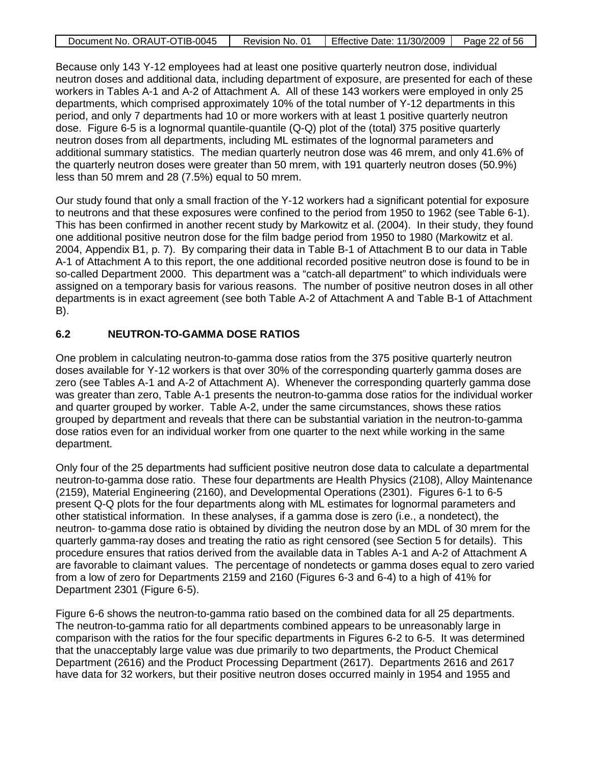| Document No. ORAUT-OTIB-0045 | Revision No. 01 | Effective Date: 11/30/2009 | Page 22 of 56 |
|------------------------------|-----------------|----------------------------|---------------|

Because only 143 Y-12 employees had at least one positive quarterly neutron dose, individual neutron doses and additional data, including department of exposure, are presented for each of these workers in Tables A-1 and A-2 of Attachment A. All of these 143 workers were employed in only 25 departments, which comprised approximately 10% of the total number of Y-12 departments in this period, and only 7 departments had 10 or more workers with at least 1 positive quarterly neutron dose. Figure 6-5 is a lognormal quantile-quantile (Q-Q) plot of the (total) 375 positive quarterly neutron doses from all departments, including ML estimates of the lognormal parameters and additional summary statistics. The median quarterly neutron dose was 46 mrem, and only 41.6% of the quarterly neutron doses were greater than 50 mrem, with 191 quarterly neutron doses (50.9%) less than 50 mrem and 28 (7.5%) equal to 50 mrem.

Our study found that only a small fraction of the Y-12 workers had a significant potential for exposure to neutrons and that these exposures were confined to the period from 1950 to 1962 (see Table 6-1). This has been confirmed in another recent study by Markowitz et al. (2004). In their study, they found one additional positive neutron dose for the film badge period from 1950 to 1980 (Markowitz et al. 2004, Appendix B1, p. 7). By comparing their data in Table B-1 of Attachment B to our data in Table A-1 of Attachment A to this report, the one additional recorded positive neutron dose is found to be in so-called Department 2000. This department was a "catch-all department" to which individuals were assigned on a temporary basis for various reasons. The number of positive neutron doses in all other departments is in exact agreement (see both Table A-2 of Attachment A and Table B-1 of Attachment B).

### **6.2 NEUTRON-TO-GAMMA DOSE RATIOS**

One problem in calculating neutron-to-gamma dose ratios from the 375 positive quarterly neutron doses available for Y-12 workers is that over 30% of the corresponding quarterly gamma doses are zero (see Tables A-1 and A-2 of Attachment A). Whenever the corresponding quarterly gamma dose was greater than zero, Table A-1 presents the neutron-to-gamma dose ratios for the individual worker and quarter grouped by worker. Table A-2, under the same circumstances, shows these ratios grouped by department and reveals that there can be substantial variation in the neutron-to-gamma dose ratios even for an individual worker from one quarter to the next while working in the same department.

Only four of the 25 departments had sufficient positive neutron dose data to calculate a departmental neutron-to-gamma dose ratio. These four departments are Health Physics (2108), Alloy Maintenance (2159), Material Engineering (2160), and Developmental Operations (2301). Figures 6-1 to 6-5 present Q-Q plots for the four departments along with ML estimates for lognormal parameters and other statistical information. In these analyses, if a gamma dose is zero (i.e., a nondetect), the neutron- to-gamma dose ratio is obtained by dividing the neutron dose by an MDL of 30 mrem for the quarterly gamma-ray doses and treating the ratio as right censored (see Section 5 for details). This procedure ensures that ratios derived from the available data in Tables A-1 and A-2 of Attachment A are favorable to claimant values. The percentage of nondetects or gamma doses equal to zero varied from a low of zero for Departments 2159 and 2160 (Figures 6-3 and 6-4) to a high of 41% for Department 2301 (Figure 6-5).

Figure 6-6 shows the neutron-to-gamma ratio based on the combined data for all 25 departments. The neutron-to-gamma ratio for all departments combined appears to be unreasonably large in comparison with the ratios for the four specific departments in Figures 6-2 to 6-5. It was determined that the unacceptably large value was due primarily to two departments, the Product Chemical Department (2616) and the Product Processing Department (2617). Departments 2616 and 2617 have data for 32 workers, but their positive neutron doses occurred mainly in 1954 and 1955 and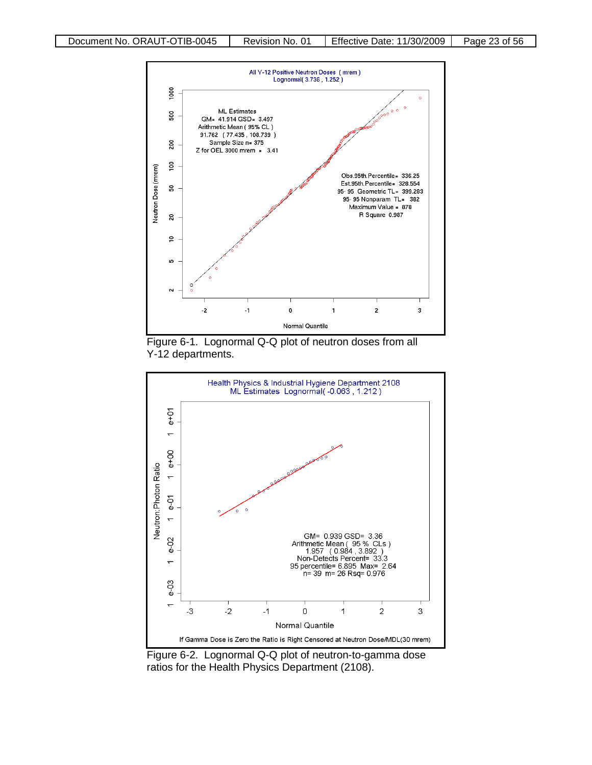





Figure 6-2. Lognormal Q-Q plot of neutron-to-gamma dose ratios for the Health Physics Department (2108).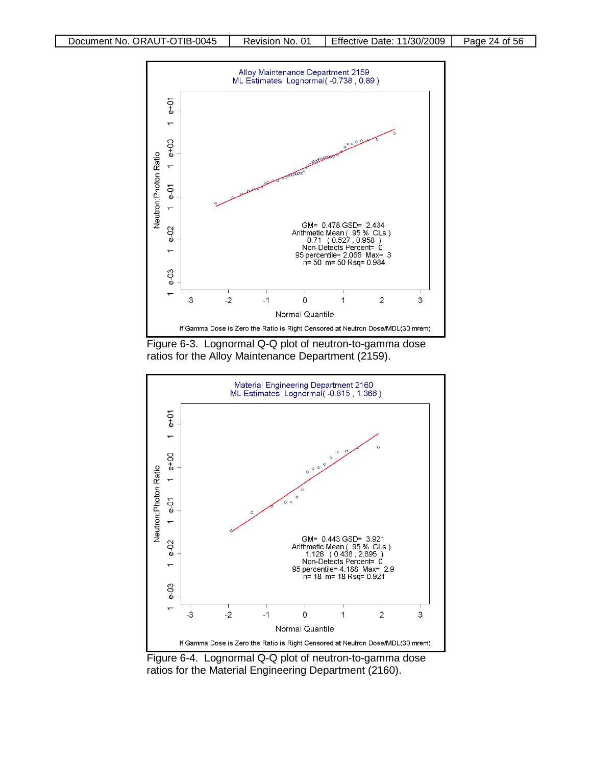

Figure 6-3. Lognormal Q-Q plot of neutron-to-gamma dose ratios for the Alloy Maintenance Department (2159).



Figure 6-4. Lognormal Q-Q plot of neutron-to-gamma dose ratios for the Material Engineering Department (2160).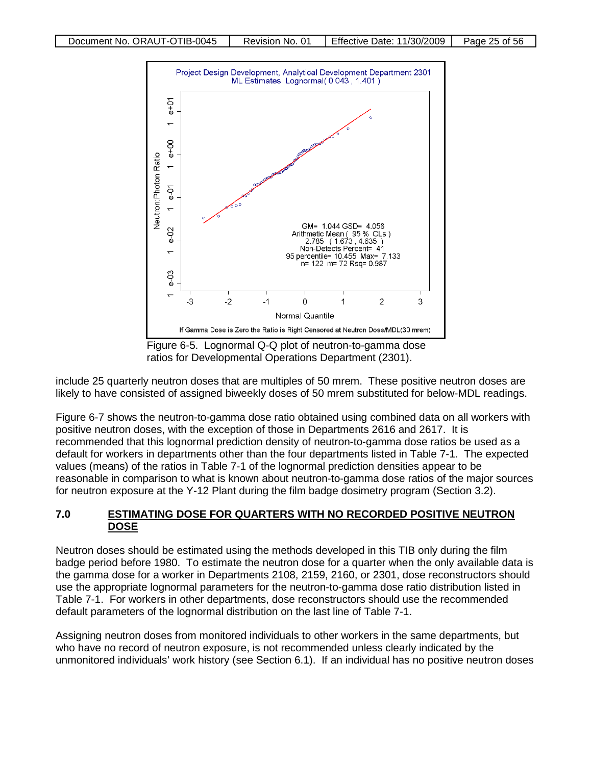

Figure 6-5. Lognormal Q-Q plot of neutron-to-gamma dose ratios for Developmental Operations Department (2301).

include 25 quarterly neutron doses that are multiples of 50 mrem. These positive neutron doses are likely to have consisted of assigned biweekly doses of 50 mrem substituted for below-MDL readings.

Figure 6-7 shows the neutron-to-gamma dose ratio obtained using combined data on all workers with positive neutron doses, with the exception of those in Departments 2616 and 2617. It is recommended that this lognormal prediction density of neutron-to-gamma dose ratios be used as a default for workers in departments other than the four departments listed in Table 7-1. The expected values (means) of the ratios in Table 7-1 of the lognormal prediction densities appear to be reasonable in comparison to what is known about neutron-to-gamma dose ratios of the major sources for neutron exposure at the Y-12 Plant during the film badge dosimetry program (Section 3.2).

### **7.0 ESTIMATING DOSE FOR QUARTERS WITH NO RECORDED POSITIVE NEUTRON DOSE**

Neutron doses should be estimated using the methods developed in this TIB only during the film badge period before 1980. To estimate the neutron dose for a quarter when the only available data is the gamma dose for a worker in Departments 2108, 2159, 2160, or 2301, dose reconstructors should use the appropriate lognormal parameters for the neutron-to-gamma dose ratio distribution listed in Table 7-1. For workers in other departments, dose reconstructors should use the recommended default parameters of the lognormal distribution on the last line of Table 7-1.

Assigning neutron doses from monitored individuals to other workers in the same departments, but who have no record of neutron exposure, is not recommended unless clearly indicated by the unmonitored individuals' work history (see Section 6.1). If an individual has no positive neutron doses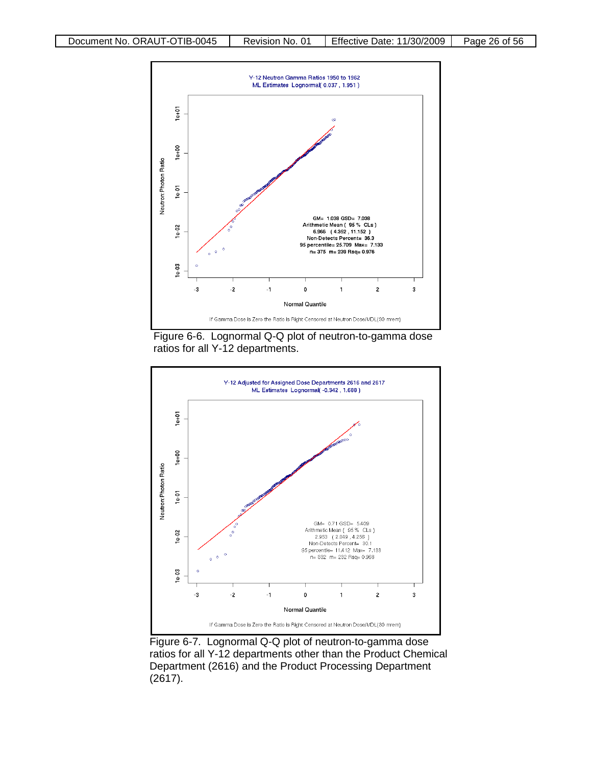

Figure 6-6. Lognormal Q-Q plot of neutron-to-gamma dose ratios for all Y-12 departments.



Figure 6-7. Lognormal Q-Q plot of neutron-to-gamma dose ratios for all Y-12 departments other than the Product Chemical Department (2616) and the Product Processing Department (2617).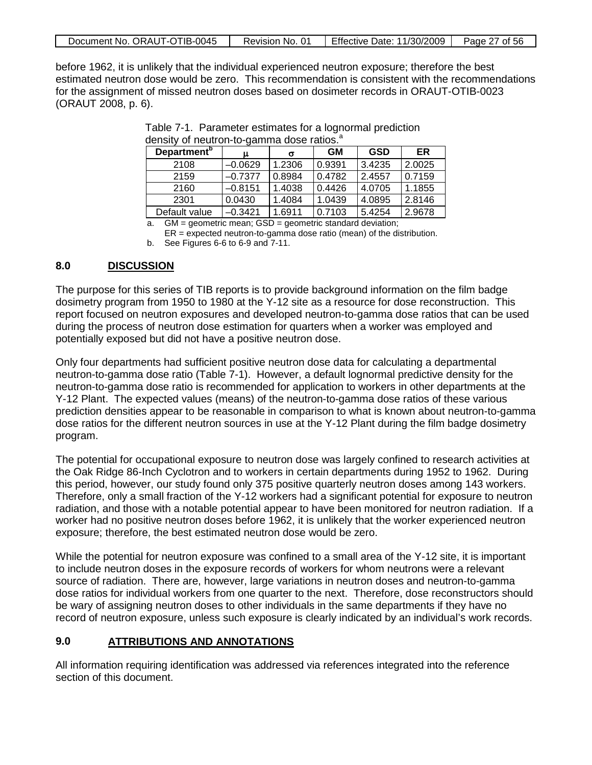| Document No. ORAUT-OTIB-0045 | Revision No. 01 | <b>Effective Date: 11/30/2009</b> | Page 27 of 56 |
|------------------------------|-----------------|-----------------------------------|---------------|
|------------------------------|-----------------|-----------------------------------|---------------|

before 1962, it is unlikely that the individual experienced neutron exposure; therefore the best estimated neutron dose would be zero. This recommendation is consistent with the recommendations for the assignment of missed neutron doses based on dosimeter records in ORAUT-OTIB-0023 (ORAUT 2008, p. 6).

| <b>Department</b> <sup>b</sup> | ◡<br>ս    | σ      | <b>GM</b> | <b>GSD</b> | ER     |
|--------------------------------|-----------|--------|-----------|------------|--------|
| 2108                           | $-0.0629$ | 1.2306 | 0.9391    | 3.4235     | 2.0025 |
| 2159                           | $-0.7377$ | 0.8984 | 0.4782    | 2.4557     | 0.7159 |
| 2160                           | $-0.8151$ | 1.4038 | 0.4426    | 4.0705     | 1.1855 |
| 2301                           | 0.0430    | 1.4084 | 1.0439    | 4.0895     | 2.8146 |
| Default value                  | $-0.3421$ | 1.6911 | 0.7103    | 5.4254     | 2.9678 |

Table 7-1. Parameter estimates for a lognormal prediction density of neutron-to-gamma dose ratios.<sup>a</sup>

a. GM = geometric mean; GSD = geometric standard deviation;

 $ER = expected$  neutron-to-gamma dose ratio (mean) of the distribution.

b. See Figures 6-6 to 6-9 and 7-11.

#### **8.0 DISCUSSION**

The purpose for this series of TIB reports is to provide background information on the film badge dosimetry program from 1950 to 1980 at the Y-12 site as a resource for dose reconstruction. This report focused on neutron exposures and developed neutron-to-gamma dose ratios that can be used during the process of neutron dose estimation for quarters when a worker was employed and potentially exposed but did not have a positive neutron dose.

Only four departments had sufficient positive neutron dose data for calculating a departmental neutron-to-gamma dose ratio (Table 7-1). However, a default lognormal predictive density for the neutron-to-gamma dose ratio is recommended for application to workers in other departments at the Y-12 Plant. The expected values (means) of the neutron-to-gamma dose ratios of these various prediction densities appear to be reasonable in comparison to what is known about neutron-to-gamma dose ratios for the different neutron sources in use at the Y-12 Plant during the film badge dosimetry program.

The potential for occupational exposure to neutron dose was largely confined to research activities at the Oak Ridge 86-Inch Cyclotron and to workers in certain departments during 1952 to 1962. During this period, however, our study found only 375 positive quarterly neutron doses among 143 workers. Therefore, only a small fraction of the Y-12 workers had a significant potential for exposure to neutron radiation, and those with a notable potential appear to have been monitored for neutron radiation. If a worker had no positive neutron doses before 1962, it is unlikely that the worker experienced neutron exposure; therefore, the best estimated neutron dose would be zero.

While the potential for neutron exposure was confined to a small area of the Y-12 site, it is important to include neutron doses in the exposure records of workers for whom neutrons were a relevant source of radiation. There are, however, large variations in neutron doses and neutron-to-gamma dose ratios for individual workers from one quarter to the next. Therefore, dose reconstructors should be wary of assigning neutron doses to other individuals in the same departments if they have no record of neutron exposure, unless such exposure is clearly indicated by an individual's work records.

### **9.0 ATTRIBUTIONS AND ANNOTATIONS**

All information requiring identification was addressed via references integrated into the reference section of this document.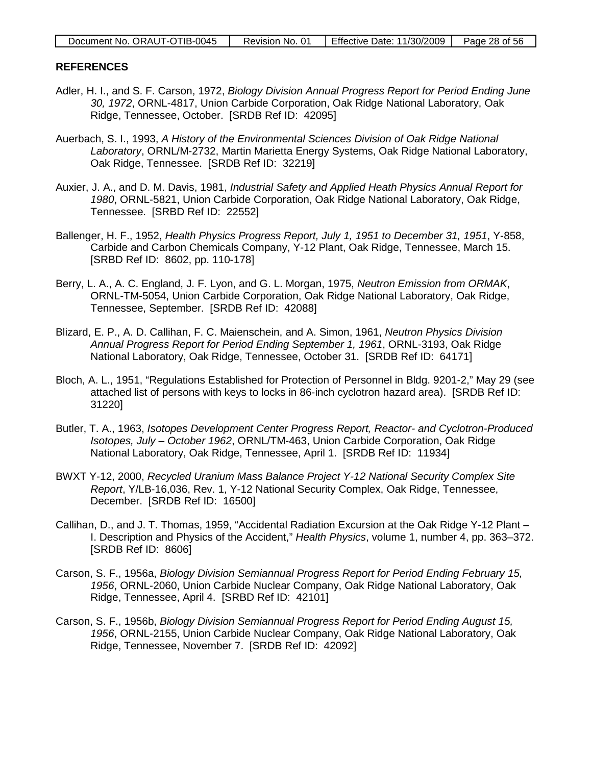| Document No. ORAUT-OTIB-0045 | Revision No. 01 | Effective Date: $11/30/2009$ | Page 28 of 56 |
|------------------------------|-----------------|------------------------------|---------------|

### **REFERENCES**

- Adler, H. I., and S. F. Carson, 1972, *Biology Division Annual Progress Report for Period Ending June 30, 1972*, ORNL-4817, Union Carbide Corporation, Oak Ridge National Laboratory, Oak Ridge, Tennessee, October. [SRDB Ref ID: 42095]
- Auerbach, S. I., 1993, *A History of the Environmental Sciences Division of Oak Ridge National Laboratory*, ORNL/M-2732, Martin Marietta Energy Systems, Oak Ridge National Laboratory, Oak Ridge, Tennessee. [SRDB Ref ID: 32219]
- Auxier, J. A., and D. M. Davis, 1981, *Industrial Safety and Applied Heath Physics Annual Report for 1980*, ORNL-5821, Union Carbide Corporation, Oak Ridge National Laboratory, Oak Ridge, Tennessee. [SRBD Ref ID: 22552]
- Ballenger, H. F., 1952, *Health Physics Progress Report, July 1, 1951 to December 31, 1951*, Y-858, Carbide and Carbon Chemicals Company, Y-12 Plant, Oak Ridge, Tennessee, March 15. [SRBD Ref ID: 8602, pp. 110-178]
- Berry, L. A., A. C. England, J. F. Lyon, and G. L. Morgan, 1975, *Neutron Emission from ORMAK*, ORNL-TM-5054, Union Carbide Corporation, Oak Ridge National Laboratory, Oak Ridge, Tennessee, September. [SRDB Ref ID: 42088]
- Blizard, E. P., A. D. Callihan, F. C. Maienschein, and A. Simon, 1961, *Neutron Physics Division Annual Progress Report for Period Ending September 1, 1961*, ORNL-3193, Oak Ridge National Laboratory, Oak Ridge, Tennessee, October 31. [SRDB Ref ID: 64171]
- Bloch, A. L., 1951, "Regulations Established for Protection of Personnel in Bldg. 9201-2," May 29 (see attached list of persons with keys to locks in 86-inch cyclotron hazard area). [SRDB Ref ID: 31220]
- Butler, T. A., 1963, *Isotopes Development Center Progress Report, Reactor- and Cyclotron-Produced Isotopes, July – October 1962*, ORNL/TM-463, Union Carbide Corporation, Oak Ridge National Laboratory, Oak Ridge, Tennessee, April 1. [SRDB Ref ID: 11934]
- BWXT Y-12, 2000, *Recycled Uranium Mass Balance Project Y-12 National Security Complex Site Report*, Y/LB-16,036, Rev. 1, Y-12 National Security Complex, Oak Ridge, Tennessee, December. [SRDB Ref ID: 16500]
- Callihan, D., and J. T. Thomas, 1959, "Accidental Radiation Excursion at the Oak Ridge Y-12 Plant I. Description and Physics of the Accident," *Health Physics*, volume 1, number 4, pp. 363–372. [SRDB Ref ID: 8606]
- Carson, S. F., 1956a, *Biology Division Semiannual Progress Report for Period Ending February 15, 1956*, ORNL-2060, Union Carbide Nuclear Company, Oak Ridge National Laboratory, Oak Ridge, Tennessee, April 4. [SRBD Ref ID: 42101]
- Carson, S. F., 1956b, *Biology Division Semiannual Progress Report for Period Ending August 15, 1956*, ORNL-2155, Union Carbide Nuclear Company, Oak Ridge National Laboratory, Oak Ridge, Tennessee, November 7. [SRDB Ref ID: 42092]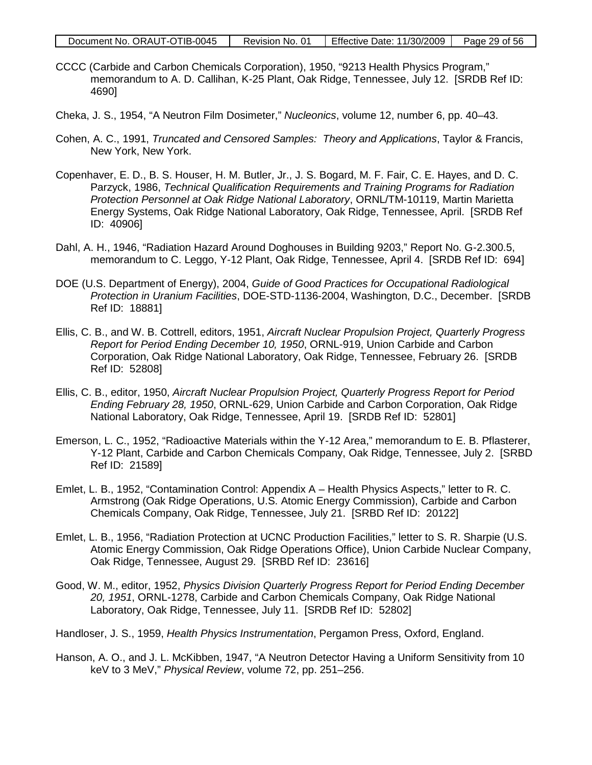| Document No. ORAUT-OTIB-0045 | Revision No. 01 | Effective Date: $11/30/2009$ | Page 29 of 56 |
|------------------------------|-----------------|------------------------------|---------------|
|------------------------------|-----------------|------------------------------|---------------|

- CCCC (Carbide and Carbon Chemicals Corporation), 1950, "9213 Health Physics Program," memorandum to A. D. Callihan, K-25 Plant, Oak Ridge, Tennessee, July 12. [SRDB Ref ID: 4690]
- Cheka, J. S., 1954, "A Neutron Film Dosimeter," *Nucleonics*, volume 12, number 6, pp. 40–43.
- Cohen, A. C., 1991, *Truncated and Censored Samples: Theory and Applications*, Taylor & Francis, New York, New York.
- Copenhaver, E. D., B. S. Houser, H. M. Butler, Jr., J. S. Bogard, M. F. Fair, C. E. Hayes, and D. C. Parzyck, 1986, *Technical Qualification Requirements and Training Programs for Radiation Protection Personnel at Oak Ridge National Laboratory*, ORNL/TM-10119, Martin Marietta Energy Systems, Oak Ridge National Laboratory, Oak Ridge, Tennessee, April. [SRDB Ref ID: 40906]
- Dahl, A. H., 1946, "Radiation Hazard Around Doghouses in Building 9203," Report No. G-2.300.5, memorandum to C. Leggo, Y-12 Plant, Oak Ridge, Tennessee, April 4. [SRDB Ref ID: 694]
- DOE (U.S. Department of Energy), 2004, *Guide of Good Practices for Occupational Radiological Protection in Uranium Facilities*, DOE-STD-1136-2004, Washington, D.C., December. [SRDB Ref ID: 18881]
- Ellis, C. B., and W. B. Cottrell, editors, 1951, *Aircraft Nuclear Propulsion Project, Quarterly Progress Report for Period Ending December 10, 1950*, ORNL-919, Union Carbide and Carbon Corporation, Oak Ridge National Laboratory, Oak Ridge, Tennessee, February 26. [SRDB Ref ID: 52808]
- Ellis, C. B., editor, 1950, *Aircraft Nuclear Propulsion Project, Quarterly Progress Report for Period Ending February 28, 1950*, ORNL-629, Union Carbide and Carbon Corporation, Oak Ridge National Laboratory, Oak Ridge, Tennessee, April 19. [SRDB Ref ID: 52801]
- Emerson, L. C., 1952, "Radioactive Materials within the Y-12 Area," memorandum to E. B. Pflasterer, Y-12 Plant, Carbide and Carbon Chemicals Company, Oak Ridge, Tennessee, July 2. [SRBD Ref ID: 21589]
- Emlet, L. B., 1952, "Contamination Control: Appendix A Health Physics Aspects," letter to R. C. Armstrong (Oak Ridge Operations, U.S. Atomic Energy Commission), Carbide and Carbon Chemicals Company, Oak Ridge, Tennessee, July 21. [SRBD Ref ID: 20122]
- Emlet, L. B., 1956, "Radiation Protection at UCNC Production Facilities," letter to S. R. Sharpie (U.S. Atomic Energy Commission, Oak Ridge Operations Office), Union Carbide Nuclear Company, Oak Ridge, Tennessee, August 29. [SRBD Ref ID: 23616]
- Good, W. M., editor, 1952, *Physics Division Quarterly Progress Report for Period Ending December 20, 1951*, ORNL-1278, Carbide and Carbon Chemicals Company, Oak Ridge National Laboratory, Oak Ridge, Tennessee, July 11. [SRDB Ref ID: 52802]
- Handloser, J. S., 1959, *Health Physics Instrumentation*, Pergamon Press, Oxford, England.
- Hanson, A. O., and J. L. McKibben, 1947, "A Neutron Detector Having a Uniform Sensitivity from 10 keV to 3 MeV," *Physical Review*, volume 72, pp. 251–256.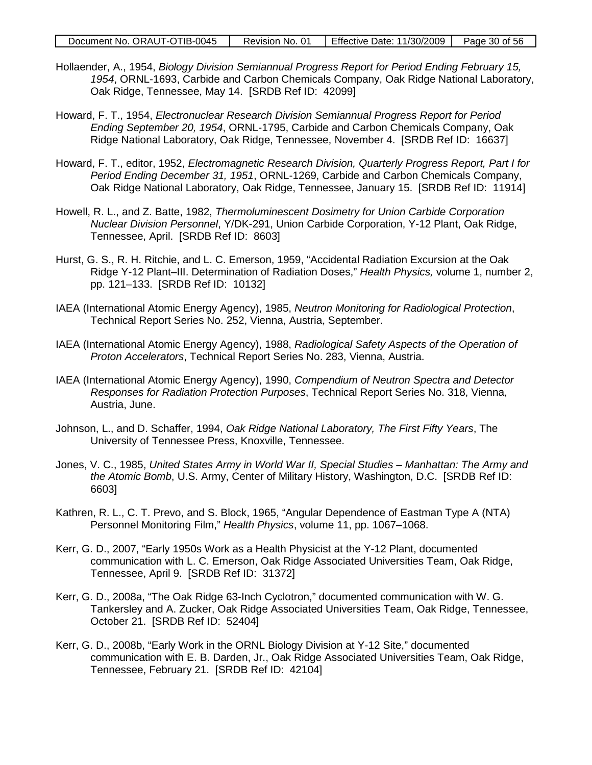| Document No. ORAUT-OTIB-0045 | Revision No. 01 | Effective Date: 11/30/2009   Page 30 of 56 |  |
|------------------------------|-----------------|--------------------------------------------|--|
|------------------------------|-----------------|--------------------------------------------|--|

- Hollaender, A., 1954, *Biology Division Semiannual Progress Report for Period Ending February 15, 1954*, ORNL-1693, Carbide and Carbon Chemicals Company, Oak Ridge National Laboratory, Oak Ridge, Tennessee, May 14. [SRDB Ref ID: 42099]
- Howard, F. T., 1954, *Electronuclear Research Division Semiannual Progress Report for Period Ending September 20, 1954*, ORNL-1795, Carbide and Carbon Chemicals Company, Oak Ridge National Laboratory, Oak Ridge, Tennessee, November 4. [SRDB Ref ID: 16637]
- Howard, F. T., editor, 1952, *Electromagnetic Research Division, Quarterly Progress Report, Part I for Period Ending December 31, 1951*, ORNL-1269, Carbide and Carbon Chemicals Company, Oak Ridge National Laboratory, Oak Ridge, Tennessee, January 15. [SRDB Ref ID: 11914]
- Howell, R. L., and Z. Batte, 1982, *Thermoluminescent Dosimetry for Union Carbide Corporation Nuclear Division Personnel*, Y/DK-291, Union Carbide Corporation, Y-12 Plant, Oak Ridge, Tennessee, April. [SRDB Ref ID: 8603]
- Hurst, G. S., R. H. Ritchie, and L. C. Emerson, 1959, "Accidental Radiation Excursion at the Oak Ridge Y-12 Plant–III. Determination of Radiation Doses," *Health Physics,* volume 1, number 2, pp. 121–133. [SRDB Ref ID: 10132]
- IAEA (International Atomic Energy Agency), 1985, *Neutron Monitoring for Radiological Protection*, Technical Report Series No. 252, Vienna, Austria, September.
- IAEA (International Atomic Energy Agency), 1988, *Radiological Safety Aspects of the Operation of Proton Accelerators*, Technical Report Series No. 283, Vienna, Austria.
- IAEA (International Atomic Energy Agency), 1990, *Compendium of Neutron Spectra and Detector Responses for Radiation Protection Purposes*, Technical Report Series No. 318, Vienna, Austria, June.
- Johnson, L., and D. Schaffer, 1994, *Oak Ridge National Laboratory, The First Fifty Years*, The University of Tennessee Press, Knoxville, Tennessee.
- Jones, V. C., 1985, *United States Army in World War II, Special Studies – Manhattan: The Army and the Atomic Bomb*, U.S. Army, Center of Military History, Washington, D.C. [SRDB Ref ID: 6603]
- Kathren, R. L., C. T. Prevo, and S. Block, 1965, "Angular Dependence of Eastman Type A (NTA) Personnel Monitoring Film," *Health Physics*, volume 11, pp. 1067–1068.
- Kerr, G. D., 2007, "Early 1950s Work as a Health Physicist at the Y-12 Plant, documented communication with L. C. Emerson, Oak Ridge Associated Universities Team, Oak Ridge, Tennessee, April 9. [SRDB Ref ID: 31372]
- Kerr, G. D., 2008a, "The Oak Ridge 63-Inch Cyclotron," documented communication with W. G. Tankersley and A. Zucker, Oak Ridge Associated Universities Team, Oak Ridge, Tennessee, October 21. [SRDB Ref ID: 52404]
- Kerr, G. D., 2008b, "Early Work in the ORNL Biology Division at Y-12 Site," documented communication with E. B. Darden, Jr., Oak Ridge Associated Universities Team, Oak Ridge, Tennessee, February 21. [SRDB Ref ID: 42104]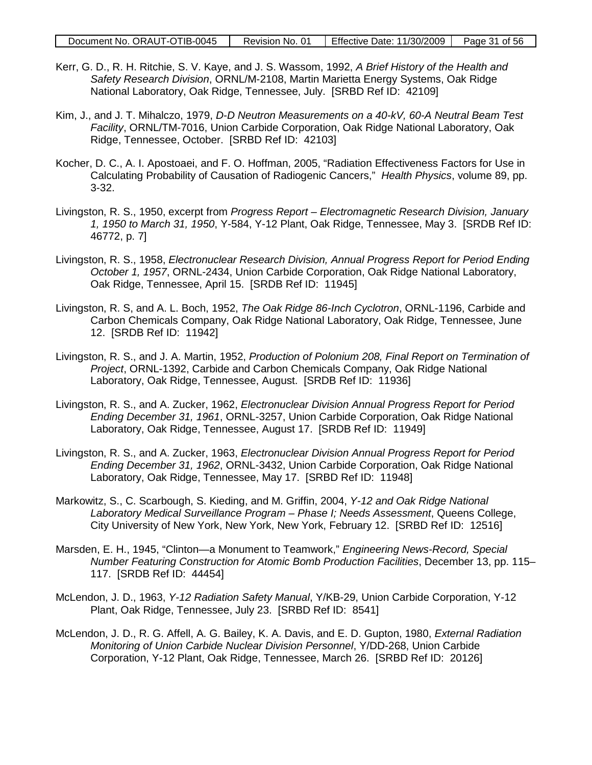| Document No. ORAUT-OTIB-0045 | Revision No. 01 | Effective Date: $11/30/2009$ Page 31 of 56 |  |
|------------------------------|-----------------|--------------------------------------------|--|
|------------------------------|-----------------|--------------------------------------------|--|

- Kerr, G. D., R. H. Ritchie, S. V. Kaye, and J. S. Wassom, 1992, *A Brief History of the Health and Safety Research Division*, ORNL/M-2108, Martin Marietta Energy Systems, Oak Ridge National Laboratory, Oak Ridge, Tennessee, July. [SRBD Ref ID: 42109]
- Kim, J., and J. T. Mihalczo, 1979, *D-D Neutron Measurements on a 40-kV, 60-A Neutral Beam Test Facility*, ORNL/TM-7016, Union Carbide Corporation, Oak Ridge National Laboratory, Oak Ridge, Tennessee, October. [SRBD Ref ID: 42103]
- Kocher, D. C., A. I. Apostoaei, and F. O. Hoffman, 2005, "Radiation Effectiveness Factors for Use in Calculating Probability of Causation of Radiogenic Cancers," *Health Physics*, volume 89, pp. 3-32.
- Livingston, R. S., 1950, excerpt from *Progress Report – Electromagnetic Research Division, January 1, 1950 to March 31, 1950*, Y-584, Y-12 Plant, Oak Ridge, Tennessee, May 3. [SRDB Ref ID: 46772, p. 7]
- Livingston, R. S., 1958, *Electronuclear Research Division, Annual Progress Report for Period Ending October 1, 1957*, ORNL-2434, Union Carbide Corporation, Oak Ridge National Laboratory, Oak Ridge, Tennessee, April 15. [SRDB Ref ID: 11945]
- Livingston, R. S, and A. L. Boch, 1952, *The Oak Ridge 86-Inch Cyclotron*, ORNL-1196, Carbide and Carbon Chemicals Company, Oak Ridge National Laboratory, Oak Ridge, Tennessee, June 12. [SRDB Ref ID: 11942]
- Livingston, R. S., and J. A. Martin, 1952, *Production of Polonium 208, Final Report on Termination of Project*, ORNL-1392, Carbide and Carbon Chemicals Company, Oak Ridge National Laboratory, Oak Ridge, Tennessee, August. [SRDB Ref ID: 11936]
- Livingston, R. S., and A. Zucker, 1962, *Electronuclear Division Annual Progress Report for Period Ending December 31, 1961*, ORNL-3257, Union Carbide Corporation, Oak Ridge National Laboratory, Oak Ridge, Tennessee, August 17. [SRDB Ref ID: 11949]
- Livingston, R. S., and A. Zucker, 1963, *Electronuclear Division Annual Progress Report for Period Ending December 31, 1962*, ORNL-3432, Union Carbide Corporation, Oak Ridge National Laboratory, Oak Ridge, Tennessee, May 17. [SRBD Ref ID: 11948]
- Markowitz, S., C. Scarbough, S. Kieding, and M. Griffin, 2004, *Y-12 and Oak Ridge National Laboratory Medical Surveillance Program – Phase I; Needs Assessment*, Queens College, City University of New York, New York, New York, February 12. [SRBD Ref ID: 12516]
- Marsden, E. H., 1945, "Clinton—a Monument to Teamwork," *Engineering News-Record, Special Number Featuring Construction for Atomic Bomb Production Facilities*, December 13, pp. 115– 117. [SRDB Ref ID: 44454]
- McLendon, J. D., 1963, *Y-12 Radiation Safety Manual*, Y/KB-29, Union Carbide Corporation, Y-12 Plant, Oak Ridge, Tennessee, July 23. [SRBD Ref ID: 8541]
- McLendon, J. D., R. G. Affell, A. G. Bailey, K. A. Davis, and E. D. Gupton, 1980, *External Radiation Monitoring of Union Carbide Nuclear Division Personnel*, Y/DD-268, Union Carbide Corporation, Y-12 Plant, Oak Ridge, Tennessee, March 26. [SRBD Ref ID: 20126]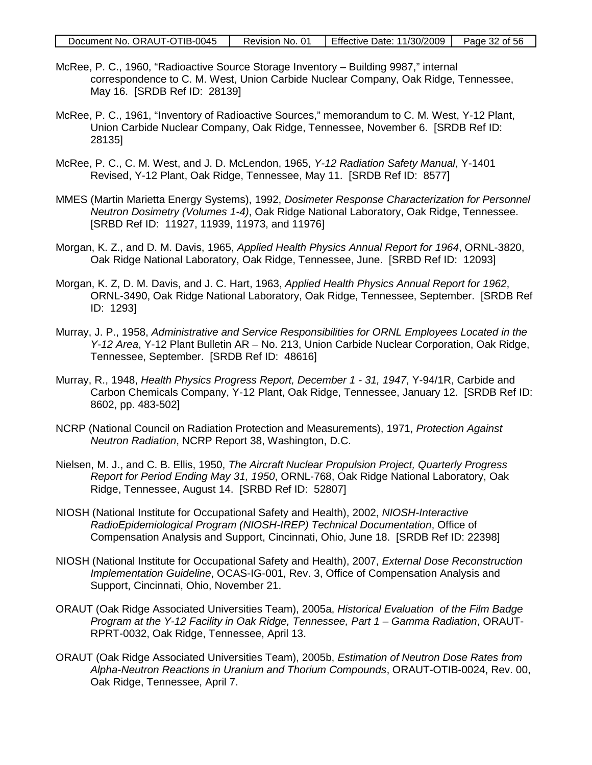| Document No. ORAUT-OTIB-0045 | Revision No. 01 | Effective Date: $11/30/2009$ Page 32 of 56 |  |
|------------------------------|-----------------|--------------------------------------------|--|
|------------------------------|-----------------|--------------------------------------------|--|

- McRee, P. C., 1960, "Radioactive Source Storage Inventory Building 9987," internal correspondence to C. M. West, Union Carbide Nuclear Company, Oak Ridge, Tennessee, May 16. [SRDB Ref ID: 28139]
- McRee, P. C., 1961, "Inventory of Radioactive Sources," memorandum to C. M. West, Y-12 Plant, Union Carbide Nuclear Company, Oak Ridge, Tennessee, November 6. [SRDB Ref ID: 28135]
- McRee, P. C., C. M. West, and J. D. McLendon, 1965, *Y-12 Radiation Safety Manual*, Y-1401 Revised, Y-12 Plant, Oak Ridge, Tennessee, May 11. [SRDB Ref ID: 8577]
- MMES (Martin Marietta Energy Systems), 1992, *Dosimeter Response Characterization for Personnel Neutron Dosimetry (Volumes 1-4)*, Oak Ridge National Laboratory, Oak Ridge, Tennessee. [SRBD Ref ID: 11927, 11939, 11973, and 11976]
- Morgan, K. Z., and D. M. Davis, 1965, *Applied Health Physics Annual Report for 1964*, ORNL-3820, Oak Ridge National Laboratory, Oak Ridge, Tennessee, June. [SRBD Ref ID: 12093]
- Morgan, K. Z, D. M. Davis, and J. C. Hart, 1963, *Applied Health Physics Annual Report for 1962*, ORNL-3490, Oak Ridge National Laboratory, Oak Ridge, Tennessee, September. [SRDB Ref ID: 1293]
- Murray, J. P., 1958, *Administrative and Service Responsibilities for ORNL Employees Located in the Y-12 Area*, Y-12 Plant Bulletin AR – No. 213, Union Carbide Nuclear Corporation, Oak Ridge, Tennessee, September. [SRDB Ref ID: 48616]
- Murray, R., 1948, *Health Physics Progress Report, December 1 - 31, 1947*, Y-94/1R, Carbide and Carbon Chemicals Company, Y-12 Plant, Oak Ridge, Tennessee, January 12. [SRDB Ref ID: 8602, pp. 483-502]
- NCRP (National Council on Radiation Protection and Measurements), 1971, *Protection Against Neutron Radiation*, NCRP Report 38, Washington, D.C.
- Nielsen, M. J., and C. B. Ellis, 1950, *The Aircraft Nuclear Propulsion Project, Quarterly Progress Report for Period Ending May 31, 1950*, ORNL-768, Oak Ridge National Laboratory, Oak Ridge, Tennessee, August 14. [SRBD Ref ID: 52807]
- NIOSH (National Institute for Occupational Safety and Health), 2002, *NIOSH-Interactive RadioEpidemiological Program (NIOSH-IREP) Technical Documentation*, Office of Compensation Analysis and Support, Cincinnati, Ohio, June 18. [SRDB Ref ID: 22398]
- NIOSH (National Institute for Occupational Safety and Health), 2007, *External Dose Reconstruction Implementation Guideline*, OCAS-IG-001, Rev. 3, Office of Compensation Analysis and Support, Cincinnati, Ohio, November 21.
- ORAUT (Oak Ridge Associated Universities Team), 2005a, *Historical Evaluation of the Film Badge Program at the Y-12 Facility in Oak Ridge, Tennessee, Part 1 – Gamma Radiation*, ORAUT-RPRT-0032, Oak Ridge, Tennessee, April 13.
- ORAUT (Oak Ridge Associated Universities Team), 2005b, *Estimation of Neutron Dose Rates from Alpha-Neutron Reactions in Uranium and Thorium Compounds*, ORAUT-OTIB-0024, Rev. 00, Oak Ridge, Tennessee, April 7.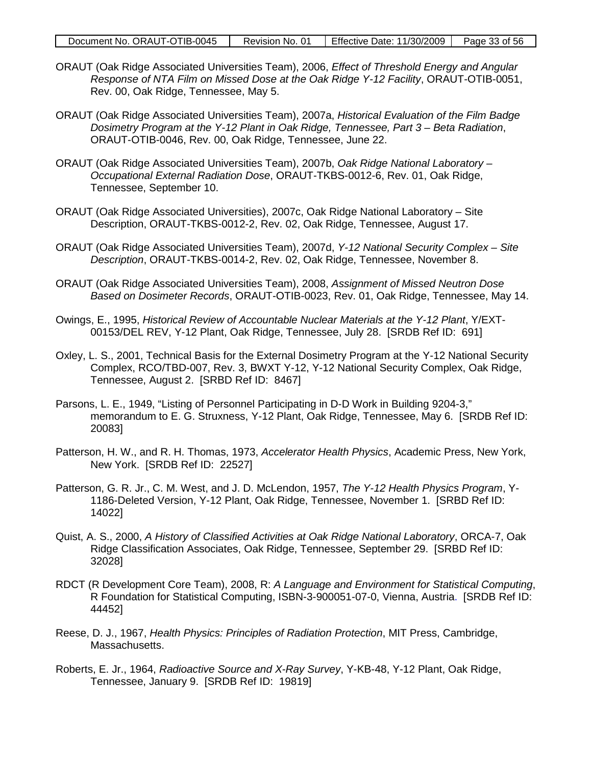| Document No. ORAUT-OTIB-0045 | Revision No. 01 | Effective Date: 11/30/2009 | Page 33 of 56 |
|------------------------------|-----------------|----------------------------|---------------|
|------------------------------|-----------------|----------------------------|---------------|

- ORAUT (Oak Ridge Associated Universities Team), 2006, *Effect of Threshold Energy and Angular Response of NTA Film on Missed Dose at the Oak Ridge Y-12 Facility*, ORAUT-OTIB-0051, Rev. 00, Oak Ridge, Tennessee, May 5.
- ORAUT (Oak Ridge Associated Universities Team), 2007a, *Historical Evaluation of the Film Badge Dosimetry Program at the Y-12 Plant in Oak Ridge, Tennessee, Part 3 – Beta Radiation*, ORAUT-OTIB-0046, Rev. 00, Oak Ridge, Tennessee, June 22.
- ORAUT (Oak Ridge Associated Universities Team), 2007b, *Oak Ridge National Laboratory – Occupational External Radiation Dose*, ORAUT-TKBS-0012-6, Rev. 01, Oak Ridge, Tennessee, September 10.
- ORAUT (Oak Ridge Associated Universities), 2007c, Oak Ridge National Laboratory Site Description, ORAUT-TKBS-0012-2, Rev. 02, Oak Ridge, Tennessee, August 17.
- ORAUT (Oak Ridge Associated Universities Team), 2007d, *Y-12 National Security Complex – Site Description*, ORAUT-TKBS-0014-2, Rev. 02, Oak Ridge, Tennessee, November 8.
- ORAUT (Oak Ridge Associated Universities Team), 2008, *Assignment of Missed Neutron Dose Based on Dosimeter Records*, ORAUT-OTIB-0023, Rev. 01, Oak Ridge, Tennessee, May 14.
- Owings, E., 1995, *Historical Review of Accountable Nuclear Materials at the Y-12 Plant*, Y/EXT-00153/DEL REV, Y-12 Plant, Oak Ridge, Tennessee, July 28. [SRDB Ref ID: 691]
- Oxley, L. S., 2001, Technical Basis for the External Dosimetry Program at the Y-12 National Security Complex, RCO/TBD-007, Rev. 3, BWXT Y-12, Y-12 National Security Complex, Oak Ridge, Tennessee, August 2. [SRBD Ref ID: 8467]
- Parsons, L. E., 1949, "Listing of Personnel Participating in D-D Work in Building 9204-3," memorandum to E. G. Struxness, Y-12 Plant, Oak Ridge, Tennessee, May 6. [SRDB Ref ID: 20083]
- Patterson, H. W., and R. H. Thomas, 1973, *Accelerator Health Physics*, Academic Press, New York, New York. [SRDB Ref ID: 22527]
- Patterson, G. R. Jr., C. M. West, and J. D. McLendon, 1957, *The Y-12 Health Physics Program*, Y-1186-Deleted Version, Y-12 Plant, Oak Ridge, Tennessee, November 1. [SRBD Ref ID: 14022]
- Quist, A. S., 2000, *A History of Classified Activities at Oak Ridge National Laboratory*, ORCA-7, Oak Ridge Classification Associates, Oak Ridge, Tennessee, September 29. [SRBD Ref ID: 32028]
- RDCT (R Development Core Team), 2008, R: *A Language and Environment for Statistical Computing*, R Foundation for Statistical Computing, ISBN-3-900051-07-0, Vienna, Austria. [SRDB Ref ID: 44452]
- Reese, D. J., 1967, *Health Physics: Principles of Radiation Protection*, MIT Press, Cambridge, Massachusetts.
- Roberts, E. Jr., 1964, *Radioactive Source and X-Ray Survey*, Y-KB-48, Y-12 Plant, Oak Ridge, Tennessee, January 9. [SRDB Ref ID: 19819]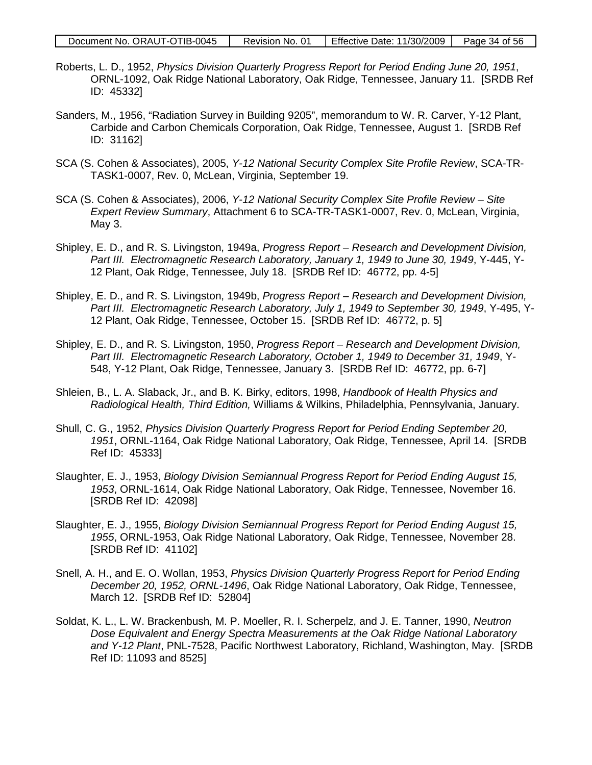| Document No. ORAUT-OTIB-0045 | Revision No. 01 | Effective Date: $11/30/2009$ Page 34 of 56 |  |
|------------------------------|-----------------|--------------------------------------------|--|
|------------------------------|-----------------|--------------------------------------------|--|

- Roberts, L. D., 1952, *Physics Division Quarterly Progress Report for Period Ending June 20, 1951*, ORNL-1092, Oak Ridge National Laboratory, Oak Ridge, Tennessee, January 11. [SRDB Ref ID: 45332]
- Sanders, M., 1956, "Radiation Survey in Building 9205", memorandum to W. R. Carver, Y-12 Plant, Carbide and Carbon Chemicals Corporation, Oak Ridge, Tennessee, August 1. [SRDB Ref ID: 31162]
- SCA (S. Cohen & Associates), 2005, *Y-12 National Security Complex Site Profile Review*, SCA-TR-TASK1-0007, Rev. 0, McLean, Virginia, September 19.
- SCA (S. Cohen & Associates), 2006, *Y-12 National Security Complex Site Profile Review – Site Expert Review Summary*, Attachment 6 to SCA-TR-TASK1-0007, Rev. 0, McLean, Virginia, May 3.
- Shipley, E. D., and R. S. Livingston, 1949a, *Progress Report – Research and Development Division, Part III. Electromagnetic Research Laboratory, January 1, 1949 to June 30, 1949*, Y-445, Y-12 Plant, Oak Ridge, Tennessee, July 18. [SRDB Ref ID: 46772, pp. 4-5]
- Shipley, E. D., and R. S. Livingston, 1949b, *Progress Report – Research and Development Division, Part III. Electromagnetic Research Laboratory, July 1, 1949 to September 30, 1949*, Y-495, Y-12 Plant, Oak Ridge, Tennessee, October 15. [SRDB Ref ID: 46772, p. 5]
- Shipley, E. D., and R. S. Livingston, 1950, *Progress Report – Research and Development Division, Part III. Electromagnetic Research Laboratory, October 1, 1949 to December 31, 1949*, Y-548, Y-12 Plant, Oak Ridge, Tennessee, January 3. [SRDB Ref ID: 46772, pp. 6-7]
- Shleien, B., L. A. Slaback, Jr., and B. K. Birky, editors, 1998, *Handbook of Health Physics and Radiological Health, Third Edition,* Williams & Wilkins, Philadelphia, Pennsylvania, January.
- Shull, C. G., 1952, *Physics Division Quarterly Progress Report for Period Ending September 20, 1951*, ORNL-1164, Oak Ridge National Laboratory, Oak Ridge, Tennessee, April 14. [SRDB Ref ID: 45333]
- Slaughter, E. J., 1953, *Biology Division Semiannual Progress Report for Period Ending August 15, 1953*, ORNL-1614, Oak Ridge National Laboratory, Oak Ridge, Tennessee, November 16. [SRDB Ref ID: 42098]
- Slaughter, E. J., 1955, *Biology Division Semiannual Progress Report for Period Ending August 15, 1955*, ORNL-1953, Oak Ridge National Laboratory, Oak Ridge, Tennessee, November 28. [SRDB Ref ID: 41102]
- Snell, A. H., and E. O. Wollan, 1953, *Physics Division Quarterly Progress Report for Period Ending December 20, 1952, ORNL-1496*, Oak Ridge National Laboratory, Oak Ridge, Tennessee, March 12. [SRDB Ref ID: 52804]
- Soldat, K. L., L. W. Brackenbush, M. P. Moeller, R. I. Scherpelz, and J. E. Tanner, 1990, *Neutron Dose Equivalent and Energy Spectra Measurements at the Oak Ridge National Laboratory and Y-12 Plant*, PNL-7528, Pacific Northwest Laboratory, Richland, Washington, May. [SRDB Ref ID: 11093 and 8525]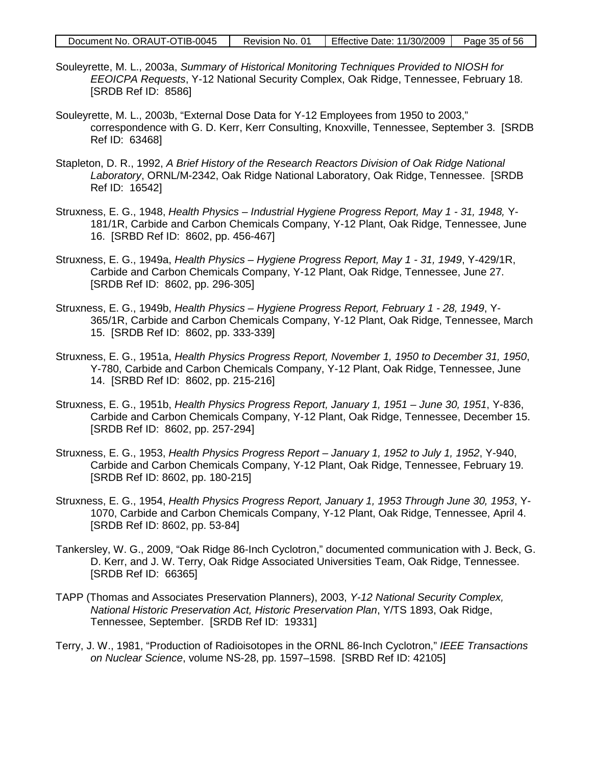| Document No. ORAUT-OTIB-0045 | Revision No. 01 | Effective Date: 11/30/2009 | Page 35 of 56 |
|------------------------------|-----------------|----------------------------|---------------|
|------------------------------|-----------------|----------------------------|---------------|

- Souleyrette, M. L., 2003a, *Summary of Historical Monitoring Techniques Provided to NIOSH for EEOICPA Requests*, Y-12 National Security Complex, Oak Ridge, Tennessee, February 18. [SRDB Ref ID: 8586]
- Souleyrette, M. L., 2003b, "External Dose Data for Y-12 Employees from 1950 to 2003," correspondence with G. D. Kerr, Kerr Consulting, Knoxville, Tennessee, September 3. [SRDB Ref ID: 63468]
- Stapleton, D. R., 1992, *A Brief History of the Research Reactors Division of Oak Ridge National Laboratory*, ORNL/M-2342, Oak Ridge National Laboratory, Oak Ridge, Tennessee. [SRDB Ref ID: 16542]
- Struxness, E. G., 1948, *Health Physics – Industrial Hygiene Progress Report, May 1 - 31, 1948,* Y-181/1R, Carbide and Carbon Chemicals Company, Y-12 Plant, Oak Ridge, Tennessee, June 16. [SRBD Ref ID: 8602, pp. 456-467]
- Struxness, E. G., 1949a, *Health Physics – Hygiene Progress Report, May 1 - 31, 1949*, Y-429/1R, Carbide and Carbon Chemicals Company, Y-12 Plant, Oak Ridge, Tennessee, June 27. [SRDB Ref ID: 8602, pp. 296-305]
- Struxness, E. G., 1949b, *Health Physics – Hygiene Progress Report, February 1 - 28, 1949*, Y-365/1R, Carbide and Carbon Chemicals Company, Y-12 Plant, Oak Ridge, Tennessee, March 15. [SRDB Ref ID: 8602, pp. 333-339]
- Struxness, E. G., 1951a, *Health Physics Progress Report, November 1, 1950 to December 31, 1950*, Y-780, Carbide and Carbon Chemicals Company, Y-12 Plant, Oak Ridge, Tennessee, June 14. [SRBD Ref ID: 8602, pp. 215-216]
- Struxness, E. G., 1951b, *Health Physics Progress Report, January 1, 1951 – June 30, 1951*, Y-836, Carbide and Carbon Chemicals Company, Y-12 Plant, Oak Ridge, Tennessee, December 15. [SRDB Ref ID: 8602, pp. 257-294]
- Struxness, E. G., 1953, *Health Physics Progress Report – January 1, 1952 to July 1, 1952*, Y-940, Carbide and Carbon Chemicals Company, Y-12 Plant, Oak Ridge, Tennessee, February 19. [SRDB Ref ID: 8602, pp. 180-215]
- Struxness, E. G., 1954, *Health Physics Progress Report, January 1, 1953 Through June 30, 1953*, Y-1070, Carbide and Carbon Chemicals Company, Y-12 Plant, Oak Ridge, Tennessee, April 4. [SRDB Ref ID: 8602, pp. 53-84]
- Tankersley, W. G., 2009, "Oak Ridge 86-Inch Cyclotron," documented communication with J. Beck, G. D. Kerr, and J. W. Terry, Oak Ridge Associated Universities Team, Oak Ridge, Tennessee. [SRDB Ref ID: 66365]
- TAPP (Thomas and Associates Preservation Planners), 2003, *Y-12 National Security Complex, National Historic Preservation Act, Historic Preservation Plan*, Y/TS 1893, Oak Ridge, Tennessee, September. [SRDB Ref ID: 19331]
- Terry, J. W., 1981, "Production of Radioisotopes in the ORNL 86-Inch Cyclotron," *IEEE Transactions on Nuclear Science*, volume NS-28, pp. 1597–1598. [SRBD Ref ID: 42105]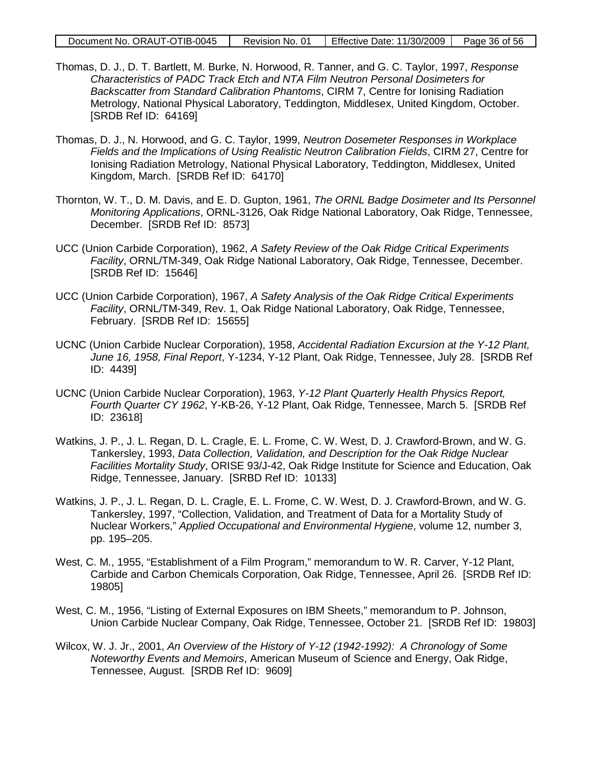| Document No. ORAUT-OTIB-0045 | Revision No. 01 | Effective Date: 11/30/2009 | Page 36 of 56 |
|------------------------------|-----------------|----------------------------|---------------|
|                              |                 |                            |               |

- Thomas, D. J., D. T. Bartlett, M. Burke, N. Horwood, R. Tanner, and G. C. Taylor, 1997, *Response Characteristics of PADC Track Etch and NTA Film Neutron Personal Dosimeters for Backscatter from Standard Calibration Phantoms*, CIRM 7, Centre for Ionising Radiation Metrology, National Physical Laboratory, Teddington, Middlesex, United Kingdom, October. [SRDB Ref ID: 64169]
- Thomas, D. J., N. Horwood, and G. C. Taylor, 1999, *Neutron Dosemeter Responses in Workplace Fields and the Implications of Using Realistic Neutron Calibration Fields*, CIRM 27, Centre for Ionising Radiation Metrology, National Physical Laboratory, Teddington, Middlesex, United Kingdom, March. [SRDB Ref ID: 64170]
- Thornton, W. T., D. M. Davis, and E. D. Gupton, 1961, *The ORNL Badge Dosimeter and Its Personnel Monitoring Applications*, ORNL-3126, Oak Ridge National Laboratory, Oak Ridge, Tennessee, December. [SRDB Ref ID: 8573]
- UCC (Union Carbide Corporation), 1962, *A Safety Review of the Oak Ridge Critical Experiments Facility*, ORNL/TM-349, Oak Ridge National Laboratory, Oak Ridge, Tennessee, December. [SRDB Ref ID: 15646]
- UCC (Union Carbide Corporation), 1967, *A Safety Analysis of the Oak Ridge Critical Experiments Facility*, ORNL/TM-349, Rev. 1, Oak Ridge National Laboratory, Oak Ridge, Tennessee, February. [SRDB Ref ID: 15655]
- UCNC (Union Carbide Nuclear Corporation), 1958, *Accidental Radiation Excursion at the Y-12 Plant, June 16, 1958, Final Report*, Y-1234, Y-12 Plant, Oak Ridge, Tennessee, July 28. [SRDB Ref ID: 4439]
- UCNC (Union Carbide Nuclear Corporation), 1963, *Y-12 Plant Quarterly Health Physics Report, Fourth Quarter CY 1962*, Y-KB-26, Y-12 Plant, Oak Ridge, Tennessee, March 5. [SRDB Ref ID: 23618]
- Watkins, J. P., J. L. Regan, D. L. Cragle, E. L. Frome, C. W. West, D. J. Crawford-Brown, and W. G. Tankersley, 1993, *Data Collection, Validation, and Description for the Oak Ridge Nuclear Facilities Mortality Study*, ORISE 93/J-42, Oak Ridge Institute for Science and Education, Oak Ridge, Tennessee, January. [SRBD Ref ID: 10133]
- Watkins, J. P., J. L. Regan, D. L. Cragle, E. L. Frome, C. W. West, D. J. Crawford-Brown, and W. G. Tankersley, 1997, "Collection, Validation, and Treatment of Data for a Mortality Study of Nuclear Workers," *Applied Occupational and Environmental Hygiene*, volume 12, number 3, pp. 195–205.
- West, C. M., 1955, "Establishment of a Film Program," memorandum to W. R. Carver, Y-12 Plant, Carbide and Carbon Chemicals Corporation, Oak Ridge, Tennessee, April 26. [SRDB Ref ID: 19805]
- West, C. M., 1956, "Listing of External Exposures on IBM Sheets," memorandum to P. Johnson, Union Carbide Nuclear Company, Oak Ridge, Tennessee, October 21. [SRDB Ref ID: 19803]
- Wilcox, W. J. Jr., 2001, *An Overview of the History of Y-12 (1942-1992): A Chronology of Some Noteworthy Events and Memoirs*, American Museum of Science and Energy, Oak Ridge, Tennessee, August. [SRDB Ref ID: 9609]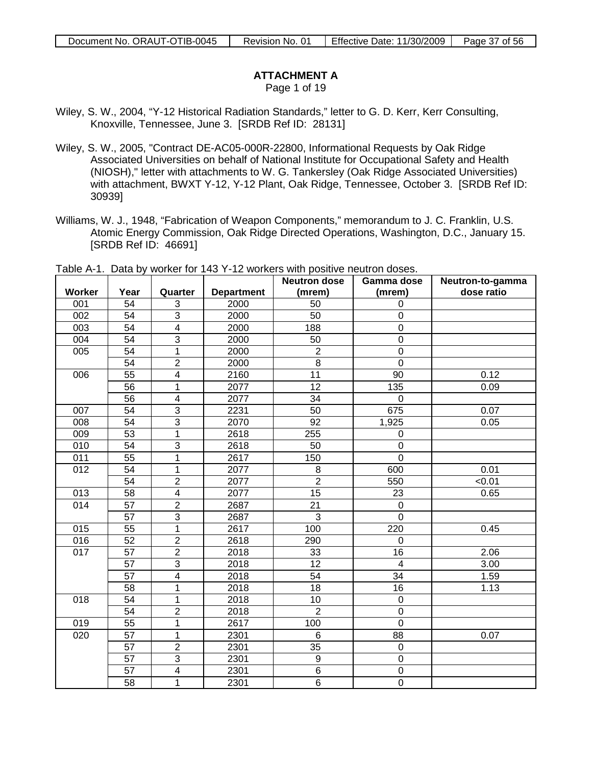Page 1 of 19

- Wiley, S. W., 2004, "Y-12 Historical Radiation Standards," letter to G. D. Kerr, Kerr Consulting, Knoxville, Tennessee, June 3. [SRDB Ref ID: 28131]
- Wiley, S. W., 2005, "Contract DE-AC05-000R-22800, Informational Requests by Oak Ridge Associated Universities on behalf of National Institute for Occupational Safety and Health (NIOSH)," letter with attachments to W. G. Tankersley (Oak Ridge Associated Universities) with attachment, BWXT Y-12, Y-12 Plant, Oak Ridge, Tennessee, October 3. [SRDB Ref ID: 30939]
- Williams, W. J., 1948, "Fabrication of Weapon Components," memorandum to J. C. Franklin, U.S. Atomic Energy Commission, Oak Ridge Directed Operations, Washington, D.C., January 15. [SRDB Ref ID: 46691]

| <b>Worker</b>    | Year            | Quarter                 | <b>Department</b> | <b>Neutron dose</b><br>(mrem) | Gamma dose<br>(mrem)    | Neutron-to-gamma<br>dose ratio |
|------------------|-----------------|-------------------------|-------------------|-------------------------------|-------------------------|--------------------------------|
| 001              | 54              | 3                       | 2000              | 50                            | $\Omega$                |                                |
| 002              | 54              | $\overline{3}$          | 2000              | 50                            | $\mathbf 0$             |                                |
| 003              | 54              | $\overline{\mathbf{4}}$ | 2000              | 188                           | $\boldsymbol{0}$        |                                |
| 004              | 54              | $\overline{3}$          | 2000              | 50                            | $\mathsf 0$             |                                |
| 005              | $\overline{54}$ | $\overline{1}$          | 2000              | $\overline{2}$                | $\mathbf 0$             |                                |
|                  | 54              | $\overline{2}$          | 2000              | 8                             | $\mathbf 0$             |                                |
| 006              | $\overline{55}$ | $\overline{4}$          | 2160              | $\overline{11}$               | $\overline{90}$         | 0.12                           |
|                  | 56              | $\overline{1}$          | 2077              | $\overline{12}$               | 135                     | 0.09                           |
|                  | $\overline{56}$ | $\overline{4}$          | 2077              | 34                            | $\mathbf 0$             |                                |
| 007              | $\overline{54}$ | $\overline{3}$          | 2231              | 50                            | 675                     | 0.07                           |
| 008              | 54              | $\overline{3}$          | 2070              | 92                            | 1,925                   | 0.05                           |
| 009              | 53              | $\overline{1}$          | 2618              | 255                           | $\overline{0}$          |                                |
| 010              | $\overline{54}$ | $\overline{3}$          | 2618              | 50                            | $\overline{0}$          |                                |
| 011              | 55              | 1                       | 2617              | 150                           | $\mathbf 0$             |                                |
| 012              | 54              | 1                       | 2077              | $\,8\,$                       | 600                     | 0.01                           |
|                  | 54              | $\overline{2}$          | 2077              | $\overline{2}$                | 550                     | < 0.01                         |
| 013              | 58              | $\overline{4}$          | 2077              | 15                            | 23                      | 0.65                           |
| 014              | 57              | $\overline{2}$          | 2687              | 21                            | $\mathbf 0$             |                                |
|                  | 57              | $\overline{3}$          | 2687              | $\overline{3}$                | $\overline{0}$          |                                |
| 015              | $\overline{55}$ | 1                       | 2617              | 100                           | 220                     | 0.45                           |
| 016              | $\overline{52}$ | $\overline{2}$          | 2618              | 290                           | $\mathbf 0$             |                                |
| $\overline{017}$ | $\overline{57}$ | $\overline{2}$          | 2018              | 33                            | 16                      | 2.06                           |
|                  | $\overline{57}$ | $\overline{3}$          | 2018              | 12                            | $\overline{\mathbf{4}}$ | 3.00                           |
|                  | 57              | $\overline{\mathbf{4}}$ | 2018              | 54                            | 34                      | 1.59                           |
|                  | 58              | 1                       | 2018              | 18                            | $\overline{16}$         | 1.13                           |
| 018              | 54              | 1                       | 2018              | 10                            | $\mathbf 0$             |                                |
|                  | 54              | $\overline{2}$          | 2018              | $\overline{2}$                | $\mathbf 0$             |                                |
| 019              | $\overline{55}$ | 1                       | 2617              | 100                           | $\mathbf 0$             |                                |
| 020              | $\overline{57}$ | $\overline{1}$          | 2301              | $6\phantom{1}6$               | $\overline{88}$         | 0.07                           |
|                  | 57              | $\overline{2}$          | 2301              | 35                            | $\pmb{0}$               |                                |
|                  | $\overline{57}$ | $\overline{3}$          | 2301              | $9\,$                         | $\mathbf 0$             |                                |
|                  | 57              | $\overline{4}$          | 2301              | $\overline{6}$                | $\mathbf 0$             |                                |
|                  | 58              | 1                       | 2301              | 6                             | $\mathbf 0$             |                                |

Table A-1. Data by worker for 143 Y-12 workers with positive neutron doses.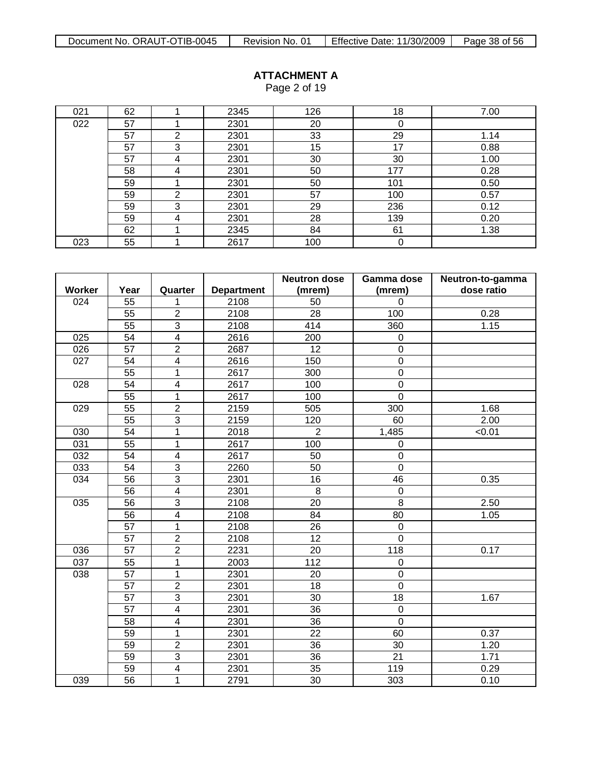| 021 | 62 |   | 2345 | 126 | 18  | 7.00 |
|-----|----|---|------|-----|-----|------|
| 022 | 57 |   | 2301 | 20  | 0   |      |
|     | 57 | ⌒ | 2301 | 33  | 29  | 1.14 |
|     | 57 | 3 | 2301 | 15  | 17  | 0.88 |
|     | 57 | 4 | 2301 | 30  | 30  | 1.00 |
|     | 58 | 4 | 2301 | 50  | 177 | 0.28 |
|     | 59 |   | 2301 | 50  | 101 | 0.50 |
|     | 59 | ⌒ | 2301 | 57  | 100 | 0.57 |
|     | 59 | 3 | 2301 | 29  | 236 | 0.12 |
|     | 59 | 4 | 2301 | 28  | 139 | 0.20 |
|     | 62 |   | 2345 | 84  | 61  | 1.38 |
| 023 | 55 |   | 2617 | 100 | 0   |      |

|        |                 |                          |                   | <b>Neutron dose</b> | Gamma dose       | Neutron-to-gamma |
|--------|-----------------|--------------------------|-------------------|---------------------|------------------|------------------|
| Worker | Year            | Quarter                  | <b>Department</b> | (mrem)              | (mrem)           | dose ratio       |
| 024    | 55              | 1                        | 2108              | 50                  | $\mathbf 0$      |                  |
|        | 55              | $\overline{2}$           | 2108              | 28                  | 100              | 0.28             |
|        | $\overline{55}$ | $\overline{3}$           | 2108              | 414                 | 360              | 1.15             |
| 025    | 54              | $\overline{4}$           | 2616              | 200                 | $\mathbf 0$      |                  |
| 026    | $\overline{57}$ | $\overline{2}$           | 2687              | $\overline{12}$     | $\overline{0}$   |                  |
| 027    | 54              | $\overline{\mathbf{4}}$  | 2616              | 150                 | $\mathbf 0$      |                  |
|        | 55              | 1                        | 2617              | 300                 | $\mathsf 0$      |                  |
| 028    | 54              | $\overline{4}$           | 2617              | 100                 | $\mathbf 0$      |                  |
|        | 55              | 1                        | 2617              | 100                 | $\mathbf 0$      |                  |
| 029    | 55              | $\overline{2}$           | 2159              | 505                 | 300              | 1.68             |
|        | 55              | $\overline{3}$           | 2159              | 120                 | 60               | 2.00             |
| 030    | $\overline{54}$ | 1                        | 2018              | $\overline{2}$      | 1,485            | < 0.01           |
| 031    | 55              | 1                        | 2617              | 100                 | 0                |                  |
| 032    | 54              | $\overline{4}$           | 2617              | 50                  | $\mathbf 0$      |                  |
| 033    | $\overline{54}$ | $\overline{3}$           | 2260              | 50                  | $\mathbf 0$      |                  |
| 034    | 56              | $\overline{3}$           | 2301              | 16                  | 46               | 0.35             |
|        | 56              | 4                        | 2301              | 8                   | $\mathbf 0$      |                  |
| 035    | 56              | $\overline{3}$           | 2108              | 20                  | 8                | 2.50             |
|        | 56              | $\overline{\mathbf{4}}$  | 2108              | 84                  | 80               | 1.05             |
|        | $\overline{57}$ | 1                        | 2108              | 26                  | 0                |                  |
|        | 57              | $\overline{c}$           | 2108              | 12                  | $\pmb{0}$        |                  |
| 036    | 57              | $\overline{2}$           | 2231              | 20                  | 118              | 0.17             |
| 037    | 55              | 1                        | 2003              | 112                 | $\mathbf 0$      |                  |
| 038    | 57              | $\mathbf{1}$             | 2301              | 20                  | $\boldsymbol{0}$ |                  |
|        | 57              | $\overline{2}$           | 2301              | 18                  | $\overline{0}$   |                  |
|        | 57              | $\overline{3}$           | 2301              | 30                  | 18               | 1.67             |
|        | $\overline{57}$ | $\overline{4}$           | 2301              | 36                  | $\mathbf 0$      |                  |
|        | 58              | $\overline{4}$           | 2301              | 36                  | $\mathbf 0$      |                  |
|        | 59              | 1                        | 2301              | 22                  | 60               | 0.37             |
|        | 59              | $\overline{2}$           | 2301              | 36                  | 30               | 1.20             |
|        | 59              | 3                        | 2301              | 36                  | 21               | 1.71             |
|        | 59              | $\overline{\mathcal{A}}$ | 2301              | 35                  | 119              | 0.29             |
| 039    | 56              | 1                        | 2791              | 30                  | 303              | 0.10             |

### **ATTACHMENT A** Page 2 of 19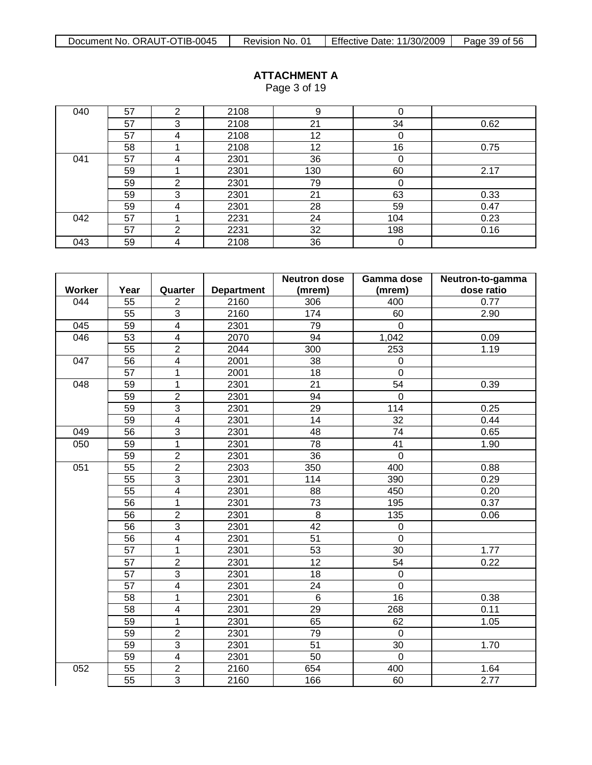|     |    |   |      | ~   |     |      |
|-----|----|---|------|-----|-----|------|
| 040 | 57 | ົ | 2108 | 9   |     |      |
|     | 57 | 3 | 2108 | 21  | 34  | 0.62 |
|     | 57 | 4 | 2108 | 12  | 0   |      |
|     | 58 |   | 2108 | 12  | 16  | 0.75 |
| 041 | 57 | 4 | 2301 | 36  | 0   |      |
|     | 59 |   | 2301 | 130 | 60  | 2.17 |
|     | 59 | ◠ | 2301 | 79  | 0   |      |
|     | 59 | 3 | 2301 | 21  | 63  | 0.33 |
|     | 59 | 4 | 2301 | 28  | 59  | 0.47 |
| 042 | 57 |   | 2231 | 24  | 104 | 0.23 |
|     | 57 | 2 | 2231 | 32  | 198 | 0.16 |
| 043 | 59 | 4 | 2108 | 36  | 0   |      |

|                  |                 |                         |                   | <b>Neutron dose</b> | Gamma dose      | Neutron-to-gamma |
|------------------|-----------------|-------------------------|-------------------|---------------------|-----------------|------------------|
| Worker           | Year            | Quarter                 | <b>Department</b> | (mrem)              | (mrem)          | dose ratio       |
| 044              | 55              | $\overline{2}$          | 2160              | 306                 | 400             | 0.77             |
|                  | 55              | $\overline{3}$          | 2160              | 174                 | 60              | 2.90             |
| 045              | 59              | $\overline{4}$          | 2301              | 79                  | $\Omega$        |                  |
| 046              | 53              | $\overline{\mathbf{4}}$ | 2070              | 94                  | 1,042           | 0.09             |
|                  | 55              | $\overline{2}$          | 2044              | 300                 | 253             | 1.19             |
| 047              | 56              | $\overline{4}$          | 2001              | 38                  | $\mathbf 0$     |                  |
|                  | 57              | 1                       | 2001              | 18                  | $\mathbf 0$     |                  |
| $\overline{048}$ | 59              | $\overline{1}$          | 2301              | $\overline{21}$     | $\overline{54}$ | 0.39             |
|                  | 59              | $\overline{2}$          | 2301              | 94                  | $\mathbf 0$     |                  |
|                  | 59              | $\overline{3}$          | 2301              | 29                  | 114             | 0.25             |
|                  | 59              | $\overline{4}$          | 2301              | 14                  | $\overline{32}$ | 0.44             |
| 049              | 56              | 3                       | 2301              | 48                  | $\overline{74}$ | 0.65             |
| 050              | 59              | $\mathbf 1$             | 2301              | 78                  | 41              | 1.90             |
|                  | 59              | $\overline{2}$          | 2301              | 36                  | $\mathbf 0$     |                  |
| 051              | $\overline{55}$ | $\overline{2}$          | 2303              | 350                 | 400             | 0.88             |
|                  | 55              | $\overline{3}$          | 2301              | 114                 | 390             | 0.29             |
|                  | $\overline{55}$ | $\overline{4}$          | 2301              | 88                  | 450             | 0.20             |
|                  | 56              | 1                       | 2301              | 73                  | 195             | 0.37             |
|                  | 56              | $\overline{2}$          | 2301              | 8                   | 135             | 0.06             |
|                  | 56              | $\overline{3}$          | 2301              | $\overline{42}$     | $\mathbf 0$     |                  |
|                  | 56              | $\overline{4}$          | 2301              | 51                  | $\overline{0}$  |                  |
|                  | $\overline{57}$ | $\mathbf 1$             | 2301              | 53                  | 30              | 1.77             |
|                  | 57              | $\overline{2}$          | 2301              | 12                  | 54              | 0.22             |
|                  | 57              | $\overline{3}$          | 2301              | 18                  | $\mathbf 0$     |                  |
|                  | 57              | 4                       | 2301              | 24                  | $\mathbf 0$     |                  |
|                  | 58              | $\mathbf 1$             | 2301              | $6\phantom{1}6$     | 16              | 0.38             |
|                  | 58              | 4                       | 2301              | $\overline{29}$     | 268             | 0.11             |
|                  | 59              | $\mathbf 1$             | 2301              | 65                  | 62              | 1.05             |
|                  | 59              | $\overline{2}$          | 2301              | $\overline{79}$     | $\overline{0}$  |                  |
|                  | 59              | $\overline{3}$          | 2301              | $\overline{51}$     | 30              | 1.70             |
|                  | 59              | $\overline{\mathbf{4}}$ | 2301              | 50                  | $\mathbf 0$     |                  |
| 052              | 55              | $\overline{2}$          | 2160              | 654                 | 400             | 1.64             |
|                  | 55              | $\overline{3}$          | 2160              | 166                 | 60              | 2.77             |

### **ATTACHMENT A** Page 3 of 19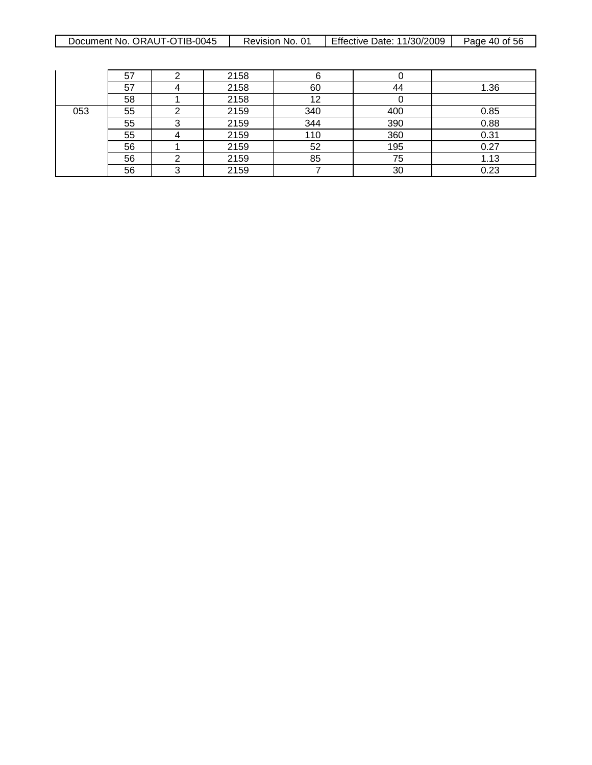| ORAUT-OTIB-0045<br>Document No. | No.<br>Revision | Effective<br>11/30/2009<br>⊃ate: | 56<br>Page<br>0t<br>-40 |
|---------------------------------|-----------------|----------------------------------|-------------------------|
|                                 |                 |                                  |                         |

|     | 57 |   | 2158 |     |     |      |
|-----|----|---|------|-----|-----|------|
|     | 57 |   | 2158 | 60  | 44  | 1.36 |
|     | 58 |   | 2158 | 12  |     |      |
| 053 | 55 | ⌒ | 2159 | 340 | 400 | 0.85 |
|     | 55 | ົ | 2159 | 344 | 390 | 0.88 |
|     | 55 |   | 2159 | 110 | 360 | 0.31 |
|     | 56 |   | 2159 | 52  | 195 | 0.27 |
|     | 56 | ◠ | 2159 | 85  | 75  | 1.13 |
|     | 56 | ົ | 2159 |     | 30  | 0.23 |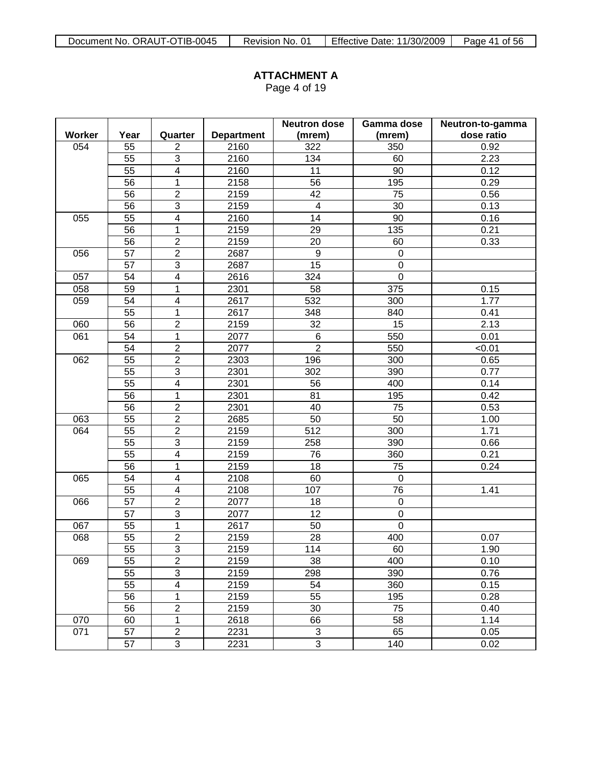Page 4 of 19

|        |                 |                         |                   | <b>Neutron dose</b>       | Gamma dose       | Neutron-to-gamma |
|--------|-----------------|-------------------------|-------------------|---------------------------|------------------|------------------|
| Worker | Year            | Quarter                 | <b>Department</b> | (mrem)                    | (mrem)           | dose ratio       |
| 054    | 55              | $\overline{2}$          | 2160              | 322                       | 350              | 0.92             |
|        | 55              | 3                       | 2160              | 134                       | 60               | 2.23             |
|        | $\overline{55}$ | $\overline{4}$          | 2160              | 11                        | 90               | 0.12             |
|        | 56              | $\mathbf{1}$            | 2158              | 56                        | 195              | 0.29             |
|        | 56              | $\overline{2}$          | 2159              | 42                        | 75               | 0.56             |
|        | 56              | $\overline{3}$          | 2159              | $\overline{\mathbf{4}}$   | 30               | 0.13             |
| 055    | $\overline{55}$ | $\overline{4}$          | 2160              | 14                        | $\overline{90}$  | 0.16             |
|        | 56              | 1                       | 2159              | 29                        | 135              | 0.21             |
|        | 56              | $\overline{2}$          | 2159              | 20                        | 60               | 0.33             |
| 056    | 57              | $\overline{2}$          | 2687              | 9                         | $\boldsymbol{0}$ |                  |
|        | 57              | 3                       | 2687              | 15                        | $\boldsymbol{0}$ |                  |
| 057    | 54              | $\overline{4}$          | 2616              | 324                       | $\pmb{0}$        |                  |
| 058    | 59              | 1                       | 2301              | 58                        | 375              | 0.15             |
| 059    | 54              | 4                       | 2617              | 532                       | 300              | 1.77             |
|        | $\overline{55}$ | $\mathbf{1}$            | 2617              | 348                       | 840              | 0.41             |
| 060    | 56              | $\overline{2}$          | 2159              | 32                        | 15               | 2.13             |
| 061    | 54              | 1                       | 2077              | 6                         | 550              | 0.01             |
|        | 54              | $\overline{c}$          | 2077              | $\overline{2}$            | 550              | < 0.01           |
| 062    | 55              | $\overline{2}$          | 2303              | 196                       | 300              | 0.65             |
|        | 55              | 3                       | 2301              | 302                       | 390              | 0.77             |
|        | $\overline{55}$ | $\overline{4}$          | 2301              | 56                        | 400              | 0.14             |
|        | 56              | 1                       | 2301              | 81                        | 195              | 0.42             |
|        | 56              | $\overline{2}$          | 2301              | 40                        | 75               | 0.53             |
| 063    | $\overline{55}$ | $\overline{2}$          | 2685              | 50                        | $\overline{50}$  | 1.00             |
| 064    | 55              | $\overline{2}$          | 2159              | 512                       | 300              | 1.71             |
|        | 55              | 3                       | 2159              | 258                       | 390              | 0.66             |
|        | $\overline{55}$ | $\overline{4}$          | 2159              | 76                        | 360              | 0.21             |
|        | $\overline{56}$ | $\mathbf{1}$            | 2159              | 18                        | $\overline{75}$  | 0.24             |
| 065    | 54              | $\overline{\mathbf{4}}$ | 2108              | 60                        | $\boldsymbol{0}$ |                  |
|        | 55              | $\overline{\mathbf{4}}$ | 2108              | 107                       | $\overline{76}$  | 1.41             |
| 066    | $\overline{57}$ | $\overline{2}$          | 2077              | 18                        | $\boldsymbol{0}$ |                  |
|        | 57              | $\overline{3}$          | 2077              | 12                        | $\boldsymbol{0}$ |                  |
| 067    | $\overline{55}$ | $\overline{1}$          | 2617              | 50                        | $\overline{0}$   |                  |
| 068    | 55              | $\overline{2}$          | 2159              | 28                        | 400              | 0.07             |
|        | 55              | $\overline{3}$          | 2159              | 114                       | 60               | 1.90             |
| 069    | 55              | $\mathbf{2}$            | 2159              | 38                        | 400              | 0.10             |
|        | 55              | $\overline{3}$          | 2159              | 298                       | 390              | 0.76             |
|        | 55              | 4                       | 2159              | 54                        | 360              | 0.15             |
|        | 56              | 1                       | 2159              | 55                        | 195              | 0.28             |
|        | 56              | $\overline{2}$          | 2159              | 30                        | 75               | 0.40             |
| 070    | 60              | 1                       | 2618              | 66                        | 58               | 1.14             |
| 071    | 57              | $\overline{2}$          | 2231              | $\ensuremath{\mathsf{3}}$ | 65               | 0.05             |
|        | 57              | 3                       | 2231              | 3                         | 140              | 0.02             |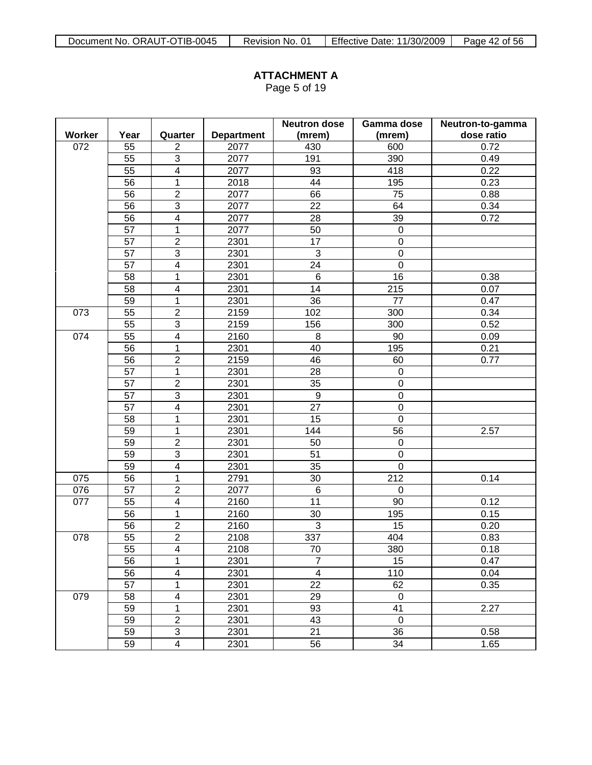Page 5 of 19

|        |                 |                         |                   | <b>Neutron dose</b> | Gamma dose       | Neutron-to-gamma |
|--------|-----------------|-------------------------|-------------------|---------------------|------------------|------------------|
| Worker | Year            | Quarter                 | <b>Department</b> | (mrem)              | (mrem)           | dose ratio       |
| 072    | 55              | $\overline{2}$          | 2077              | 430                 | 600              | 0.72             |
|        | $\overline{55}$ | $\overline{3}$          | 2077              | 191                 | 390              | 0.49             |
|        | 55              | $\overline{4}$          | 2077              | 93                  | 418              | 0.22             |
|        | 56              | 1                       | 2018              | 44                  | 195              | 0.23             |
|        | $\overline{56}$ | $\overline{2}$          | 2077              | 66                  | 75               | 0.88             |
|        | 56              | 3                       | 2077              | 22                  | 64               | 0.34             |
|        | 56              | $\overline{4}$          | 2077              | 28                  | 39               | 0.72             |
|        | $\overline{57}$ | 1                       | 2077              | 50                  | $\pmb{0}$        |                  |
|        | 57              | $\overline{2}$          | 2301              | 17                  | $\boldsymbol{0}$ |                  |
|        | $\overline{57}$ | $\overline{3}$          | 2301              | $\mathbf{3}$        | $\mathbf 0$      |                  |
|        | 57              | $\overline{\mathbf{4}}$ | 2301              | 24                  | $\mathbf 0$      |                  |
|        | 58              | 1                       | 2301              | 6                   | 16               | 0.38             |
|        | 58              | 4                       | 2301              | 14                  | 215              | 0.07             |
|        | 59              | 1                       | 2301              | 36                  | 77               | 0.47             |
| 073    | 55              | $\overline{2}$          | 2159              | 102                 | 300              | 0.34             |
|        | 55              | 3                       | 2159              | 156                 | 300              | 0.52             |
| 074    | 55              | $\overline{\mathbf{4}}$ | 2160              | 8                   | 90               | 0.09             |
|        | 56              | 1                       | 2301              | 40                  | 195              | 0.21             |
|        | 56              | $\overline{c}$          | 2159              | 46                  | 60               | 0.77             |
|        | 57              | 1                       | 2301              | 28                  | $\boldsymbol{0}$ |                  |
|        | 57              | $\overline{2}$          | 2301              | 35                  | $\mathbf 0$      |                  |
|        | $\overline{57}$ | $\overline{3}$          | 2301              | $\overline{9}$      | $\overline{0}$   |                  |
|        | 57              | $\overline{\mathbf{4}}$ | 2301              | 27                  | $\mathbf 0$      |                  |
|        | 58              | 1                       | 2301              | 15                  | $\mathbf 0$      |                  |
|        | 59              | 1                       | 2301              | 144                 | 56               | 2.57             |
|        | 59              | $\overline{2}$          | 2301              | 50                  | $\pmb{0}$        |                  |
|        | 59              | $\overline{3}$          | 2301              | 51                  | $\mathbf 0$      |                  |
|        | 59              | $\overline{4}$          | 2301              | 35                  | $\mathbf 0$      |                  |
| 075    | 56              | 1                       | 2791              | 30                  | 212              | 0.14             |
| 076    | 57              | $\overline{\mathbf{c}}$ | 2077              | $\,6$               | $\boldsymbol{0}$ |                  |
| 077    | 55              | $\overline{\mathbf{4}}$ | 2160              | 11                  | 90               | 0.12             |
|        | 56              | 1                       | 2160              | 30                  | 195              | 0.15             |
|        | 56              | $\boldsymbol{2}$        | 2160              | 3                   | 15               | 0.20             |
| 078    | $\overline{55}$ | $\overline{2}$          | 2108              | 337                 | 404              | 0.83             |
|        | $\overline{55}$ | $\overline{4}$          | 2108              | 70                  | 380              | 0.18             |
|        | 56              | 1                       | 2301              | $\overline{7}$      | 15               | 0.47             |
|        | 56              | 4                       | 2301              | 4                   | 110              | 0.04             |
|        | 57              | 1                       | 2301              | 22                  | 62               | 0.35             |
| 079    | 58              | 4                       | 2301              | 29                  | $\pmb{0}$        |                  |
|        | 59              | 1                       | 2301              | 93                  | 41               | 2.27             |
|        | 59              | $\overline{2}$          | 2301              | 43                  | $\pmb{0}$        |                  |
|        | 59              | 3                       | 2301              | 21                  | 36               | 0.58             |
|        | 59              | 4                       | 2301              | 56                  | 34               | 1.65             |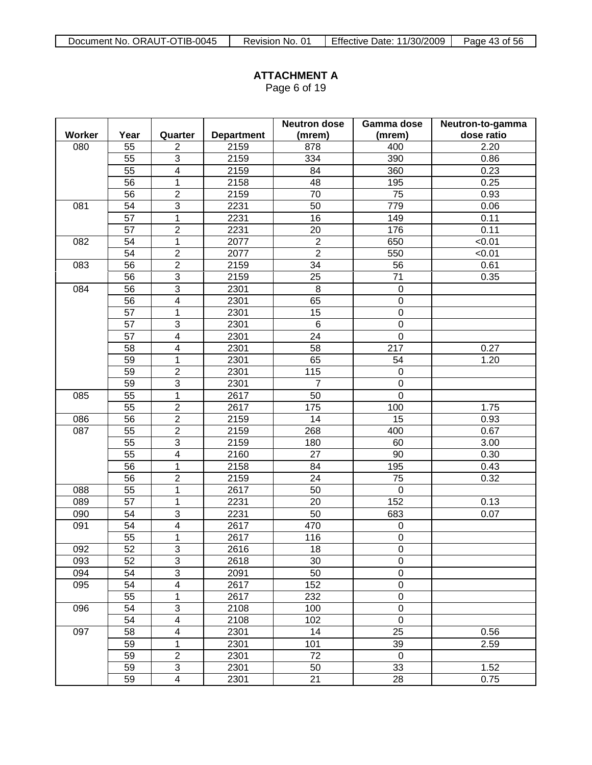Page 6 of 19

|               |                 |                          |                   | <b>Neutron dose</b> | Gamma dose       | Neutron-to-gamma |
|---------------|-----------------|--------------------------|-------------------|---------------------|------------------|------------------|
| <b>Worker</b> | Year            | Quarter                  | <b>Department</b> | (mrem)              | (mrem)           | dose ratio       |
| 080           | 55              | $\overline{2}$           | 2159              | 878                 | 400              | 2.20             |
|               | $\overline{55}$ | 3                        | 2159              | 334                 | 390              | 0.86             |
|               | 55              | $\overline{4}$           | 2159              | 84                  | 360              | 0.23             |
|               | 56              | 1                        | 2158              | 48                  | 195              | 0.25             |
|               | 56              | $\overline{2}$           | 2159              | 70                  | 75               | 0.93             |
| 081           | 54              | $\overline{3}$           | 2231              | 50                  | 779              | 0.06             |
|               | $\overline{57}$ | $\overline{1}$           | 2231              | 16                  | 149              | 0.11             |
|               | 57              | $\overline{2}$           | 2231              | 20                  | 176              | 0.11             |
| 082           | 54              | $\mathbf{1}$             | 2077              | $\overline{2}$      | 650              | < 0.01           |
|               | $\overline{54}$ | $\overline{2}$           | 2077              | $\overline{2}$      | 550              | < 0.01           |
| 083           | 56              | $\overline{2}$           | 2159              | 34                  | 56               | 0.61             |
|               | 56              | 3                        | 2159              | 25                  | 71               | 0.35             |
| 084           | 56              | 3                        | 2301              | 8                   | $\boldsymbol{0}$ |                  |
|               | 56              | $\overline{\mathbf{4}}$  | 2301              | 65                  | $\mathsf 0$      |                  |
|               | 57              | 1                        | 2301              | 15                  | $\mathsf 0$      |                  |
|               | 57              | 3                        | 2301              | $\,6$               | $\pmb{0}$        |                  |
|               | 57              | $\overline{\mathbf{4}}$  | 2301              | 24                  | $\pmb{0}$        |                  |
|               | 58              | $\overline{\mathcal{A}}$ | 2301              | 58                  | 217              | 0.27             |
|               | 59              | 1                        | 2301              | 65                  | 54               | 1.20             |
|               | 59              | $\overline{2}$           | 2301              | 115                 | $\boldsymbol{0}$ |                  |
|               | 59              | $\overline{3}$           | 2301              | $\overline{7}$      | $\mathbf 0$      |                  |
| 085           | $\overline{55}$ | $\mathbf{1}$             | 2617              | 50                  | $\overline{0}$   |                  |
|               | 55              | $\overline{2}$           | 2617              | 175                 | 100              | 1.75             |
| 086           | 56              | $\overline{2}$           | 2159              | 14                  | 15               | 0.93             |
| 087           | 55              | $\overline{2}$           | 2159              | 268                 | 400              | 0.67             |
|               | 55              | $\overline{3}$           | 2159              | 180                 | 60               | 3.00             |
|               | 55              | $\overline{4}$           | 2160              | 27                  | $\overline{90}$  | 0.30             |
|               | 56              | 1                        | 2158              | 84                  | 195              | 0.43             |
|               | 56              | $\overline{2}$           | 2159              | 24                  | 75               | 0.32             |
| 088           | 55              | 1                        | 2617              | 50                  | $\boldsymbol{0}$ |                  |
| 089           | 57              | $\mathbf 1$              | 2231              | 20                  | 152              | 0.13             |
| 090           | 54              | $\overline{3}$           | 2231              | 50                  | 683              | 0.07             |
| 091           | 54              | $\overline{4}$           | 2617              | 470                 | $\pmb{0}$        |                  |
|               | 55              | 1                        | 2617              | 116                 | $\mathbf 0$      |                  |
| 092           | 52              | $\overline{3}$           | 2616              | 18                  | $\mathbf 0$      |                  |
| 093           | 52              | 3                        | 2618              | 30                  | 0                |                  |
| 094           | 54              | 3                        | 2091              | 50                  | 0                |                  |
| 095           | 54              | $\overline{\mathbf{4}}$  | 2617              | 152                 | 0                |                  |
|               | 55              | 1                        | 2617              | 232                 | 0                |                  |
| 096           | 54              | 3                        | 2108              | 100                 | 0                |                  |
|               | 54              | 4                        | 2108              | 102                 | $\pmb{0}$        |                  |
| 097           | 58              | 4                        | 2301              | 14                  | 25               | 0.56             |
|               | 59              | $\mathbf{1}$             | 2301              | 101                 | 39               | 2.59             |
|               | 59              | $\overline{c}$           | 2301              | 72                  | $\boldsymbol{0}$ |                  |
|               | 59              | 3                        | 2301              | 50                  | 33               | 1.52             |
|               | 59              | $\overline{4}$           | 2301              | 21                  | 28               | 0.75             |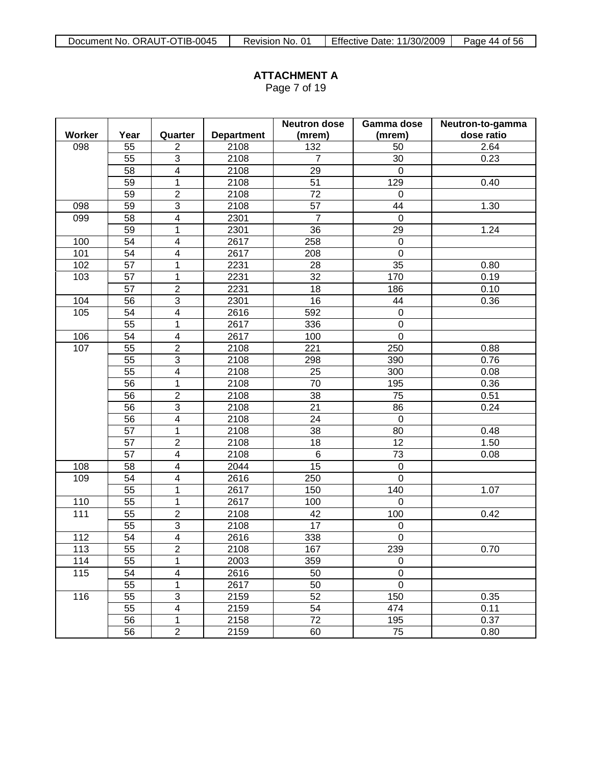Page 7 of 19

|        |                 |                         |                   | <b>Neutron dose</b> | Gamma dose       | Neutron-to-gamma |
|--------|-----------------|-------------------------|-------------------|---------------------|------------------|------------------|
| Worker | Year            | Quarter                 | <b>Department</b> | (mrem)              | (mrem)           | dose ratio       |
| 098    | 55              | $\overline{2}$          | 2108              | 132                 | 50               | 2.64             |
|        | 55              | 3                       | 2108              | $\overline{7}$      | 30               | 0.23             |
|        | 58              | $\overline{4}$          | 2108              | 29                  | $\mathbf 0$      |                  |
|        | 59              | $\overline{1}$          | 2108              | 51                  | 129              | 0.40             |
|        | 59              | $\overline{2}$          | 2108              | 72                  | $\mathsf 0$      |                  |
| 098    | 59              | $\overline{3}$          | 2108              | 57                  | 44               | 1.30             |
| 099    | $\overline{58}$ | $\overline{4}$          | 2301              | $\overline{7}$      | $\pmb{0}$        |                  |
|        | 59              | $\mathbf{1}$            | 2301              | 36                  | 29               | 1.24             |
| 100    | $\overline{54}$ | $\overline{4}$          | 2617              | 258                 | $\mathbf 0$      |                  |
| 101    | 54              | $\overline{\mathbf{4}}$ | 2617              | 208                 | $\mathbf 0$      |                  |
| 102    | 57              | $\mathbf{1}$            | 2231              | 28                  | 35               | 0.80             |
| 103    | $\overline{57}$ | $\mathbf{1}$            | 2231              | 32                  | 170              | 0.19             |
|        | 57              | $\overline{2}$          | 2231              | 18                  | 186              | 0.10             |
| 104    | 56              | $\mathsf 3$             | 2301              | 16                  | 44               | 0.36             |
| 105    | 54              | $\overline{4}$          | 2616              | 592                 | $\mathbf 0$      |                  |
|        | $\overline{55}$ | 1                       | 2617              | 336                 | $\pmb{0}$        |                  |
| 106    | 54              | $\overline{\mathbf{4}}$ | 2617              | 100                 | $\mathbf 0$      |                  |
| 107    | 55              | $\mathbf 2$             | 2108              | 221                 | 250              | 0.88             |
|        | 55              | $\overline{3}$          | 2108              | 298                 | 390              | 0.76             |
|        | 55              | $\overline{\mathbf{4}}$ | 2108              | 25                  | 300              | 0.08             |
|        | $\overline{56}$ | $\mathbf{1}$            | 2108              | $\overline{70}$     | 195              | 0.36             |
|        | 56              | $\overline{2}$          | 2108              | 38                  | 75               | 0.51             |
|        | 56              | $\overline{3}$          | 2108              | 21                  | 86               | 0.24             |
|        | $\overline{56}$ | $\overline{4}$          | 2108              | $\overline{24}$     | $\pmb{0}$        |                  |
|        | 57              | $\overline{1}$          | 2108              | 38                  | 80               | 0.48             |
|        | 57              | $\overline{2}$          | 2108              | 18                  | 12               | 1.50             |
|        | 57              | $\overline{4}$          | 2108              | $6\phantom{1}$      | $\overline{73}$  | 0.08             |
| 108    | 58              | $\overline{\mathbf{4}}$ | 2044              | 15                  | $\pmb{0}$        |                  |
| 109    | 54              | $\overline{4}$          | 2616              | 250                 | $\pmb{0}$        |                  |
|        | $\overline{55}$ | $\mathbf{1}$            | 2617              | 150                 | 140              | 1.07             |
| 110    | 55              | $\mathbf{1}$            | 2617              | 100                 | $\pmb{0}$        |                  |
| 111    | 55              | $\overline{2}$          | 2108              | 42                  | 100              | 0.42             |
|        | $\overline{55}$ | $\overline{3}$          | 2108              | 17                  | $\pmb{0}$        |                  |
| 112    | 54              | $\overline{4}$          | 2616              | 338                 | 0                |                  |
| 113    | 55              | $\overline{2}$          | 2108              | 167                 | 239              | 0.70             |
| 114    | 55              | 1                       | 2003              | 359                 | $\pmb{0}$        |                  |
| 115    | 54              | 4                       | 2616              | 50                  | $\boldsymbol{0}$ |                  |
|        | 55              | 1                       | 2617              | 50                  | $\pmb{0}$        |                  |
| 116    | 55              | $\overline{3}$          | 2159              | 52                  | 150              | 0.35             |
|        | 55              | $\overline{\mathbf{4}}$ | 2159              | 54                  | 474              | 0.11             |
|        | 56              | $\mathbf{1}$            | 2158              | 72                  | 195              | 0.37             |
|        | 56              | $\overline{2}$          | 2159              | 60                  | 75               | 0.80             |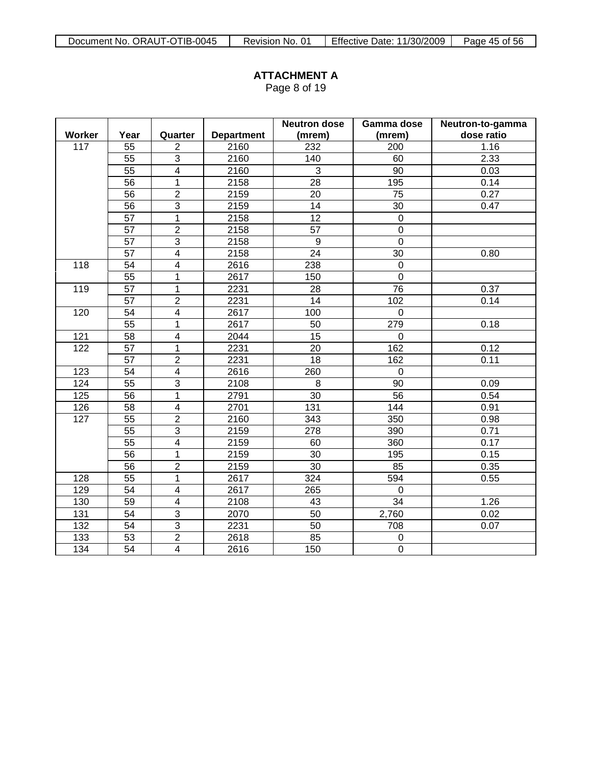Page 8 of 19

|        |                 |                         |                   | <b>Neutron dose</b> | Gamma dose      | Neutron-to-gamma |
|--------|-----------------|-------------------------|-------------------|---------------------|-----------------|------------------|
| Worker | Year            | Quarter                 | <b>Department</b> | (mrem)              | (mrem)          | dose ratio       |
| 117    | 55              | $\overline{2}$          | 2160              | 232                 | 200             | 1.16             |
|        | 55              | $\overline{3}$          | 2160              | 140                 | 60              | 2.33             |
|        | 55              | $\overline{4}$          | 2160              | 3                   | 90              | 0.03             |
|        | 56              | $\overline{1}$          | 2158              | 28                  | 195             | 0.14             |
|        | 56              | $\overline{2}$          | 2159              | 20                  | $\overline{75}$ | 0.27             |
|        | 56              | $\overline{3}$          | 2159              | 14                  | 30              | 0.47             |
|        | $\overline{57}$ | $\overline{1}$          | 2158              | $\overline{12}$     | $\mathbf 0$     |                  |
|        | $\overline{57}$ | $\overline{2}$          | 2158              | $\overline{57}$     | $\mathsf 0$     |                  |
|        | $\overline{57}$ | $\overline{3}$          | 2158              | 9                   | $\overline{0}$  |                  |
|        | 57              | $\overline{4}$          | 2158              | $\overline{24}$     | $\overline{30}$ | 0.80             |
| 118    | 54              | $\overline{4}$          | 2616              | 238                 | $\mathsf 0$     |                  |
|        | $\overline{55}$ | $\mathbf 1$             | 2617              | 150                 | $\overline{0}$  |                  |
| 119    | $\overline{57}$ | $\mathbf 1$             | 2231              | 28                  | $\overline{76}$ | 0.37             |
|        | 57              | $\overline{2}$          | 2231              | 14                  | 102             | 0.14             |
| 120    | 54              | $\overline{4}$          | 2617              | 100                 | $\mathbf 0$     |                  |
|        | $\overline{55}$ | $\mathbf{1}$            | 2617              | 50                  | 279             | 0.18             |
| 121    | 58              | $\overline{\mathbf{4}}$ | 2044              | 15                  | $\mathbf 0$     |                  |
| 122    | 57              | 1                       | 2231              | 20                  | 162             | 0.12             |
|        | 57              | $\overline{2}$          | 2231              | 18                  | 162             | 0.11             |
| 123    | 54              | $\overline{\mathbf{4}}$ | 2616              | 260                 | 0               |                  |
| 124    | 55              | 3                       | 2108              | 8                   | 90              | 0.09             |
| 125    | $\overline{56}$ | $\mathbf 1$             | 2791              | 30                  | 56              | 0.54             |
| 126    | 58              | $\overline{\mathbf{4}}$ | 2701              | 131                 | 144             | 0.91             |
| 127    | $\overline{55}$ | $\overline{2}$          | 2160              | 343                 | 350             | 0.98             |
|        | 55              | $\overline{3}$          | 2159              | 278                 | 390             | 0.71             |
|        | 55              | 4                       | 2159              | 60                  | 360             | 0.17             |
|        | 56              | 1                       | 2159              | 30                  | 195             | 0.15             |
|        | 56              | $\overline{c}$          | 2159              | 30                  | 85              | 0.35             |
| 128    | 55              | $\mathbf{1}$            | 2617              | 324                 | 594             | 0.55             |
| 129    | 54              | $\overline{\mathbf{4}}$ | 2617              | 265                 | $\mathbf{0}$    |                  |
| 130    | 59              | $\overline{\mathbf{4}}$ | 2108              | 43                  | $\overline{34}$ | 1.26             |
| 131    | 54              | $\overline{3}$          | 2070              | 50                  | 2,760           | 0.02             |
| 132    | $\overline{54}$ | $\overline{3}$          | 2231              | $\overline{50}$     | 708             | 0.07             |
| 133    | $\overline{53}$ | $\overline{2}$          | 2618              | 85                  | 0               |                  |
| 134    | 54              | $\overline{4}$          | 2616              | 150                 | $\overline{0}$  |                  |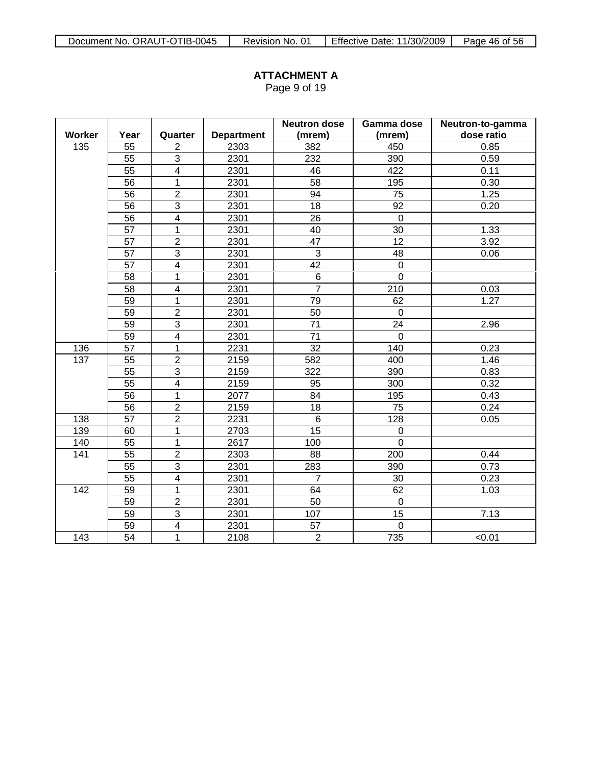Page 9 of 19

|                  |                 |                         |                   | <b>Neutron dose</b> | Gamma dose       | Neutron-to-gamma |
|------------------|-----------------|-------------------------|-------------------|---------------------|------------------|------------------|
| Worker           | Year            | Quarter                 | <b>Department</b> | (mrem)              | (mrem)           | dose ratio       |
| 135              | 55              | $\overline{2}$          | 2303              | 382                 | 450              | 0.85             |
|                  | 55              | $\overline{3}$          | 2301              | 232                 | 390              | 0.59             |
|                  | $\overline{55}$ | $\overline{4}$          | 2301              | 46                  | 422              | 0.11             |
|                  | 56              | $\mathbf{1}$            | 2301              | 58                  | 195              | 0.30             |
|                  | 56              | $\overline{2}$          | 2301              | 94                  | 75               | 1.25             |
|                  | 56              | $\overline{3}$          | 2301              | 18                  | 92               | 0.20             |
|                  | $\overline{56}$ | $\overline{4}$          | 2301              | 26                  | $\mathbf 0$      |                  |
|                  | 57              | 1                       | 2301              | 40                  | 30               | 1.33             |
|                  | 57              | $\overline{2}$          | 2301              | 47                  | 12               | 3.92             |
|                  | 57              | $\overline{3}$          | 2301              | $\overline{3}$      | 48               | 0.06             |
|                  | 57              | 4                       | 2301              | 42                  | $\mathbf 0$      |                  |
|                  | $\overline{58}$ | 1                       | 2301              | $\overline{6}$      | $\overline{0}$   |                  |
|                  | 58              | 4                       | 2301              | $\overline{7}$      | 210              | 0.03             |
|                  | 59              | 1                       | 2301              | 79                  | 62               | 1.27             |
|                  | 59              | $\overline{2}$          | 2301              | 50                  | $\mathbf 0$      |                  |
|                  | 59              | $\overline{3}$          | 2301              | $\overline{71}$     | 24               | 2.96             |
|                  | 59              | $\overline{\mathbf{4}}$ | 2301              | 71                  | $\mathbf 0$      |                  |
| 136              | 57              | $\mathbf 1$             | 2231              | 32                  | 140              | 0.23             |
| 137              | 55              | $\overline{2}$          | 2159              | 582                 | 400              | 1.46             |
|                  | 55              | $\overline{3}$          | 2159              | 322                 | 390              | 0.83             |
|                  | 55              | $\overline{4}$          | 2159              | 95                  | 300              | 0.32             |
|                  | 56              | $\mathbf 1$             | 2077              | 84                  | 195              | 0.43             |
|                  | 56              | $\overline{2}$          | 2159              | 18                  | 75               | 0.24             |
| 138              | $\overline{57}$ | $\overline{2}$          | 2231              | $\overline{6}$      | $\overline{128}$ | 0.05             |
| 139              | 60              | $\mathbf{1}$            | 2703              | 15                  | $\mathbf 0$      |                  |
| 140              | 55              | $\mathbf 1$             | 2617              | 100                 | $\pmb{0}$        |                  |
| 141              | $\overline{55}$ | $\overline{2}$          | 2303              | 88                  | 200              | 0.44             |
|                  | $\overline{55}$ | $\overline{3}$          | 2301              | 283                 | 390              | 0.73             |
|                  | 55              | $\overline{\mathbf{4}}$ | 2301              | $\overline{7}$      | 30               | 0.23             |
| 142              | 59              | 1                       | 2301              | 64                  | 62               | 1.03             |
|                  | 59              | $\overline{2}$          | 2301              | 50                  | $\mathbf 0$      |                  |
|                  | 59              | $\overline{3}$          | 2301              | 107                 | 15               | 7.13             |
|                  | 59              | $\overline{4}$          | 2301              | 57                  | $\mathbf 0$      |                  |
| $\overline{143}$ | $\overline{54}$ | 1                       | 2108              | $\overline{2}$      | 735              | 50.01            |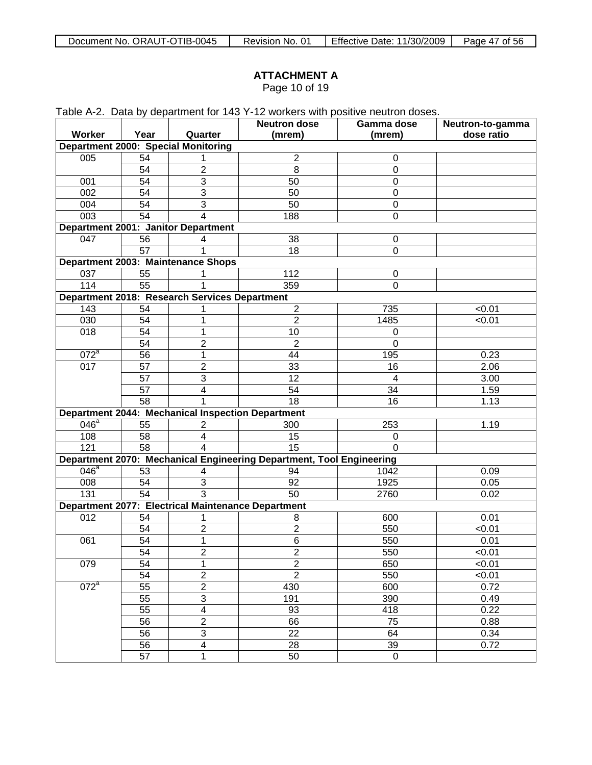| Document No. ORAUT-OTIB-0045 | Revision No. 01 | Effective Date: 11/30/2009 | Page 47 of 56 |
|------------------------------|-----------------|----------------------------|---------------|
|------------------------------|-----------------|----------------------------|---------------|

Page 10 of 19

|                  |      |                                                          | Table A-2. Data by department for 143 Y-12 workers with positive neutron doses. |             |                  |
|------------------|------|----------------------------------------------------------|---------------------------------------------------------------------------------|-------------|------------------|
|                  |      |                                                          | <b>Neutron dose</b>                                                             | Gamma dose  | Neutron-to-gamma |
| Worker           | Year | Quarter                                                  | (mrem)                                                                          | (mrem)      | dose ratio       |
|                  |      | Department 2000: Special Monitoring                      |                                                                                 |             |                  |
| 005              | 54   | 1                                                        | 2                                                                               | 0           |                  |
|                  | 54   | $\overline{2}$                                           | 8                                                                               | $\pmb{0}$   |                  |
| 001              | 54   | 3                                                        | 50                                                                              | $\pmb{0}$   |                  |
| 002              | 54   | 3                                                        | 50                                                                              | $\pmb{0}$   |                  |
| 004              | 54   | 3                                                        | 50                                                                              | $\pmb{0}$   |                  |
| 003              | 54   | 4                                                        | 188                                                                             | 0           |                  |
|                  |      | Department 2001: Janitor Department                      |                                                                                 |             |                  |
| 047              | 56   | 4                                                        | 38                                                                              | 0           |                  |
|                  | 57   |                                                          | 18                                                                              | 0           |                  |
|                  |      | Department 2003: Maintenance Shops                       |                                                                                 |             |                  |
| 037              | 55   | 1                                                        | 112                                                                             | 0           |                  |
| 114              | 55   |                                                          | 359                                                                             | 0           |                  |
|                  |      | Department 2018: Research Services Department            |                                                                                 |             |                  |
| 143              | 54   | 1                                                        | $\overline{c}$                                                                  | 735         | < 0.01           |
| 030              | 54   | 1                                                        | $\overline{2}$                                                                  | 1485        | < 0.01           |
| 018              | 54   | 1                                                        | 10                                                                              | 0           |                  |
|                  | 54   | 2                                                        | 2                                                                               | 0           |                  |
| $072^a$          | 56   | 1                                                        | 44                                                                              | 195         | 0.23             |
| 017              | 57   | $\overline{2}$                                           | 33                                                                              | 16          | 2.06             |
|                  | 57   | 3                                                        | 12                                                                              | 4           | 3.00             |
|                  | 57   | 4                                                        | 54                                                                              | 34          | 1.59             |
|                  | 58   |                                                          | 18                                                                              | 16          | 1.13             |
|                  |      | <b>Department 2044: Mechanical Inspection Department</b> |                                                                                 |             |                  |
| $046^{\circ}$    | 55   | $\overline{2}$                                           | 300                                                                             | 253         | 1.19             |
| 108              | 58   | 4                                                        | 15                                                                              | 0           |                  |
| 121              | 58   | Δ                                                        | 15                                                                              | $\Omega$    |                  |
|                  |      |                                                          | Department 2070: Mechanical Engineering Department, Tool Engineering            |             |                  |
| 046 <sup>a</sup> | 53   | 4                                                        | 94                                                                              | 1042        | 0.09             |
| 008              | 54   | 3                                                        | 92                                                                              | 1925        | 0.05             |
| 131              | 54   | 3                                                        | 50                                                                              | 2760        | 0.02             |
|                  |      | Department 2077: Electrical Maintenance Department       |                                                                                 |             |                  |
| 012              | 54   | 1                                                        | 8                                                                               | 600         | 0.01             |
|                  | 54   | $\overline{2}$                                           | $\overline{2}$                                                                  | 550         | < 0.01           |
| 061              | 54   | 1                                                        | 6                                                                               | 550         | 0.01             |
|                  | 54   | $\overline{2}$                                           | $\overline{2}$                                                                  | 550         | < 0.01           |
| 079              | 54   | 1                                                        | $\overline{c}$                                                                  | 650         | < 0.01           |
|                  | 54   | $\overline{2}$                                           | $\overline{2}$                                                                  | 550         | < 0.01           |
| $072^a$          | 55   | $\overline{2}$                                           | 430                                                                             | 600         | 0.72             |
|                  | 55   | $\ensuremath{\mathsf{3}}$                                | 191                                                                             | 390         | 0.49             |
|                  | 55   | 4                                                        | 93                                                                              | 418         | 0.22             |
|                  | 56   | $\overline{2}$                                           | 66                                                                              | 75          | 0.88             |
|                  | 56   | $\ensuremath{\mathsf{3}}$                                | 22                                                                              | 64          | 0.34             |
|                  | 56   | 4                                                        | 28                                                                              | 39          | 0.72             |
|                  | 57   | 1                                                        | 50                                                                              | $\mathbf 0$ |                  |
|                  |      |                                                          |                                                                                 |             |                  |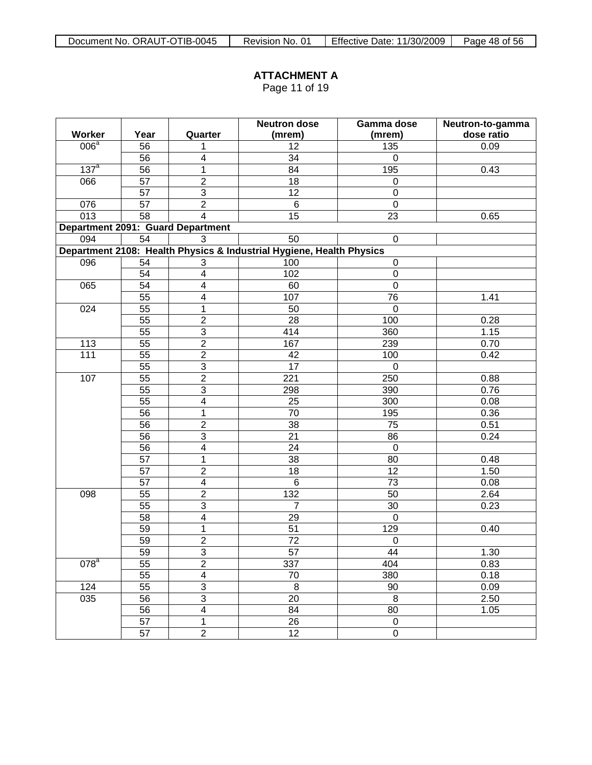Page 11 of 19

|                    |                 |                                   | <b>Neutron dose</b>                                                  | Gamma dose<br>Neutron-to-gamma |            |  |  |  |  |
|--------------------|-----------------|-----------------------------------|----------------------------------------------------------------------|--------------------------------|------------|--|--|--|--|
| Worker             | Year            | Quarter                           | (mrem)                                                               | (mrem)                         | dose ratio |  |  |  |  |
| 006 <sup>a</sup>   | 56              | 1                                 | 12                                                                   | 135                            | 0.09       |  |  |  |  |
|                    | 56              | 4                                 | $\overline{34}$                                                      | $\mathbf 0$                    |            |  |  |  |  |
| 137 <sup>a</sup>   | $\overline{56}$ | $\overline{1}$                    | 84                                                                   | 195                            | 0.43       |  |  |  |  |
| 066                | $\overline{57}$ | $\overline{2}$                    | $\overline{18}$                                                      | $\mathbf 0$                    |            |  |  |  |  |
|                    | 57              | $\overline{3}$                    | $\overline{12}$                                                      | $\mathbf 0$                    |            |  |  |  |  |
| 076                | 57              | $\overline{2}$                    | $\,6\,$                                                              | $\mathbf 0$                    |            |  |  |  |  |
| $\overline{013}$   | $\overline{58}$ | $\overline{4}$                    | 15                                                                   | 23                             | 0.65       |  |  |  |  |
|                    |                 | Department 2091: Guard Department |                                                                      |                                |            |  |  |  |  |
| 094                | 54              | 3                                 | 50                                                                   | $\mathbf 0$                    |            |  |  |  |  |
|                    |                 |                                   | Department 2108: Health Physics & Industrial Hygiene, Health Physics |                                |            |  |  |  |  |
| 096                | 54              | 3                                 | 100                                                                  | $\mathbf 0$                    |            |  |  |  |  |
|                    | 54              | $\overline{4}$                    | 102                                                                  | $\pmb{0}$                      |            |  |  |  |  |
| 065                | $\overline{54}$ | $\overline{\mathbf{4}}$           | 60                                                                   | $\overline{0}$                 |            |  |  |  |  |
|                    | $\overline{55}$ | $\overline{\mathbf{4}}$           | 107                                                                  | 76                             | 1.41       |  |  |  |  |
| 024                | 55              | $\mathbf{1}$                      | 50                                                                   | $\boldsymbol{0}$               |            |  |  |  |  |
|                    | $\overline{55}$ | $\overline{2}$                    | $\overline{28}$                                                      | 100                            | 0.28       |  |  |  |  |
|                    | $\overline{55}$ | $\overline{3}$                    | 414                                                                  | 360                            | 1.15       |  |  |  |  |
| 113                | $\overline{55}$ | $\overline{2}$                    | 167                                                                  | 239                            | 0.70       |  |  |  |  |
| $\overline{111}$   | $\overline{55}$ | $\overline{2}$                    | 42                                                                   | 100                            | 0.42       |  |  |  |  |
|                    | $\overline{55}$ | $\overline{3}$                    | $\overline{17}$                                                      | $\mathbf 0$                    |            |  |  |  |  |
| 107                | $\overline{55}$ | $\overline{2}$                    | 221                                                                  | 250                            | 0.88       |  |  |  |  |
|                    | $\overline{55}$ | $\overline{3}$                    | 298                                                                  | 390                            | 0.76       |  |  |  |  |
|                    | $\overline{55}$ | $\overline{4}$                    | 25                                                                   | 300                            | 0.08       |  |  |  |  |
|                    | $\overline{56}$ | $\mathbf{1}$                      | 70                                                                   | 195                            | 0.36       |  |  |  |  |
|                    | $\overline{56}$ | $\overline{2}$                    | $\overline{38}$                                                      | 75                             | 0.51       |  |  |  |  |
|                    | 56              | $\overline{3}$                    | 21                                                                   | 86                             | 0.24       |  |  |  |  |
|                    | $\overline{56}$ | $\overline{4}$                    | 24                                                                   | $\mathbf 0$                    |            |  |  |  |  |
|                    | $\overline{57}$ | 1                                 | $\overline{38}$                                                      | 80                             | 0.48       |  |  |  |  |
|                    | 57              | $\overline{2}$                    | 18                                                                   | 12                             | 1.50       |  |  |  |  |
|                    | 57              | $\overline{4}$                    | $\,6\,$                                                              | 73                             | 0.08       |  |  |  |  |
| 098                | $\overline{55}$ | $\overline{2}$                    | $\overline{132}$                                                     | 50                             | 2.64       |  |  |  |  |
|                    | 55              | $\overline{3}$                    | $\overline{7}$                                                       | 30                             | 0.23       |  |  |  |  |
|                    | 58              | $\overline{4}$                    | 29                                                                   | $\mathbf 0$                    |            |  |  |  |  |
|                    | $\overline{59}$ | $\mathbf{1}$                      | 51                                                                   | 129                            | 0.40       |  |  |  |  |
|                    | 59              | $\overline{2}$                    | 72                                                                   | $\pmb{0}$                      |            |  |  |  |  |
|                    | 59              | $\overline{3}$                    | $\overline{57}$                                                      | 44                             | 1.30       |  |  |  |  |
| $0\overline{78}^a$ | 55              | $\overline{2}$                    | 337                                                                  | 404                            | 0.83       |  |  |  |  |
|                    | 55              | $\overline{\mathbf{4}}$           | 70                                                                   | 380                            | 0.18       |  |  |  |  |
| 124                | 55              | $\overline{3}$                    | $\bf 8$                                                              | $90\,$                         | 0.09       |  |  |  |  |
| 035                | $\overline{56}$ | $\overline{3}$                    | 20                                                                   | $\, 8$                         | 2.50       |  |  |  |  |
|                    | 56              | $\overline{4}$                    | 84                                                                   | 80                             | 1.05       |  |  |  |  |
|                    | 57              | $\mathbf 1$                       | $\overline{26}$                                                      | $\pmb{0}$                      |            |  |  |  |  |
|                    | $\overline{57}$ | $\overline{2}$                    | $\overline{12}$                                                      | $\overline{0}$                 |            |  |  |  |  |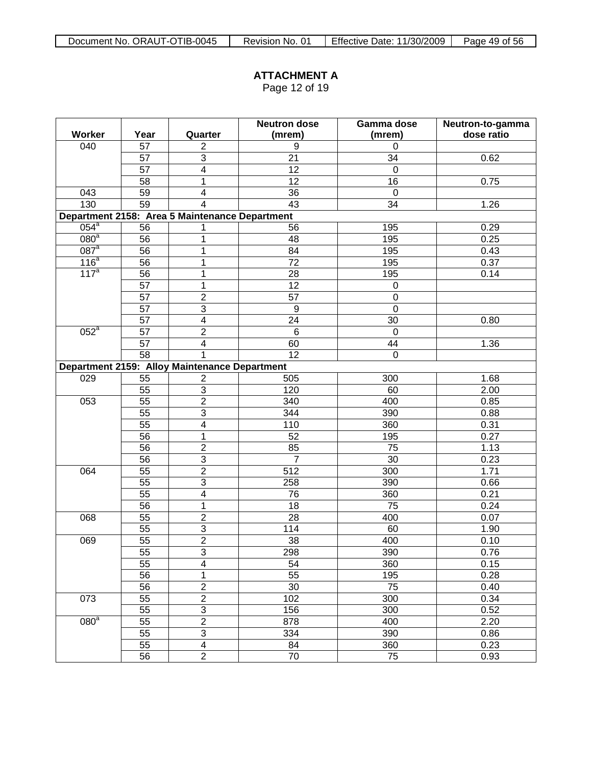Page 12 of 19

|                    |                 | <b>Neutron dose</b>                            |                 | Gamma dose     | Neutron-to-gamma |  |  |  |  |
|--------------------|-----------------|------------------------------------------------|-----------------|----------------|------------------|--|--|--|--|
| Worker             | Year            | Quarter                                        | (mrem)          | (mrem)         | dose ratio       |  |  |  |  |
| 040                | 57              | $\overline{c}$                                 | 9               | $\Omega$       |                  |  |  |  |  |
|                    | 57              | $\overline{3}$                                 | 21              | 34             | 0.62             |  |  |  |  |
|                    | 57              | $\overline{4}$                                 | $\overline{12}$ | $\overline{0}$ |                  |  |  |  |  |
|                    | $\overline{58}$ | 1                                              | $\overline{12}$ | 16             | 0.75             |  |  |  |  |
| 043                | 59              | $\overline{\mathbf{4}}$                        | $\overline{36}$ | $\mathbf 0$    |                  |  |  |  |  |
| 130                | 59              | $\overline{4}$                                 | $\overline{43}$ | 34             | 1.26             |  |  |  |  |
|                    |                 | Department 2158: Area 5 Maintenance Department |                 |                |                  |  |  |  |  |
| $\overline{054}^a$ | 56              | 1                                              | 56              | 195            | 0.29             |  |  |  |  |
| 080 <sup>a</sup>   | 56              | 1                                              | 48              | 195            | 0.25             |  |  |  |  |
| $087$ <sup>a</sup> | $\overline{56}$ | 1                                              | 84              | 195            | 0.43             |  |  |  |  |
| 116 <sup>a</sup>   | $\overline{56}$ | 1                                              | $\overline{72}$ | 195            | 0.37             |  |  |  |  |
| $\overline{117^a}$ | $\overline{56}$ | 1                                              | 28              | 195            | 0.14             |  |  |  |  |
|                    | $\overline{57}$ | 1                                              | $\overline{12}$ | $\mathbf 0$    |                  |  |  |  |  |
|                    | 57              | $\overline{2}$                                 | 57              | $\mathbf 0$    |                  |  |  |  |  |
|                    | 57              | $\overline{3}$                                 | $9\,$           | $\mathbf 0$    |                  |  |  |  |  |
|                    | $\overline{57}$ | $\overline{4}$                                 | 24              | 30             | 0.80             |  |  |  |  |
| $052^a$            | 57              | $\overline{2}$                                 | $6\phantom{1}$  | $\overline{0}$ |                  |  |  |  |  |
|                    | 57              | $\overline{4}$                                 | 60              | 44             | 1.36             |  |  |  |  |
|                    | $\overline{58}$ | 1                                              | $\overline{12}$ | $\mathbf 0$    |                  |  |  |  |  |
|                    |                 | Department 2159: Alloy Maintenance Department  |                 |                |                  |  |  |  |  |
| 029                | 55              | $\mathbf{2}$                                   | 505             | 300            | 1.68             |  |  |  |  |
|                    | 55              | $\overline{3}$                                 | 120             | 60             | 2.00             |  |  |  |  |
| 053                | $\overline{55}$ | $\overline{2}$                                 | 340             | 400            | 0.85             |  |  |  |  |
|                    | $\overline{55}$ | $\overline{3}$                                 | 344             | 390            | 0.88             |  |  |  |  |
|                    | $\overline{55}$ | $\overline{4}$                                 | 110             | 360            | 0.31             |  |  |  |  |
|                    | $\overline{56}$ | $\overline{1}$                                 | 52              | 195            | 0.27             |  |  |  |  |
|                    | $\overline{56}$ | $\overline{2}$                                 | 85              | 75             | 1.13             |  |  |  |  |
|                    | $\overline{56}$ | $\overline{3}$                                 | $\overline{7}$  | 30             | 0.23             |  |  |  |  |
| 064                | 55              | $\overline{2}$                                 | 512             | 300            | 1.71             |  |  |  |  |
|                    | $\overline{55}$ | $\overline{3}$                                 | 258             | 390            | 0.66             |  |  |  |  |
|                    | $\overline{55}$ | $\overline{4}$                                 | 76              | 360            | 0.21             |  |  |  |  |
|                    | $\overline{56}$ | $\overline{1}$                                 | 18              | 75             | 0.24             |  |  |  |  |
| 068                | 55              | $\overline{2}$                                 | 28              | 400            | 0.07             |  |  |  |  |
|                    | $\overline{55}$ | $\overline{3}$                                 | 114             | 60             | 1.90             |  |  |  |  |
| 069                | 55              | $\overline{2}$                                 | 38              | 400            | 0.10             |  |  |  |  |
|                    | 55              | $\overline{3}$                                 | 298             | 390            | 0.76             |  |  |  |  |
|                    | 55              | $\overline{4}$                                 | 54              | 360            | 0.15             |  |  |  |  |
|                    | 56              | 1                                              | $\overline{55}$ | 195            | 0.28             |  |  |  |  |
|                    | $\overline{56}$ | $\overline{2}$                                 | $\overline{30}$ | 75             | 0.40             |  |  |  |  |
| 073                | $\overline{55}$ | $\overline{2}$                                 | 102             | 300            | 0.34             |  |  |  |  |
|                    | $\overline{55}$ | $\overline{3}$                                 | 156             | 300            | 0.52             |  |  |  |  |
| 080 <sup>a</sup>   | $\overline{55}$ | $\overline{2}$                                 | 878             | 400            | 2.20             |  |  |  |  |
|                    | $\overline{55}$ | $\overline{3}$                                 | 334             | 390            | 0.86             |  |  |  |  |
|                    | 55              | $\overline{4}$                                 | 84              | 360            | 0.23             |  |  |  |  |
|                    | $\overline{56}$ | $\overline{2}$                                 | $\overline{70}$ | 75             | 0.93             |  |  |  |  |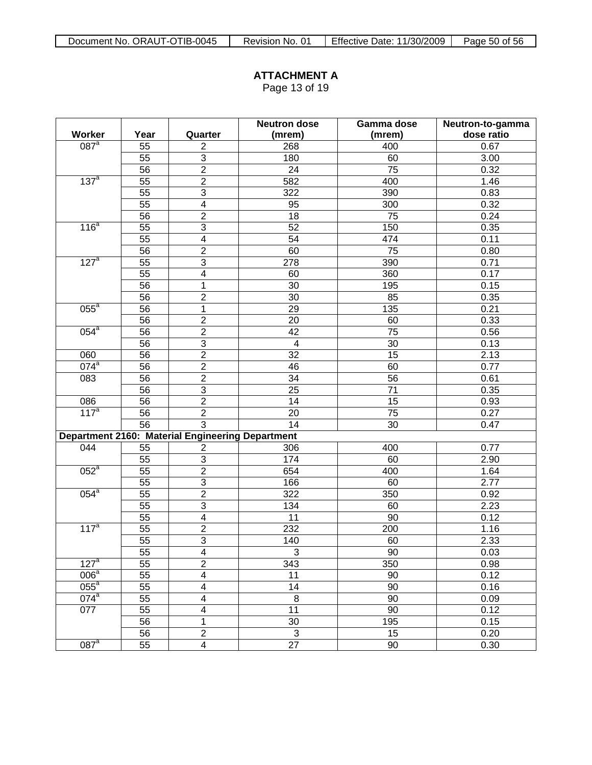Page 13 of 19

|                    |                 |                                                  | <b>Neutron dose</b>     | Gamma dose | Neutron-to-gamma |  |  |  |  |
|--------------------|-----------------|--------------------------------------------------|-------------------------|------------|------------------|--|--|--|--|
| Worker             | Year            | Quarter                                          | (mrem)                  | (mrem)     | dose ratio       |  |  |  |  |
| $087$ <sup>a</sup> | 55              | $\overline{2}$                                   | 268                     | 400        | 0.67             |  |  |  |  |
|                    | 55              | $\overline{3}$                                   | 180                     | 60         | 3.00             |  |  |  |  |
|                    | 56              | $\overline{2}$                                   | 24                      | 75         | 0.32             |  |  |  |  |
| 137 <sup>a</sup>   | 55              | $\overline{2}$                                   | 582                     | 400        | 1.46             |  |  |  |  |
|                    | 55              | $\overline{3}$                                   | 322                     | 390        | 0.83             |  |  |  |  |
|                    | 55              | $\overline{4}$                                   | 95                      | 300        | 0.32             |  |  |  |  |
|                    | 56              | $\overline{2}$                                   | 18                      | 75         | 0.24             |  |  |  |  |
| 116 <sup>a</sup>   | 55              | $\overline{3}$                                   | 52                      | 150        | 0.35             |  |  |  |  |
|                    | 55              | $\overline{4}$                                   | 54                      | 474        | 0.11             |  |  |  |  |
|                    | 56              | $\overline{2}$                                   | 60                      | 75         | 0.80             |  |  |  |  |
| 127 <sup>a</sup>   | 55              | $\overline{3}$                                   | 278                     | 390        | 0.71             |  |  |  |  |
|                    | 55              | $\overline{\mathbf{4}}$                          | 60                      | 360        | 0.17             |  |  |  |  |
|                    | 56              | 1                                                | 30                      | 195        | 0.15             |  |  |  |  |
|                    | 56              | $\overline{2}$                                   | 30                      | 85         | 0.35             |  |  |  |  |
| $055^{\circ}$      | 56              | 1                                                | 29                      | 135        | 0.21             |  |  |  |  |
|                    | 56              | $\overline{2}$                                   | 20                      | 60         | 0.33             |  |  |  |  |
| $054^a$            | 56              | $\overline{2}$                                   | 42                      | 75         | 0.56             |  |  |  |  |
|                    | 56              | $\overline{3}$                                   | $\overline{\mathbf{4}}$ | 30         | 0.13             |  |  |  |  |
| 060                | 56              | $\overline{2}$                                   | $\overline{32}$         | 15         | 2.13             |  |  |  |  |
| $074^a$            | 56              | $\overline{2}$                                   | 46                      | 60         | 0.77             |  |  |  |  |
| 083                | 56              | $\overline{2}$                                   | 34                      | 56         | 0.61             |  |  |  |  |
|                    | 56              | $\overline{3}$                                   | 25                      | 71         | 0.35             |  |  |  |  |
| 086                | 56              | $\overline{2}$                                   | 14                      | 15         | 0.93             |  |  |  |  |
| 117 <sup>a</sup>   | 56              | $\overline{2}$                                   | 20                      | 75         | 0.27             |  |  |  |  |
|                    | 56              | $\overline{3}$                                   | 14                      | 30         | 0.47             |  |  |  |  |
|                    |                 | Department 2160: Material Engineering Department |                         |            |                  |  |  |  |  |
| 044                | 55              | $\overline{2}$                                   | 306                     | 400        | 0.77             |  |  |  |  |
|                    | 55              | $\overline{3}$                                   | 174                     | 60         | 2.90             |  |  |  |  |
| $052^a$            | 55              | $\overline{2}$                                   | 654                     | 400        | 1.64             |  |  |  |  |
|                    | 55              | $\overline{3}$                                   | 166                     | 60         | 2.77             |  |  |  |  |
| $054^a$            | 55              | $\overline{2}$                                   | 322                     | 350        | 0.92             |  |  |  |  |
|                    | 55              | $\overline{3}$                                   | 134                     | 60         | 2.23             |  |  |  |  |
|                    | 55              | $\overline{4}$                                   | 11                      | 90         | 0.12             |  |  |  |  |
| $117^a$            | 55              | $\overline{2}$                                   | 232                     | 200        | 1.16             |  |  |  |  |
|                    | 55              | $\overline{3}$                                   | 140                     | 60         | 2.33             |  |  |  |  |
|                    | $\overline{55}$ | $\overline{4}$                                   | $\overline{3}$          | 90         | 0.03             |  |  |  |  |
| 127 <sup>a</sup>   | 55              | $\overline{2}$                                   | 343                     | 350        | 0.98             |  |  |  |  |
| 006 <sup>a</sup>   | 55              | $\overline{4}$                                   | 11                      | 90         | 0.12             |  |  |  |  |
| $055^a$            | 55              | $\overline{\mathbf{4}}$                          | 14                      | 90         | 0.16             |  |  |  |  |
| $074^a$            | 55              | $\overline{\mathbf{4}}$                          | $\overline{8}$          | 90         | 0.09             |  |  |  |  |
| 077                | 55              | $\overline{\mathbf{4}}$                          | 11                      | 90         | 0.12             |  |  |  |  |
|                    | 56              | 1                                                | 30                      | 195        | 0.15             |  |  |  |  |
|                    | 56              | $\overline{2}$                                   | $\sqrt{3}$              | 15         | 0.20             |  |  |  |  |
| $087$ <sup>a</sup> | 55              | $\overline{4}$                                   | $\overline{27}$         | 90         | 0.30             |  |  |  |  |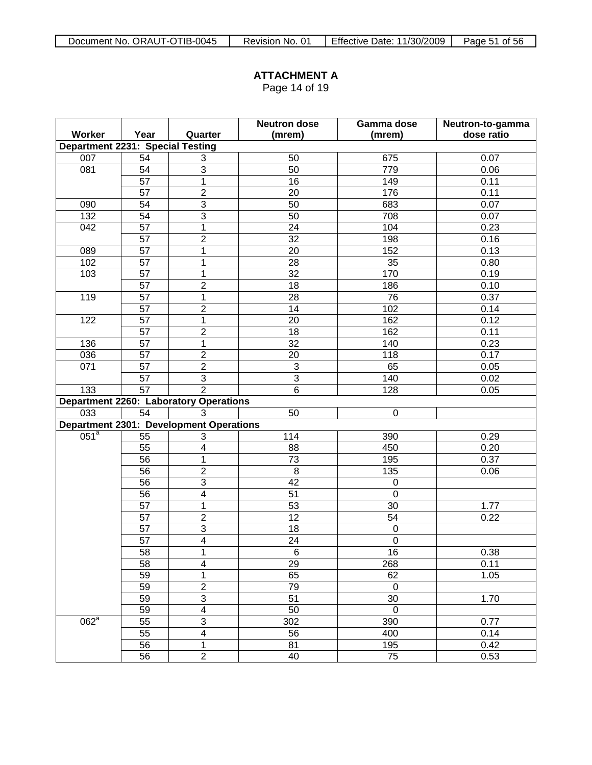Page 14 of 19

|                                         |                      |                                                | <b>Neutron dose</b> | Gamma dose       | Neutron-to-gamma |  |  |
|-----------------------------------------|----------------------|------------------------------------------------|---------------------|------------------|------------------|--|--|
| Worker                                  | Year                 | Quarter                                        | (mrem)              | (mrem)           | dose ratio       |  |  |
| <b>Department 2231: Special Testing</b> |                      |                                                |                     |                  |                  |  |  |
| 007                                     | 54                   | 3                                              | 50                  | 675              | 0.07             |  |  |
| $\overline{081}$                        | 54                   | $\overline{3}$                                 | 50                  | 779              | 0.06             |  |  |
|                                         | $\overline{57}$      | $\overline{1}$                                 | 16                  | 149              | 0.11             |  |  |
|                                         | 57                   | $\overline{2}$                                 | 20                  | 176              | 0.11             |  |  |
| 090                                     | 54                   | $\overline{3}$                                 | 50                  | 683              | 0.07             |  |  |
| 132                                     | 54                   | $\overline{3}$                                 | 50                  | 708              | 0.07             |  |  |
| 042                                     | 57                   | $\overline{1}$                                 | 24                  | 104              | 0.23             |  |  |
|                                         | $\overline{57}$      | $\overline{2}$                                 | 32                  | 198              | 0.16             |  |  |
| 089                                     | $\overline{57}$      | $\overline{1}$                                 | 20                  | 152              | 0.13             |  |  |
| 102                                     | $\overline{57}$      | $\mathbf{1}$                                   | 28                  | 35               | 0.80             |  |  |
| 103                                     | 57                   | $\mathbf{1}$                                   | 32                  | 170              |                  |  |  |
|                                         | $\overline{57}$      | $\overline{2}$                                 | 18                  | 186              | 0.10             |  |  |
| 119                                     | $\overline{57}$      | $\mathbf{1}$                                   | 28                  | 76               | 0.37             |  |  |
|                                         | $\overline{57}$      | $\overline{2}$                                 | 14                  | 102              | 0.14             |  |  |
| 122                                     | 57                   | $\overline{1}$                                 | 20                  | 162              | 0.12             |  |  |
|                                         | $\overline{57}$      | $\overline{2}$                                 | 18                  | 162              | 0.11             |  |  |
| 136                                     | 57                   | $\overline{1}$                                 | $\overline{32}$     | 140              | 0.23             |  |  |
| 036                                     | $\overline{2}$<br>57 |                                                | 20                  | 118              | 0.17             |  |  |
| 071                                     | 57                   | $\overline{2}$                                 | $\overline{\omega}$ | 65               | 0.05             |  |  |
|                                         | 57                   | $\overline{3}$                                 | $\overline{3}$      | 140              | 0.02             |  |  |
| 133                                     | 57                   | $\overline{2}$                                 | $\,6\,$             | 128              | 0.05             |  |  |
|                                         |                      | <b>Department 2260: Laboratory Operations</b>  |                     |                  |                  |  |  |
| 033                                     | 54                   | 3                                              | 50                  | $\boldsymbol{0}$ |                  |  |  |
|                                         |                      | <b>Department 2301: Development Operations</b> |                     |                  |                  |  |  |
| 051 <sup>a</sup>                        | 55                   | 3                                              | 114                 | 390              | 0.29             |  |  |
|                                         | 55                   | $\overline{4}$                                 | 88                  | 450              | 0.20             |  |  |
|                                         | $\overline{56}$      | 1                                              | $\overline{73}$     | 195              | 0.37             |  |  |
|                                         | 56                   | $\overline{2}$                                 | $\boldsymbol{8}$    | 135              | 0.06             |  |  |
|                                         | $\overline{56}$      | $\overline{3}$                                 | $\overline{42}$     | $\boldsymbol{0}$ |                  |  |  |
|                                         | 56                   | $\overline{4}$                                 | 51                  | $\boldsymbol{0}$ |                  |  |  |
|                                         | $\overline{57}$      | $\mathbf{1}$                                   | 53                  | 30               | 1.77             |  |  |
|                                         | $\overline{57}$      | $\overline{2}$                                 | $\overline{12}$     | 54               | 0.22             |  |  |
|                                         | 57                   | $\overline{3}$                                 | 18                  | $\boldsymbol{0}$ |                  |  |  |
|                                         | 57                   | $\overline{4}$                                 | $\overline{24}$     | $\mathbf 0$      |                  |  |  |
|                                         | $\overline{58}$      | 1                                              | $\overline{6}$      | 16               | 0.38             |  |  |
|                                         | 58                   | $\overline{\mathbf{4}}$                        | 29                  | 268              | 0.11             |  |  |
|                                         | 59                   | 1                                              | 65                  | 62               | 1.05             |  |  |
|                                         | 59                   | $\overline{2}$                                 | 79                  | $\pmb{0}$        |                  |  |  |
|                                         | 59                   | $\overline{3}$                                 | $\overline{51}$     | 30               | 1.70             |  |  |
|                                         | 59                   | $\overline{4}$                                 | 50                  | $\mathbf 0$      |                  |  |  |
| 062 <sup>a</sup>                        | 55                   | $\overline{3}$                                 | 302                 | 390              | 0.77             |  |  |
|                                         | $\overline{55}$      | $\overline{4}$                                 | 56                  | 400              | 0.14             |  |  |
|                                         | 56                   | $\mathbf{1}$                                   | 81                  | 195              | 0.42             |  |  |
|                                         | $\overline{56}$      | $\overline{2}$                                 | 40                  | $\overline{75}$  | 0.53             |  |  |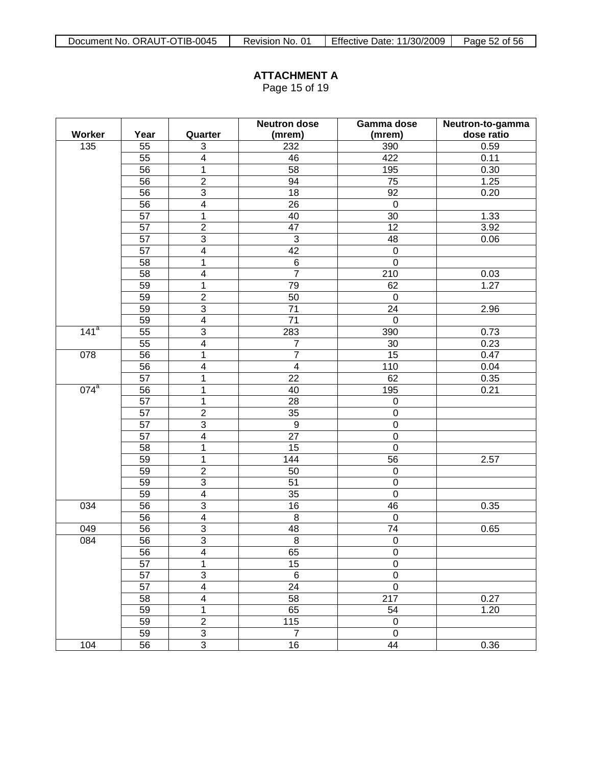Page 15 of 19

|                  |                 |                         | <b>Neutron dose</b>     | Gamma dose       | Neutron-to-gamma |  |  |  |  |
|------------------|-----------------|-------------------------|-------------------------|------------------|------------------|--|--|--|--|
| <b>Worker</b>    | Year            | Quarter                 | (mrem)                  | (mrem)           | dose ratio       |  |  |  |  |
| 135              | 55              | 3                       | 232                     | 390              | 0.59             |  |  |  |  |
|                  | 55              | $\overline{\mathbf{4}}$ | 46                      | 422              | 0.11             |  |  |  |  |
|                  | 56              | 1                       | 58                      | 195              | 0.30             |  |  |  |  |
|                  | 56              | $\overline{2}$          | 94                      | 75               | 1.25             |  |  |  |  |
|                  | 56              | $\overline{3}$          | 18                      | 92               | 0.20             |  |  |  |  |
|                  | 56              | $\overline{4}$          | 26                      | $\mathbf 0$      |                  |  |  |  |  |
|                  | 57              | 1                       | 40                      | 30               | 1.33             |  |  |  |  |
|                  | 57              | $\overline{2}$          | 47                      | 12               | 3.92             |  |  |  |  |
|                  | 57              | $\overline{3}$          | $\overline{3}$          | 48               | 0.06             |  |  |  |  |
|                  | 57              | $\overline{\mathbf{4}}$ | $\overline{42}$         | $\boldsymbol{0}$ |                  |  |  |  |  |
|                  | 58              | 1                       | $\,6$                   | $\mathbf 0$      |                  |  |  |  |  |
|                  | 58              | $\overline{\mathbf{4}}$ | $\overline{7}$          | 210              | 0.03             |  |  |  |  |
|                  | 59              | $\mathbf{1}$            | 79                      | 62               | 1.27             |  |  |  |  |
|                  | 59              | $\overline{2}$          | 50                      | $\mathbf 0$      |                  |  |  |  |  |
|                  | 59              | $\overline{3}$          | 71                      | 24               | 2.96             |  |  |  |  |
|                  | 59              | $\overline{4}$          | 71                      | $\mathbf 0$      |                  |  |  |  |  |
| 141 <sup>a</sup> | 55              | $\overline{3}$          | 283                     | 390              | 0.73             |  |  |  |  |
|                  | 55              | $\overline{\mathbf{4}}$ | $\overline{7}$          | 30               | 0.23             |  |  |  |  |
| 078              | 56              | 1                       | $\overline{7}$          | 15               | 0.47             |  |  |  |  |
|                  | 56              | $\overline{\mathbf{4}}$ | $\overline{\mathbf{4}}$ | 110              | 0.04             |  |  |  |  |
|                  | 57              | 1                       | 22                      | 62               | 0.35             |  |  |  |  |
| $074^a$          | 56              | 1                       | 40                      | 195              | 0.21             |  |  |  |  |
|                  | 57              | $\mathbf{1}$            | 28                      | $\pmb{0}$        |                  |  |  |  |  |
|                  | 57              | $\overline{2}$          | $\overline{35}$         | $\mathbf 0$      |                  |  |  |  |  |
|                  | 57              | $\overline{3}$          | $\boldsymbol{9}$        | $\mathbf 0$      |                  |  |  |  |  |
|                  | 57              | $\overline{\mathbf{4}}$ | 27                      | $\boldsymbol{0}$ |                  |  |  |  |  |
|                  | 58              | 1                       | 15                      | $\mathbf 0$      |                  |  |  |  |  |
|                  | 59              | 1                       | 144                     | 56               | 2.57             |  |  |  |  |
|                  | 59              | $\overline{2}$          | 50                      | $\boldsymbol{0}$ |                  |  |  |  |  |
|                  | 59              | $\overline{3}$          | 51                      | $\boldsymbol{0}$ |                  |  |  |  |  |
|                  | 59              | $\overline{4}$          | 35                      | $\mathbf 0$      |                  |  |  |  |  |
| 034              | 56              | $\overline{3}$          | 16                      | 46               | 0.35             |  |  |  |  |
|                  | 56              | $\overline{4}$          | $\,8\,$                 | $\mathbf 0$      |                  |  |  |  |  |
| 049              | 56              | $\overline{3}$          | 48                      | 74               | 0.65             |  |  |  |  |
| 084              | 56              | $\overline{3}$          | $\bf 8$                 | $\pmb{0}$        |                  |  |  |  |  |
|                  | 56              | $\overline{4}$          | 65                      | $\overline{0}$   |                  |  |  |  |  |
|                  | 57              | 1                       | 15                      | $\pmb{0}$        |                  |  |  |  |  |
|                  | $\overline{57}$ | $\overline{3}$          | $\overline{6}$          | $\pmb{0}$        |                  |  |  |  |  |
|                  | 57              | $\overline{4}$          | 24                      | $\mathbf 0$      |                  |  |  |  |  |
|                  | 58              | $\overline{4}$          | $\overline{58}$         | 217              | 0.27             |  |  |  |  |
|                  | 59              | $\mathbf{1}$            | 65                      | 54               | 1.20             |  |  |  |  |
|                  | 59              | $\overline{2}$          | $\frac{115}{115}$       | $\mathbf 0$      |                  |  |  |  |  |
|                  | 59              | $\overline{3}$          | $\overline{7}$          | $\mathbf 0$      |                  |  |  |  |  |
| 104              | 56              | $\overline{3}$          | 16                      | 44               | 0.36             |  |  |  |  |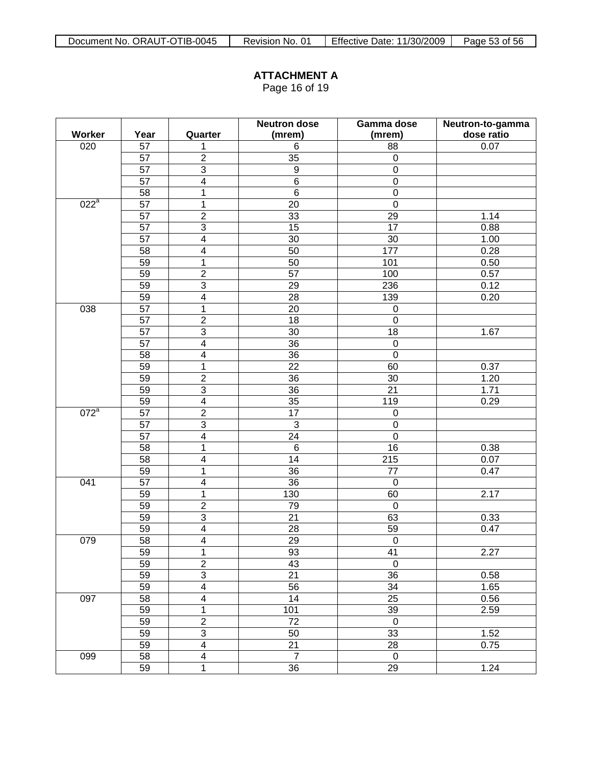Page 16 of 19

|         |      |                         | <b>Neutron dose</b> | Gamma dose<br>Neutron-to-gamma |            |  |  |  |  |
|---------|------|-------------------------|---------------------|--------------------------------|------------|--|--|--|--|
| Worker  | Year | Quarter                 | (mrem)              | (mrem)                         | dose ratio |  |  |  |  |
| 020     | 57   | 1                       | 6                   | 88                             | 0.07       |  |  |  |  |
|         | 57   | $\overline{2}$          | $\overline{35}$     | $\mathbf 0$                    |            |  |  |  |  |
|         | 57   | $\overline{3}$          | $\boldsymbol{9}$    | $\mathbf 0$                    |            |  |  |  |  |
|         | 57   | $\overline{\mathbf{4}}$ | $\,6$               | $\mathbf 0$                    |            |  |  |  |  |
|         | 58   | $\mathbf{1}$            | $\,6$               | $\mathbf 0$                    |            |  |  |  |  |
| $022^a$ | 57   | $\mathbf{1}$            | 20                  | $\mathbf 0$                    |            |  |  |  |  |
|         | 57   | $\overline{2}$          | 33                  | 29                             | 1.14       |  |  |  |  |
|         | 57   | $\overline{3}$          | $\overline{15}$     | 17                             | 0.88       |  |  |  |  |
|         | 57   | $\overline{\mathbf{4}}$ | 30                  | 30                             | 1.00       |  |  |  |  |
|         | 58   | $\overline{\mathbf{4}}$ | 50                  | 177                            | 0.28       |  |  |  |  |
|         | 59   | $\mathbf{1}$            | 50                  | 101                            | 0.50       |  |  |  |  |
|         | 59   | $\overline{2}$          | $\overline{57}$     | 100                            | 0.57       |  |  |  |  |
|         | 59   | $\mathfrak{S}$          | 29                  | 236                            | 0.12       |  |  |  |  |
|         | 59   | $\overline{\mathbf{4}}$ | 28                  | 139                            | 0.20       |  |  |  |  |
| 038     | 57   | $\mathbf{1}$            | 20                  | $\boldsymbol{0}$               |            |  |  |  |  |
|         | 57   | $\overline{2}$          | 18                  | $\mathbf 0$                    |            |  |  |  |  |
|         | 57   | $\mathfrak{S}$          | 30                  | 18                             | 1.67       |  |  |  |  |
|         | 57   | $\overline{\mathbf{4}}$ | $\overline{36}$     | $\boldsymbol{0}$               |            |  |  |  |  |
|         | 58   | $\overline{\mathbf{4}}$ | 36                  | $\mathbf 0$                    |            |  |  |  |  |
|         | 59   | $\mathbf{1}$            | 22                  | 60                             | 0.37       |  |  |  |  |
|         | 59   | $\overline{2}$          | $\overline{36}$     | 30                             | 1.20       |  |  |  |  |
|         | 59   | $\overline{3}$          | 36                  | 21                             | 1.71       |  |  |  |  |
|         | 59   | $\overline{\mathbf{4}}$ | $\overline{35}$     | 119                            | 0.29       |  |  |  |  |
| $072^a$ | 57   | $\overline{2}$          | 17                  | $\mathbf 0$                    |            |  |  |  |  |
|         | 57   | $\overline{3}$          | 3                   | $\boldsymbol{0}$               |            |  |  |  |  |
|         | 57   | $\overline{\mathbf{4}}$ | $\overline{24}$     | $\mathbf 0$                    |            |  |  |  |  |
|         | 58   | $\mathbf{1}$            | $\,6$               | 16                             | 0.38       |  |  |  |  |
|         | 58   | $\overline{\mathbf{4}}$ | 14                  | 215                            | 0.07       |  |  |  |  |
|         | 59   | $\mathbf{1}$            | $\overline{36}$     | 77                             | 0.47       |  |  |  |  |
| 041     | 57   | $\overline{\mathbf{4}}$ | 36                  | $\mathbf 0$                    |            |  |  |  |  |
|         | 59   | $\mathbf{1}$            | 130                 | 60                             | 2.17       |  |  |  |  |
|         | 59   | $\overline{2}$          | 79                  | $\mathbf 0$                    |            |  |  |  |  |
|         | 59   | $\overline{3}$          | $\overline{21}$     | 63                             | 0.33       |  |  |  |  |
|         | 59   | $\overline{\mathbf{4}}$ | 28                  | 59                             | 0.47       |  |  |  |  |
| 079     | 58   | $\overline{\mathbf{4}}$ | 29                  | $\boldsymbol{0}$               |            |  |  |  |  |
|         | 59   | $\overline{1}$          | 93                  | $\overline{41}$                | 2.27       |  |  |  |  |
|         | 59   | $\overline{2}$          | 43                  | $\mathbf 0$                    |            |  |  |  |  |
|         | 59   | $\overline{3}$          | $\overline{21}$     | 36                             | 0.58       |  |  |  |  |
|         | 59   | $\overline{4}$          | 56                  | 34                             | 1.65       |  |  |  |  |
| 097     | 58   | $\overline{\mathbf{4}}$ | 14                  | 25                             | 0.56       |  |  |  |  |
|         | 59   | $\overline{1}$          | 101                 | 39                             | 2.59       |  |  |  |  |
|         | 59   | $\overline{2}$          | 72                  | $\mathbf 0$                    |            |  |  |  |  |
|         | 59   | $\overline{3}$          | 50                  | 33                             | 1.52       |  |  |  |  |
|         | 59   | $\overline{4}$          | 21                  | 28                             | 0.75       |  |  |  |  |
| 099     | 58   | $\overline{\mathbf{4}}$ | $\overline{7}$      | $\mathbf 0$                    |            |  |  |  |  |
|         | 59   | $\mathbf{1}$            | $\overline{36}$     | 29                             | 1.24       |  |  |  |  |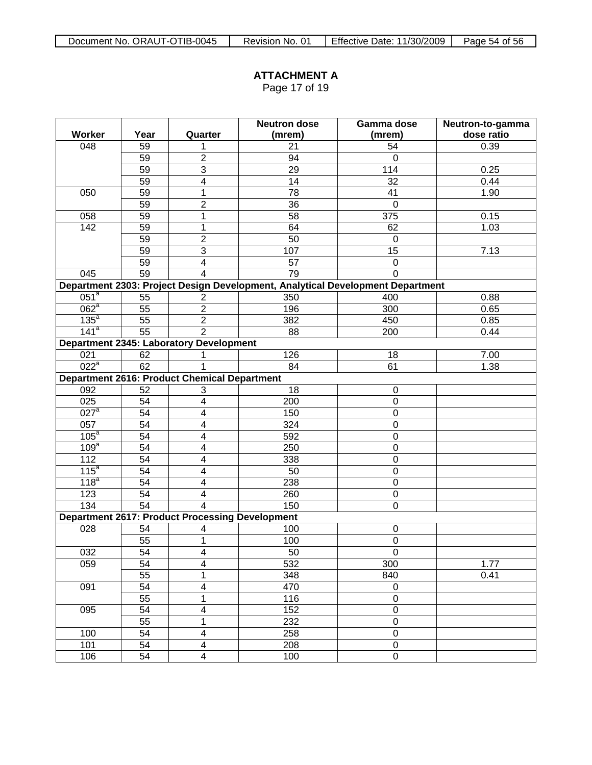Page 17 of 19

|                               |                 |                                                        | <b>Neutron dose</b> | Gamma dose<br>Neutron-to-gamma<br>dose ratio<br>(mrem)                                                      |      |  |  |  |  |  |  |  |  |
|-------------------------------|-----------------|--------------------------------------------------------|---------------------|-------------------------------------------------------------------------------------------------------------|------|--|--|--|--|--|--|--|--|
| Worker                        | Year            | Quarter                                                | (mrem)              |                                                                                                             |      |  |  |  |  |  |  |  |  |
| 048                           | 59              | 1                                                      | 21                  | 54                                                                                                          | 0.39 |  |  |  |  |  |  |  |  |
|                               | 59              | $\overline{2}$                                         | 94                  | $\mathbf 0$                                                                                                 |      |  |  |  |  |  |  |  |  |
|                               | 59              | $\overline{3}$                                         | 29                  | 114                                                                                                         | 0.25 |  |  |  |  |  |  |  |  |
|                               | 59              | $\overline{\mathbf{4}}$                                | 14                  | 32                                                                                                          | 0.44 |  |  |  |  |  |  |  |  |
| 050                           | 59              | 1                                                      | $\overline{78}$     | 41                                                                                                          | 1.90 |  |  |  |  |  |  |  |  |
|                               | 59              | $\overline{2}$                                         | 36                  | $\mathbf 0$                                                                                                 |      |  |  |  |  |  |  |  |  |
| 058                           | 59              | 1                                                      | 58                  | 375                                                                                                         | 0.15 |  |  |  |  |  |  |  |  |
| 142                           | 59              | $\mathbf{1}$                                           | 64                  | 62                                                                                                          | 1.03 |  |  |  |  |  |  |  |  |
|                               | 59              | $\overline{2}$                                         | $\overline{50}$     | $\Omega$                                                                                                    |      |  |  |  |  |  |  |  |  |
|                               | 59              | $\overline{3}$                                         | 107                 | 15                                                                                                          | 7.13 |  |  |  |  |  |  |  |  |
|                               | 59              | $\overline{\mathbf{4}}$                                | 57                  | $\mathbf 0$                                                                                                 |      |  |  |  |  |  |  |  |  |
| 045                           | 59              | $\overline{4}$                                         | $\overline{79}$     | $\Omega$                                                                                                    |      |  |  |  |  |  |  |  |  |
|                               |                 |                                                        |                     |                                                                                                             |      |  |  |  |  |  |  |  |  |
| $\overline{051}^a$            | 55              | $\overline{2}$                                         | 350                 | Department 2303: Project Design Development, Analytical Development Department<br>400<br>0.88<br>196<br>300 |      |  |  |  |  |  |  |  |  |
| $062^a$                       | 55              | $\overline{2}$                                         |                     |                                                                                                             | 0.65 |  |  |  |  |  |  |  |  |
| $135^a$                       | $\overline{55}$ | $\overline{2}$                                         | 382                 | 450                                                                                                         | 0.85 |  |  |  |  |  |  |  |  |
| 141 <sup>a</sup>              | $\overline{55}$ | $\overline{2}$                                         | 88                  | 200                                                                                                         | 0.44 |  |  |  |  |  |  |  |  |
|                               |                 | <b>Department 2345: Laboratory Development</b>         |                     |                                                                                                             |      |  |  |  |  |  |  |  |  |
|                               | 021<br>62       |                                                        | 126                 | 18                                                                                                          | 7.00 |  |  |  |  |  |  |  |  |
| $022^a$<br>62<br>1            |                 |                                                        | 84                  | 61                                                                                                          | 1.38 |  |  |  |  |  |  |  |  |
|                               |                 | <b>Department 2616: Product Chemical Department</b>    |                     |                                                                                                             |      |  |  |  |  |  |  |  |  |
| 092                           | 52              | 3                                                      | 18                  | $\mathbf 0$                                                                                                 |      |  |  |  |  |  |  |  |  |
| $\overline{025}$              | 54              | $\overline{\mathbf{4}}$                                | 200                 | $\mathbf 0$                                                                                                 |      |  |  |  |  |  |  |  |  |
| $027$ <sup>a</sup>            | 54              | $\overline{\mathbf{4}}$                                | 150                 | $\mathbf 0$                                                                                                 |      |  |  |  |  |  |  |  |  |
| 057                           | 54              | $\overline{\mathbf{4}}$                                | 324                 | $\mathbf 0$                                                                                                 |      |  |  |  |  |  |  |  |  |
| 105 <sup>a</sup>              | $\overline{54}$ | $\overline{\mathbf{4}}$                                | 592                 | $\mathbf 0$                                                                                                 |      |  |  |  |  |  |  |  |  |
| 109 <sup>a</sup>              | $\overline{54}$ | $\overline{\mathbf{4}}$                                | 250                 | $\mathbf 0$                                                                                                 |      |  |  |  |  |  |  |  |  |
| 112                           | 54              | $\overline{\mathbf{4}}$                                | 338                 | $\mathbf 0$                                                                                                 |      |  |  |  |  |  |  |  |  |
| 115 <sup>a</sup>              | 54              | $\overline{\mathbf{4}}$                                | 50                  | $\mathbf 0$                                                                                                 |      |  |  |  |  |  |  |  |  |
| $\overline{118}$ <sup>a</sup> | $\overline{54}$ | $\overline{\mathbf{4}}$                                | 238                 | $\mathbf 0$                                                                                                 |      |  |  |  |  |  |  |  |  |
| 123                           | 54              | $\overline{\mathbf{4}}$                                | 260                 | $\mathbf 0$                                                                                                 |      |  |  |  |  |  |  |  |  |
| 134                           | $\overline{54}$ | $\overline{4}$                                         | 150                 | $\overline{0}$                                                                                              |      |  |  |  |  |  |  |  |  |
|                               |                 | <b>Department 2617: Product Processing Development</b> |                     |                                                                                                             |      |  |  |  |  |  |  |  |  |
| 028                           | 54              | 4                                                      | 100                 | $\mathbf 0$                                                                                                 |      |  |  |  |  |  |  |  |  |
|                               | 55              | 1                                                      | 100                 | $\boldsymbol{0}$                                                                                            |      |  |  |  |  |  |  |  |  |
| 032                           | 54              | $\overline{4}$                                         | 50                  | $\overline{0}$                                                                                              |      |  |  |  |  |  |  |  |  |
| 059                           | $\overline{54}$ | $\overline{\mathbf{4}}$                                | 532                 | 300                                                                                                         | 1.77 |  |  |  |  |  |  |  |  |
|                               | $\overline{55}$ | 1                                                      | 348                 | 840                                                                                                         | 0.41 |  |  |  |  |  |  |  |  |
| 091                           | $\overline{54}$ | $\overline{4}$                                         | 470                 | $\mathbf 0$                                                                                                 |      |  |  |  |  |  |  |  |  |
|                               | $\overline{55}$ | 1                                                      | 116                 | $\mathbf 0$                                                                                                 |      |  |  |  |  |  |  |  |  |
| 095                           | $\overline{54}$ | 4                                                      | 152                 | $\mathbf 0$                                                                                                 |      |  |  |  |  |  |  |  |  |
|                               | $\overline{55}$ | 1                                                      | 232                 | $\mathbf 0$                                                                                                 |      |  |  |  |  |  |  |  |  |
| 100                           | $\overline{54}$ | $\overline{4}$                                         | 258                 | $\overline{0}$                                                                                              |      |  |  |  |  |  |  |  |  |
| 101                           | $\overline{54}$ | $\overline{\mathbf{4}}$                                | 208                 | $\mathbf 0$                                                                                                 |      |  |  |  |  |  |  |  |  |
| 106                           | $\overline{54}$ | $\overline{\mathbf{4}}$                                | 100                 | $\overline{0}$                                                                                              |      |  |  |  |  |  |  |  |  |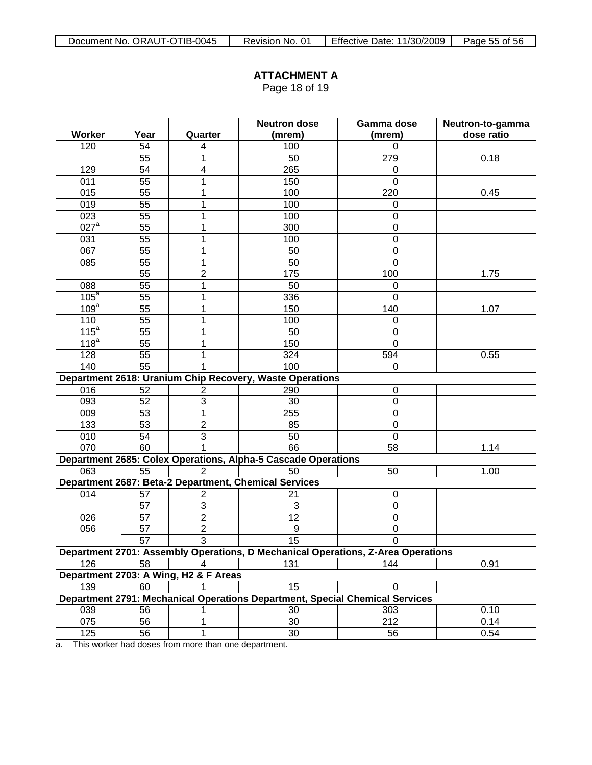Page 18 of 19

|                    |      |                                       | <b>Neutron dose</b>                                                              | Gamma dose<br>Neutron-to-gamma |                              |  |  |  |  |  |
|--------------------|------|---------------------------------------|----------------------------------------------------------------------------------|--------------------------------|------------------------------|--|--|--|--|--|
| Worker             | Year | Quarter                               | (mrem)                                                                           | (mrem)                         | dose ratio                   |  |  |  |  |  |
| 120                | 54   | 4                                     | 100                                                                              | $\Omega$                       |                              |  |  |  |  |  |
|                    | 55   | 1                                     | 50                                                                               | 279                            | 0.18                         |  |  |  |  |  |
| 129                | 54   | $\overline{\mathbf{4}}$               | 265                                                                              | 0                              |                              |  |  |  |  |  |
| 011                | 55   | 1                                     | 150                                                                              | $\mathbf 0$                    |                              |  |  |  |  |  |
| 015                | 55   | 1                                     | 100                                                                              | 220                            | 0.45                         |  |  |  |  |  |
| 019                | 55   | 1                                     | 100                                                                              | 0                              |                              |  |  |  |  |  |
| 023                | 55   | 1                                     | 100                                                                              | $\boldsymbol{0}$               |                              |  |  |  |  |  |
| $027$ <sup>a</sup> | 55   | 1                                     | 300                                                                              | $\mathbf 0$                    |                              |  |  |  |  |  |
| 031                | 55   | 1                                     | 100                                                                              | $\mathbf 0$                    |                              |  |  |  |  |  |
| 067                | 55   | $\mathbf{1}$                          | 50                                                                               | $\mathbf 0$                    |                              |  |  |  |  |  |
| 085                | 55   | $\overline{1}$                        | 50                                                                               | $\mathbf 0$                    |                              |  |  |  |  |  |
|                    | 55   | $\overline{c}$                        | 175                                                                              | 100                            | 1.75                         |  |  |  |  |  |
| 088                | 55   | 1                                     | 50                                                                               | $\mathbf 0$                    |                              |  |  |  |  |  |
| 105 <sup>a</sup>   | 55   | 1                                     | 336                                                                              | $\mathbf 0$                    |                              |  |  |  |  |  |
| 109 <sup>a</sup>   | 55   | 1                                     | 150                                                                              | 140                            | 1.07                         |  |  |  |  |  |
| 110                | 55   | 1                                     | 100                                                                              | 0                              |                              |  |  |  |  |  |
| 115 <sup>a</sup>   | 55   | 1                                     | 50                                                                               | $\mathbf 0$                    |                              |  |  |  |  |  |
| 118 <sup>a</sup>   | 55   | 1                                     | 150                                                                              | $\overline{0}$                 |                              |  |  |  |  |  |
| 128                | 55   | 1                                     | 324                                                                              | 594                            | 0.55                         |  |  |  |  |  |
| 140                | 55   | 1                                     | 100                                                                              | $\Omega$                       |                              |  |  |  |  |  |
|                    |      |                                       | Department 2618: Uranium Chip Recovery, Waste Operations                         |                                |                              |  |  |  |  |  |
| 016                | 52   | $\overline{\mathbf{c}}$               | 290                                                                              | $\mathbf 0$                    |                              |  |  |  |  |  |
| 093                | 52   | $\overline{3}$                        | 30                                                                               | $\mathbf 0$                    |                              |  |  |  |  |  |
| 009                | 53   | $\overline{1}$                        | 255                                                                              | $\mathbf 0$                    |                              |  |  |  |  |  |
| 133                | 53   | $\overline{2}$                        | 85                                                                               | $\mathbf 0$                    |                              |  |  |  |  |  |
| 010                | 54   | $\overline{3}$                        | 50                                                                               | $\mathbf 0$                    |                              |  |  |  |  |  |
| 070                | 60   | $\mathbf{1}$                          | 66                                                                               | 58                             | 1.14                         |  |  |  |  |  |
|                    |      |                                       | Department 2685: Colex Operations, Alpha-5 Cascade Operations                    |                                |                              |  |  |  |  |  |
| 063                | 55   | $\overline{2}$                        | 50                                                                               | 50                             | 1.00                         |  |  |  |  |  |
|                    |      |                                       | Department 2687: Beta-2 Department, Chemical Services                            |                                |                              |  |  |  |  |  |
| 014                | 57   | 2                                     | 21                                                                               | $\boldsymbol{0}$               |                              |  |  |  |  |  |
|                    | 57   | 3                                     | 3                                                                                | $\boldsymbol{0}$               |                              |  |  |  |  |  |
| 026                | 57   | $\overline{2}$                        | 12                                                                               | $\mathbf 0$                    |                              |  |  |  |  |  |
| 056                | 57   | $\overline{2}$                        | $\boldsymbol{9}$                                                                 | $\mathbf 0$                    | 0.91<br>0.10<br>0.14<br>0.54 |  |  |  |  |  |
|                    | 57   | $\overline{3}$                        | $\overline{15}$                                                                  | $\boldsymbol{0}$               |                              |  |  |  |  |  |
|                    |      |                                       | Department 2701: Assembly Operations, D Mechanical Operations, Z-Area Operations |                                |                              |  |  |  |  |  |
| 126                | 58   | 4                                     | 131                                                                              | 144                            |                              |  |  |  |  |  |
|                    |      | Department 2703: A Wing, H2 & F Areas |                                                                                  |                                |                              |  |  |  |  |  |
| 139                | 60   |                                       | 15                                                                               | $\Omega$                       |                              |  |  |  |  |  |
|                    |      |                                       | Department 2791: Mechanical Operations Department, Special Chemical Services     |                                |                              |  |  |  |  |  |
| 039                | 56   |                                       | 30                                                                               | 303                            |                              |  |  |  |  |  |
| 075                | 56   | 1                                     | 30                                                                               | 212                            |                              |  |  |  |  |  |
| 125                | 56   | 1                                     | 30                                                                               | 56                             |                              |  |  |  |  |  |

a. This worker had doses from more than one department.